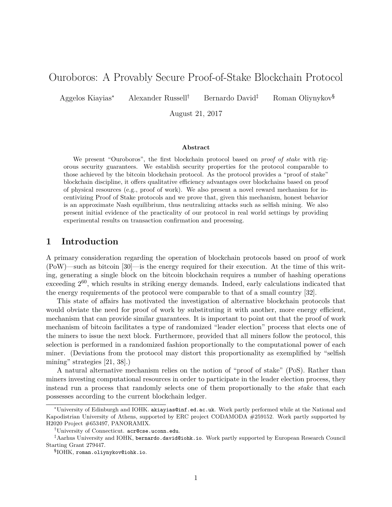# Ouroboros: A Provably Secure Proof-of-Stake Blockchain Protocol

Aggelos Kiayias<sup>∗</sup> Alexander Russell† Bernardo David‡ Roman Oliynykov§

August 21, 2017

#### **Abstract**

We present "Ouroboros", the first blockchain protocol based on *proof of stake* with rigorous security guarantees. We establish security properties for the protocol comparable to those achieved by the bitcoin blockchain protocol. As the protocol provides a "proof of stake" blockchain discipline, it offers qualitative efficiency advantages over blockchains based on proof of physical resources (e.g., proof of work). We also present a novel reward mechanism for incentivizing Proof of Stake protocols and we prove that, given this mechanism, honest behavior is an approximate Nash equilibrium, thus neutralizing attacks such as selfish mining. We also present initial evidence of the practicality of our protocol in real world settings by providing experimental results on transaction confirmation and processing.

## **1 Introduction**

A primary consideration regarding the operation of blockchain protocols based on proof of work (PoW)—such as bitcoin [30]—is the energy required for their execution. At the time of this writing, generating a single block on the bitcoin blockchain requires a number of hashing operations exceeding  $2^{60}$ , which results in striking energy demands. Indeed, early calculations indicated that the energy requirements of the protocol were comparable to that of a small country [32].

This state of affairs has motivated the investigation of alternative blockchain protocols that would obviate the need for proof of work by substituting it with another, more energy efficient, mechanism that can provide similar guarantees. It is important to point out that the proof of work mechanism of bitcoin facilitates a type of randomized "leader election" process that elects one of the miners to issue the next block. Furthermore, provided that all miners follow the protocol, this selection is performed in a randomized fashion proportionally to the computational power of each miner. (Deviations from the protocol may distort this proportionality as exemplified by "selfish mining" strategies [21, 38].)

A natural alternative mechanism relies on the notion of "proof of stake" (PoS). Rather than miners investing computational resources in order to participate in the leader election process, they instead run a process that randomly selects one of them proportionally to the *stake* that each possesses according to the current blockchain ledger.

<sup>∗</sup>University of Edinburgh and IOHK. akiayias@inf.ed.ac.uk. Work partly performed while at the National and Kapodistrian University of Athens, supported by ERC project CODAMODA #259152. Work partly supported by H2020 Project #653497, PANORAMIX.

<sup>†</sup>University of Connecticut. acr@cse.uconn.edu.

<sup>‡</sup>Aarhus University and IOHK, bernardo.david@iohk.io. Work partly supported by European Research Council Starting Grant 279447.

<sup>§</sup> IOHK, roman.oliynykov@iohk.io.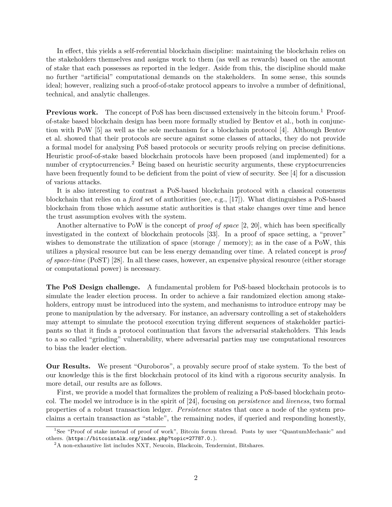In effect, this yields a self-referential blockchain discipline: maintaining the blockchain relies on the stakeholders themselves and assigns work to them (as well as rewards) based on the amount of stake that each possesses as reported in the ledger. Aside from this, the discipline should make no further "artificial" computational demands on the stakeholders. In some sense, this sounds ideal; however, realizing such a proof-of-stake protocol appears to involve a number of definitional, technical, and analytic challenges.

**Previous work.** The concept of PoS has been discussed extensively in the bitcoin forum.<sup>1</sup> Proofof-stake based blockchain design has been more formally studied by Bentov et al., both in conjunction with PoW [5] as well as the sole mechanism for a blockchain protocol [4]. Although Bentov et al. showed that their protocols are secure against some classes of attacks, they do not provide a formal model for analysing PoS based protocols or security proofs relying on precise definitions. Heuristic proof-of-stake based blockchain protocols have been proposed (and implemented) for a number of cryptocurrencies.<sup>2</sup> Being based on heuristic security arguments, these cryptocurrencies have been frequently found to be deficient from the point of view of security. See [4] for a discussion of various attacks.

It is also interesting to contrast a PoS-based blockchain protocol with a classical consensus blockchain that relies on a *fixed* set of authorities (see, e.g., [17]). What distinguishes a PoS-based blockchain from those which assume static authorities is that stake changes over time and hence the trust assumption evolves with the system.

Another alternative to PoW is the concept of *proof of space* [2, 20], which has been specifically investigated in the context of blockchain protocols [33]. In a proof of space setting, a "prover" wishes to demonstrate the utilization of space (storage / memory); as in the case of a PoW, this utilizes a physical resource but can be less energy demanding over time. A related concept is *proof of space-time* (PoST) [28]. In all these cases, however, an expensive physical resource (either storage or computational power) is necessary.

**The PoS Design challenge.** A fundamental problem for PoS-based blockchain protocols is to simulate the leader election process. In order to achieve a fair randomized election among stakeholders, entropy must be introduced into the system, and mechanisms to introduce entropy may be prone to manipulation by the adversary. For instance, an adversary controlling a set of stakeholders may attempt to simulate the protocol execution trying different sequences of stakeholder participants so that it finds a protocol continuation that favors the adversarial stakeholders. This leads to a so called "grinding" vulnerability, where adversarial parties may use computational resources to bias the leader election.

**Our Results.** We present "Ouroboros", a provably secure proof of stake system. To the best of our knowledge this is the first blockchain protocol of its kind with a rigorous security analysis. In more detail, our results are as follows.

First, we provide a model that formalizes the problem of realizing a PoS-based blockchain protocol. The model we introduce is in the spirit of [24], focusing on *persistence* and *liveness*, two formal properties of a robust transaction ledger. *Persistence* states that once a node of the system proclaims a certain transaction as "stable", the remaining nodes, if queried and responding honestly,

<sup>&</sup>lt;sup>1</sup>See "Proof of stake instead of proof of work", Bitcoin forum thread. Posts by user "QuantumMechanic" and others. (https://bitcointalk.org/index.php?topic=27787.0.).

<sup>&</sup>lt;sup>2</sup>A non-exhaustive list includes NXT, Neucoin, Blackcoin, Tendermint, Bitshares.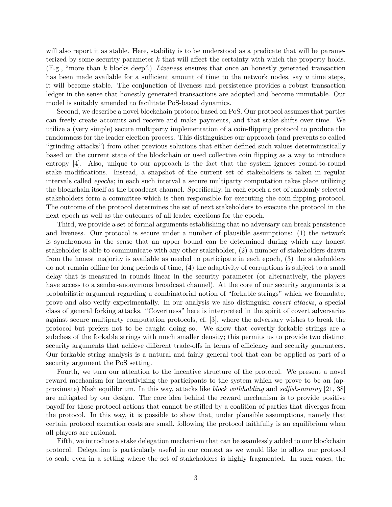will also report it as stable. Here, stability is to be understood as a predicate that will be parameterized by some security parameter *k* that will affect the certainty with which the property holds. (E.g., "more than *k* blocks deep".) *Liveness* ensures that once an honestly generated transaction has been made available for a sufficient amount of time to the network nodes, say *u* time steps, it will become stable. The conjunction of liveness and persistence provides a robust transaction ledger in the sense that honestly generated transactions are adopted and become immutable. Our model is suitably amended to facilitate PoS-based dynamics.

Second, we describe a novel blockchain protocol based on PoS. Our protocol assumes that parties can freely create accounts and receive and make payments, and that stake shifts over time. We utilize a (very simple) secure multiparty implementation of a coin-flipping protocol to produce the randomness for the leader election process. This distinguishes our approach (and prevents so called "grinding attacks") from other previous solutions that either defined such values deterministically based on the current state of the blockchain or used collective coin flipping as a way to introduce entropy [4]. Also, unique to our approach is the fact that the system ignores round-to-round stake modifications. Instead, a snapshot of the current set of stakeholders is taken in regular intervals called *epochs*; in each such interval a secure multiparty computation takes place utilizing the blockchain itself as the broadcast channel. Specifically, in each epoch a set of randomly selected stakeholders form a committee which is then responsible for executing the coin-flipping protocol. The outcome of the protocol determines the set of next stakeholders to execute the protocol in the next epoch as well as the outcomes of all leader elections for the epoch.

Third, we provide a set of formal arguments establishing that no adversary can break persistence and liveness. Our protocol is secure under a number of plausible assumptions: (1) the network is synchronous in the sense that an upper bound can be determined during which any honest stakeholder is able to communicate with any other stakeholder, (2) a number of stakeholders drawn from the honest majority is available as needed to participate in each epoch, (3) the stakeholders do not remain offline for long periods of time, (4) the adaptivity of corruptions is subject to a small delay that is measured in rounds linear in the security parameter (or alternatively, the players have access to a sender-anonymous broadcast channel). At the core of our security arguments is a probabilistic argument regarding a combinatorial notion of "forkable strings" which we formulate, prove and also verify experimentally. In our analysis we also distinguish *covert attacks*, a special class of general forking attacks. "Covertness" here is interpreted in the spirit of covert adversaries against secure multiparty computation protocols, cf. [3], where the adversary wishes to break the protocol but prefers not to be caught doing so. We show that covertly forkable strings are a subclass of the forkable strings with much smaller density; this permits us to provide two distinct security arguments that achieve different trade-offs in terms of efficiency and security guarantees. Our forkable string analysis is a natural and fairly general tool that can be applied as part of a security argument the PoS setting.

Fourth, we turn our attention to the incentive structure of the protocol. We present a novel reward mechanism for incentivizing the participants to the system which we prove to be an (approximate) Nash equilibrium. In this way, attacks like *block withholding* and *selfish-mining* [21, 38] are mitigated by our design. The core idea behind the reward mechanism is to provide positive payoff for those protocol actions that cannot be stifled by a coalition of parties that diverges from the protocol. In this way, it is possible to show that, under plausible assumptions, namely that certain protocol execution costs are small, following the protocol faithfully is an equilibrium when all players are rational.

Fifth, we introduce a stake delegation mechanism that can be seamlessly added to our blockchain protocol. Delegation is particularly useful in our context as we would like to allow our protocol to scale even in a setting where the set of stakeholders is highly fragmented. In such cases, the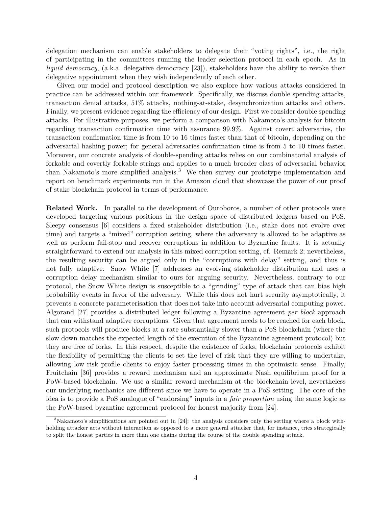delegation mechanism can enable stakeholders to delegate their "voting rights", i.e., the right of participating in the committees running the leader selection protocol in each epoch. As in *liquid democracy*, (a.k.a. delegative democracy [23]), stakeholders have the ability to revoke their delegative appointment when they wish independently of each other.

Given our model and protocol description we also explore how various attacks considered in practice can be addressed within our framework. Specifically, we discuss double spending attacks, transaction denial attacks, 51% attacks, nothing-at-stake, desynchronization attacks and others. Finally, we present evidence regarding the efficiency of our design. First we consider double spending attacks. For illustrative purposes, we perform a comparison with Nakamoto's analysis for bitcoin regarding transaction confirmation time with assurance 99*.*9%. Against covert adversaries, the transaction confirmation time is from 10 to 16 times faster than that of bitcoin, depending on the adversarial hashing power; for general adversaries confirmation time is from 5 to 10 times faster. Moreover, our concrete analysis of double-spending attacks relies on our combinatorial analysis of forkable and covertly forkable strings and applies to a much broader class of adversarial behavior than Nakamoto's more simplified analysis.<sup>3</sup> We then survey our prototype implementation and report on benchmark experiments run in the Amazon cloud that showcase the power of our proof of stake blockchain protocol in terms of performance.

**Related Work.** In parallel to the development of Ouroboros, a number of other protocols were developed targeting various positions in the design space of distributed ledgers based on PoS. Sleepy consensus [6] considers a fixed stakeholder distribution (i.e., stake does not evolve over time) and targets a "mixed" corruption setting, where the adversary is allowed to be adaptive as well as perform fail-stop and recover corruptions in addition to Byzantine faults. It is actually straightforward to extend our analysis in this mixed corruption setting, cf. Remark 2; nevertheless, the resulting security can be argued only in the "corruptions with delay" setting, and thus is not fully adaptive. Snow White [7] addresses an evolving stakeholder distribution and uses a corruption delay mechanism similar to ours for arguing security. Nevertheless, contrary to our protocol, the Snow White design is susceptible to a "grinding" type of attack that can bias high probability events in favor of the adversary. While this does not hurt security asymptotically, it prevents a concrete parameterisation that does not take into account adversarial computing power. Algorand [27] provides a distributed ledger following a Byzantine agreement *per block* approach that can withstand adaptive corruptions. Given that agreement needs to be reached for each block, such protocols will produce blocks at a rate substantially slower than a PoS blockchain (where the slow down matches the expected length of the execution of the Byzantine agreement protocol) but they are free of forks. In this respect, despite the existence of forks, blockchain protocols exhibit the flexibility of permitting the clients to set the level of risk that they are willing to undertake, allowing low risk profile clients to enjoy faster processing times in the optimistic sense. Finally, Fruitchain [36] provides a reward mechanism and an approximate Nash equilibrium proof for a PoW-based blockchain. We use a similar reward mechanism at the blockchain level, nevertheless our underlying mechanics are different since we have to operate in a PoS setting. The core of the idea is to provide a PoS analogue of "endorsing" inputs in a *fair proportion* using the same logic as the PoW-based byzantine agreement protocol for honest majority from [24].

<sup>3</sup>Nakamoto's simplifications are pointed out in [24]: the analysis considers only the setting where a block withholding attacker acts without interaction as opposed to a more general attacker that, for instance, tries strategically to split the honest parties in more than one chains during the course of the double spending attack.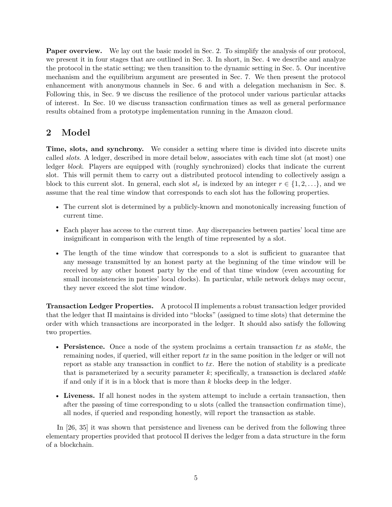**Paper overview.** We lay out the basic model in Sec. 2. To simplify the analysis of our protocol, we present it in four stages that are outlined in Sec. 3. In short, in Sec. 4 we describe and analyze the protocol in the static setting; we then transition to the dynamic setting in Sec. 5. Our incentive mechanism and the equilibrium argument are presented in Sec. 7. We then present the protocol enhancement with anonymous channels in Sec. 6 and with a delegation mechanism in Sec. 8. Following this, in Sec. 9 we discuss the resilience of the protocol under various particular attacks of interest. In Sec. 10 we discuss transaction confirmation times as well as general performance results obtained from a prototype implementation running in the Amazon cloud.

# **2 Model**

**Time, slots, and synchrony.** We consider a setting where time is divided into discrete units called *slots*. A ledger, described in more detail below, associates with each time slot (at most) one ledger *block*. Players are equipped with (roughly synchronized) clocks that indicate the current slot. This will permit them to carry out a distributed protocol intending to collectively assign a block to this current slot. In general, each slot  $sl_r$  is indexed by an integer  $r \in \{1, 2, \ldots\}$ , and we assume that the real time window that corresponds to each slot has the following properties.

- The current slot is determined by a publicly-known and monotonically increasing function of current time.
- Each player has access to the current time. Any discrepancies between parties' local time are insignificant in comparison with the length of time represented by a slot.
- The length of the time window that corresponds to a slot is sufficient to guarantee that any message transmitted by an honest party at the beginning of the time window will be received by any other honest party by the end of that time window (even accounting for small inconsistencies in parties' local clocks). In particular, while network delays may occur, they never exceed the slot time window.

**Transaction Ledger Properties.** A protocol Π implements a robust transaction ledger provided that the ledger that Π maintains is divided into "blocks" (assigned to time slots) that determine the order with which transactions are incorporated in the ledger. It should also satisfy the following two properties.

- **Persistence.** Once a node of the system proclaims a certain transaction *tx* as *stable*, the remaining nodes, if queried, will either report *tx* in the same position in the ledger or will not report as stable any transaction in conflict to *tx*. Here the notion of stability is a predicate that is parameterized by a security parameter *k*; specifically, a transaction is declared *stable* if and only if it is in a block that is more than *k* blocks deep in the ledger.
- Liveness. If all honest nodes in the system attempt to include a certain transaction, then after the passing of time corresponding to *u* slots (called the transaction confirmation time), all nodes, if queried and responding honestly, will report the transaction as stable.

In [26, 35] it was shown that persistence and liveness can be derived from the following three elementary properties provided that protocol  $\Pi$  derives the ledger from a data structure in the form of a blockchain.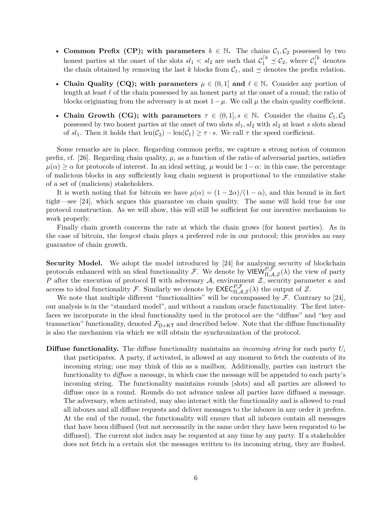- **Common Prefix (CP); with parameters**  $k \in \mathbb{N}$ . The chains  $C_1, C_2$  possessed by two honest parties at the onset of the slots  $sl_1 < sl_2$  are such that  $\mathcal{C}_1^{k} \preceq \mathcal{C}_2$ , where  $\mathcal{C}_1^{k}$  denotes the chain obtained by removing the last *k* blocks from  $C_1$ , and  $\preceq$  denotes the prefix relation.
- **Chain Quality (CQ); with parameters**  $\mu \in (0,1]$  and  $\ell \in \mathbb{N}$ . Consider any portion of length at least  $\ell$  of the chain possessed by an honest party at the onset of a round; the ratio of blocks originating from the adversary is at most  $1-\mu$ . We call  $\mu$  the chain quality coefficient.
- **Chain Growth (CG); with parameters**  $\tau \in (0,1], s \in \mathbb{N}$ . Consider the chains  $\mathcal{C}_1, \mathcal{C}_2$ possessed by two honest parties at the onset of two slots *sl*1*, sl*<sup>2</sup> with *sl*<sup>2</sup> at least *s* slots ahead of  $sl_1$ . Then it holds that  $\text{len}(\mathcal{C}_2) - \text{len}(\mathcal{C}_1) \geq \tau \cdot s$ . We call  $\tau$  the speed coefficient.

Some remarks are in place. Regarding common prefix, we capture a strong notion of common prefix, cf. [26]. Regarding chain quality, *µ*, as a function of the ratio of adversarial parties, satisfies  $\mu(\alpha) \geq \alpha$  for protocols of interest. In an ideal setting,  $\mu$  would be  $1-\alpha$ : in this case, the percentage of malicious blocks in any sufficiently long chain segment is proportional to the cumulative stake of a set of (malicious) stakeholders.

It is worth noting that for bitcoin we have  $\mu(\alpha) = (1 - 2\alpha)/(1 - \alpha)$ , and this bound is in fact tight—see [24], which argues this guarantee on chain quality. The same will hold true for our protocol construction. As we will show, this will still be sufficient for our incentive mechanism to work properly.

Finally chain growth concerns the rate at which the chain grows (for honest parties). As in the case of bitcoin, the *longest* chain plays a preferred role in our protocol; this provides an easy guarantee of chain growth.

**Security Model.** We adopt the model introduced by [24] for analysing security of blockchain protocols enhanced with an ideal functionality F. We denote by  $VIEW_{\Pi,\mathcal{A},\mathcal{Z}}^{P,\mathcal{F}}(\lambda)$  the view of party *P* after the execution of protocol Π with adversary A, environment Z, security parameter *κ* and access to ideal functionality F. Similarly we denote by  $\mathsf{EXEC}_{\Pi,\mathcal{A},\mathcal{Z}}^{P,\mathcal{F}}(\lambda)$  the output of  $\mathcal{Z}$ .

We note that multiple different "functionalities" will be encompassed by  $\mathcal{F}$ . Contrary to [24], our analysis is in the "standard model", and without a random oracle functionality. The first interfaces we incorporate in the ideal functionality used in the protocol are the "diffuse" and "key and transaction" functionality, denoted  $\mathcal{F}_{D+K\mathsf{T}}$  and described below. Note that the diffuse functionality is also the mechanism via which we will obtain the synchronization of the protocol.

**Diffuse functionality.** The diffuse functionality maintains an *incoming string* for each party *U<sup>i</sup>* that participates. A party, if activated, is allowed at any moment to fetch the contents of its incoming string; one may think of this as a mailbox. Additionally, parties can instruct the functionality to *diffuse* a message, in which case the message will be appended to each party's incoming string. The functionality maintains rounds (slots) and all parties are allowed to diffuse once in a round. Rounds do not advance unless all parties have diffused a message. The adversary, when activated, may also interact with the functionality and is allowed to read all inboxes and all diffuse requests and deliver messages to the inboxes in any order it prefers. At the end of the round, the functionality will ensure that all inboxes contain all messages that have been diffused (but not necessarily in the same order they have been requested to be diffused). The current slot index may be requested at any time by any party. If a stakeholder does not fetch in a certain slot the messages written to its incoming string, they are flushed.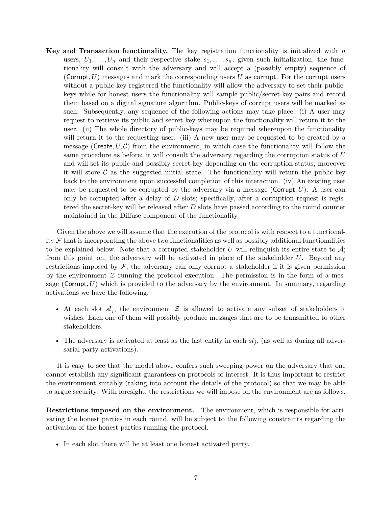**Key and Transaction functionality.** The key registration functionality is initialized with *n* users,  $U_1, \ldots, U_n$  and their respective stake  $s_1, \ldots, s_n$ ; given such initialization, the functionality will consult with the adversary and will accept a (possibly empty) sequence of (Corrupt*, U*) messages and mark the corresponding users *U* as corrupt. For the corrupt users without a public-key registered the functionality will allow the adversary to set their publickeys while for honest users the functionality will sample public/secret-key pairs and record them based on a digital signature algorithm. Public-keys of corrupt users will be marked as such. Subsequently, any sequence of the following actions may take place: (i) A user may request to retrieve its public and secret-key whereupon the functionality will return it to the user. (ii) The whole directory of public-keys may be required whereupon the functionality will return it to the requesting user. (iii) A new user may be requested to be created by a message (Create,  $U, C$ ) from the environment, in which case the functionality will follow the same procedure as before: it will consult the adversary regarding the corruption status of *U* and will set its public and possibly secret-key depending on the corruption status; moreover it will store  $\mathcal C$  as the suggested initial state. The functionality will return the public-key back to the environment upon successful completion of this interaction. (iv) An existing user may be requested to be corrupted by the adversary via a message ( $\text{Corrupt}, U$ ). A user can only be corrupted after a delay of *D* slots; specifically, after a corruption request is registered the secret-key will be released after *D* slots have passed according to the round counter maintained in the Diffuse component of the functionality.

Given the above we will assume that the execution of the protocol is with respect to a functionality  $\mathcal F$  that is incorporating the above two functionalities as well as possibly additional functionalities to be explained below. Note that a corrupted stakeholder U will relinquish its entire state to  $\mathcal{A}$ ; from this point on, the adversary will be activated in place of the stakeholder *U*. Beyond any restrictions imposed by  $\mathcal{F}$ , the adversary can only corrupt a stakeholder if it is given permission by the environment  $\mathcal Z$  running the protocol execution. The permission is in the form of a message (Corrupt*, U*) which is provided to the adversary by the environment. In summary, regarding activations we have the following.

- At each slot  $sl_j$ , the environment  $\mathcal Z$  is allowed to activate any subset of stakeholders it wishes. Each one of them will possibly produce messages that are to be transmitted to other stakeholders.
- The adversary is activated at least as the last entity in each  $sl_j$ , (as well as during all adversarial party activations).

It is easy to see that the model above confers such sweeping power on the adversary that one cannot establish any significant guarantees on protocols of interest. It is thus important to restrict the environment suitably (taking into account the details of the protocol) so that we may be able to argue security. With foresight, the restrictions we will impose on the environment are as follows.

**Restrictions imposed on the environment.** The environment, which is responsible for activating the honest parties in each round, will be subject to the following constraints regarding the activation of the honest parties running the protocol.

• In each slot there will be at least one honest activated party.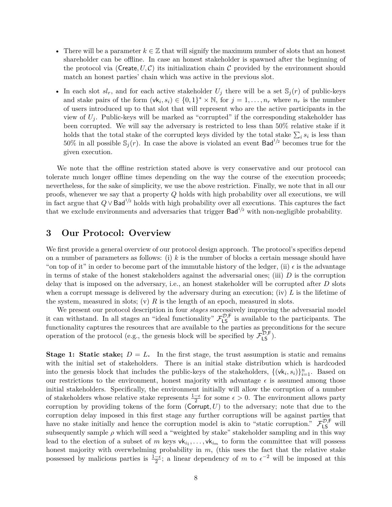- There will be a parameter  $k \in \mathbb{Z}$  that will signify the maximum number of slots that an honest shareholder can be offline. In case an honest stakeholder is spawned after the beginning of the protocol via (Create,  $U, C$ ) its initialization chain C provided by the environment should match an honest parties' chain which was active in the previous slot.
- In each slot  $sl_r$ , and for each active stakeholder  $U_j$  there will be a set  $\mathbb{S}_j(r)$  of public-keys and stake pairs of the form  $(vk_i, s_i) \in \{0,1\}^* \times \mathbb{N}$ , for  $j = 1, \ldots, n_r$  where  $n_r$  is the number of users introduced up to that slot that will represent who are the active participants in the view of  $U_i$ . Public-keys will be marked as "corrupted" if the corresponding stakeholder has been corrupted. We will say the adversary is restricted to less than 50% relative stake if it holds that the total stake of the corrupted keys divided by the total stake  $\sum_i s_i$  is less than 50% in all possible  $\mathbb{S}_i(r)$ . In case the above is violated an event Bad<sup>1/2</sup> becomes true for the given execution.

We note that the offline restriction stated above is very conservative and our protocol can tolerate much longer offline times depending on the way the course of the execution proceeds; nevertheless, for the sake of simplicity, we use the above restriction. Finally, we note that in all our proofs, whenever we say that a property *Q* holds with high probability over all executions, we will in fact argue that  $Q \vee$ Bad<sup>1/2</sup> holds with high probability over all executions. This captures the fact that we exclude environments and adversaries that trigger Bad<sup>1/2</sup> with non-negligible probability.

# **3 Our Protocol: Overview**

We first provide a general overview of our protocol design approach. The protocol's specifics depend on a number of parameters as follows: (i) *k* is the number of blocks a certain message should have "on top of it" in order to become part of the immutable history of the ledger, (ii)  $\epsilon$  is the advantage in terms of stake of the honest stakeholders against the adversarial ones; (iii)  $D$  is the corruption delay that is imposed on the adversary, i.e., an honest stakeholder will be corrupted after *D* slots when a corrupt message is delivered by the adversary during an execution; (iv) *L* is the lifetime of the system, measured in slots;  $(v)$  *R* is the length of an epoch, measured in slots.

We present our protocol description in four *stages* successively improving the adversarial model it can withstand. In all stages an "ideal functionality"  $\mathcal{F}_{LS}^{\mathcal{D},F}$  is available to the participants. The functionality captures the resources that are available to the parties as preconditions for the secure operation of the protocol (e.g., the genesis block will be specified by  $\mathcal{F}_{LS}^{\mathcal{D},F}$ ).

**Stage 1: Static stake;**  $D = L$ . In the first stage, the trust assumption is static and remains with the initial set of stakeholders. There is an initial stake distribution which is hardcoded into the genesis block that includes the public-keys of the stakeholders,  $\{(\mathsf{vk}_i, s_i)\}_{i=1}^n$ . Based on our restrictions to the environment, honest majority with advantage  $\epsilon$  is assumed among those initial stakeholders. Specifically, the environment initially will allow the corruption of a number of stakeholders whose relative stake represents  $\frac{1-\epsilon}{2}$  for some  $\epsilon > 0$ . The environment allows party corruption by providing tokens of the form (Corrupt*, U*) to the adversary; note that due to the corruption delay imposed in this first stage any further corruptions will be against parties that have no stake initially and hence the corruption model is akin to "static corruption."  $\mathcal{F}_{LS}^{\mathcal{D},F}$  will subsequently sample  $\rho$  which will seed a "weighted by stake" stakeholder sampling and in this way lead to the election of a subset of *m* keys  $vk_{i_1}, \ldots, vk_{i_m}$  to form the committee that will possess honest majority with overwhelming probability in *m*, (this uses the fact that the relative stake possessed by malicious parties is  $\frac{1-\epsilon}{2}$ ; a linear dependency of *m* to  $\epsilon^{-2}$  will be imposed at this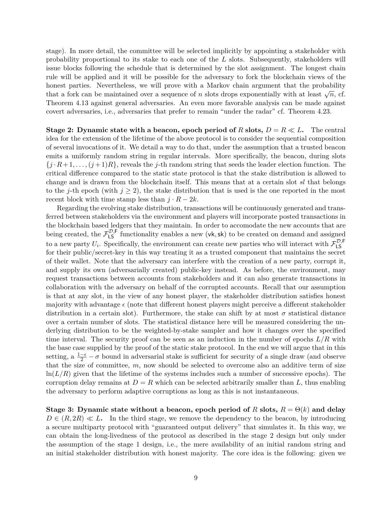stage). In more detail, the committee will be selected implicitly by appointing a stakeholder with probability proportional to its stake to each one of the *L* slots. Subsequently, stakeholders will issue blocks following the schedule that is determined by the slot assignment. The longest chain rule will be applied and it will be possible for the adversary to fork the blockchain views of the honest parties. Nevertheless, we will prove with a Markov chain argument that the probability that a fork can be maintained over a sequence of *n* slots drops exponentially with at least  $\sqrt{n}$ , cf. Theorem 4.13 against general adversaries. An even more favorable analysis can be made against covert adversaries, i.e., adversaries that prefer to remain "under the radar" cf. Theorem 4.23.

**Stage 2:** Dynamic state with a beacon, epoch period of *R* slots,  $D = R \ll L$ . The central idea for the extension of the lifetime of the above protocol is to consider the sequential composition of several invocations of it. We detail a way to do that, under the assumption that a trusted beacon emits a uniformly random string in regular intervals. More specifically, the beacon, during slots  ${j \cdot R+1, \ldots, (j+1)R}$ , reveals the *j*-th random string that seeds the leader election function. The critical difference compared to the static state protocol is that the stake distribution is allowed to change and is drawn from the blockchain itself. This means that at a certain slot *sl* that belongs to the *j*-th epoch (with  $j \geq 2$ ), the stake distribution that is used is the one reported in the most recent block with time stamp less than  $j \cdot R - 2k$ .

Regarding the evolving stake distribution, transactions will be continuously generated and transferred between stakeholders via the environment and players will incorporate posted transactions in the blockchain based ledgers that they maintain. In order to accomodate the new accounts that are being created, the  $\mathcal{F}_{LS}^{\mathcal{D},\mathsf{F}}$  functionality enables a new (vk, sk) to be created on demand and assigned to a new party  $U_i$ . Specifically, the environment can create new parties who will interact with  $\mathcal{F}_{LS}^{\mathcal{D},\mathsf{F}}$ LS for their public/secret-key in this way treating it as a trusted component that maintains the secret of their wallet. Note that the adversary can interfere with the creation of a new party, corrupt it, and supply its own (adversarially created) public-key instead. As before, the environment, may request transactions between accounts from stakeholders and it can also generate transactions in collaboration with the adversary on behalf of the corrupted accounts. Recall that our assumption is that at any slot, in the view of any honest player, the stakeholder distribution satisfies honest majority with advantage  $\epsilon$  (note that different honest players might perceive a different stakeholder distribution in a certain slot). Furthermore, the stake can shift by at most  $\sigma$  statistical distance over a certain number of slots. The statistical distance here will be measured considering the underlying distribution to be the weighted-by-stake sampler and how it changes over the specified time interval. The security proof can be seen as an induction in the number of epochs *L/R* with the base case supplied by the proof of the static stake protocol. In the end we will argue that in this setting, a  $\frac{1-\epsilon}{2} - \sigma$  bound in adversarial stake is sufficient for security of a single draw (and observe that the size of committee, *m*, now should be selected to overcome also an additive term of size  $ln(L/R)$  given that the lifetime of the systems includes such a number of successive epochs). The corruption delay remains at  $D = R$  which can be selected arbitrarily smaller than L, thus enabling the adversary to perform adaptive corruptions as long as this is not instantaneous.

**Stage 3:** Dynamic state without a beacon, epoch period of *R* slots,  $R = \Theta(k)$  and delay  $D \in (R, 2R) \ll L$ . In the third stage, we remove the dependency to the beacon, by introducing a secure multiparty protocol with "guaranteed output delivery" that simulates it. In this way, we can obtain the long-livedness of the protocol as described in the stage 2 design but only under the assumption of the stage 1 design, i.e., the mere availability of an initial random string and an initial stakeholder distribution with honest majority. The core idea is the following: given we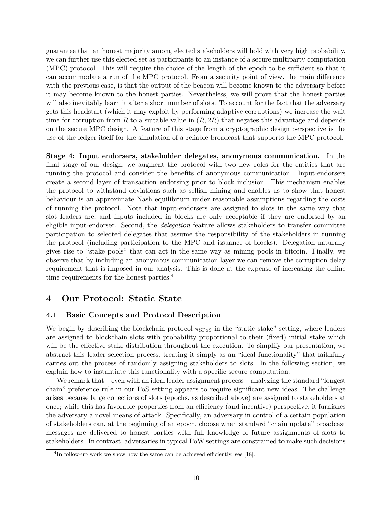guarantee that an honest majority among elected stakeholders will hold with very high probability, we can further use this elected set as participants to an instance of a secure multiparty computation (MPC) protocol. This will require the choice of the length of the epoch to be sufficient so that it can accommodate a run of the MPC protocol. From a security point of view, the main difference with the previous case, is that the output of the beacon will become known to the adversary before it may become known to the honest parties. Nevertheless, we will prove that the honest parties will also inevitably learn it after a short number of slots. To account for the fact that the adversary gets this headstart (which it may exploit by performing adaptive corruptions) we increase the wait time for corruption from *R* to a suitable value in  $(R, 2R)$  that negates this advantage and depends on the secure MPC design. A feature of this stage from a cryptographic design perspective is the use of the ledger itself for the simulation of a reliable broadcast that supports the MPC protocol.

**Stage 4: Input endorsers, stakeholder delegates, anonymous communication.** In the final stage of our design, we augment the protocol with two new roles for the entities that are running the protocol and consider the benefits of anonymous communication. Input-endorsers create a second layer of transaction endorsing prior to block inclusion. This mechanism enables the protocol to withstand deviations such as selfish mining and enables us to show that honest behaviour is an approximate Nash equilibrium under reasonable assumptions regarding the costs of running the protocol. Note that input-endorsers are assigned to slots in the same way that slot leaders are, and inputs included in blocks are only acceptable if they are endorsed by an eligible input-endorser. Second, the *delegation* feature allows stakeholders to transfer committee participation to selected delegates that assume the responsibility of the stakeholders in running the protocol (including participation to the MPC and issuance of blocks). Delegation naturally gives rise to "stake pools" that can act in the same way as mining pools in bitcoin. Finally, we observe that by including an anonymous communication layer we can remove the corruption delay requirement that is imposed in our analysis. This is done at the expense of increasing the online time requirements for the honest parties.<sup>4</sup>

# **4 Our Protocol: Static State**

# **4.1 Basic Concepts and Protocol Description**

We begin by describing the blockchain protocol  $\pi_{\text{SPos}}$  in the "static stake" setting, where leaders are assigned to blockchain slots with probability proportional to their (fixed) initial stake which will be the effective stake distribution throughout the execution. To simplify our presentation, we abstract this leader selection process, treating it simply as an "ideal functionality" that faithfully carries out the process of randomly assigning stakeholders to slots. In the following section, we explain how to instantiate this functionality with a specific secure computation.

We remark that—even with an ideal leader assignment process—analyzing the standard "longest chain" preference rule in our PoS setting appears to require significant new ideas. The challenge arises because large collections of slots (epochs, as described above) are assigned to stakeholders at once; while this has favorable properties from an efficiency (and incentive) perspective, it furnishes the adversary a novel means of attack. Specifically, an adversary in control of a certain population of stakeholders can, at the beginning of an epoch, choose when standard "chain update" broadcast messages are delivered to honest parties with full knowledge of future assignments of slots to stakeholders. In contrast, adversaries in typical PoW settings are constrained to make such decisions

<sup>&</sup>lt;sup>4</sup>In follow-up work we show how the same can be achieved efficiently, see [18].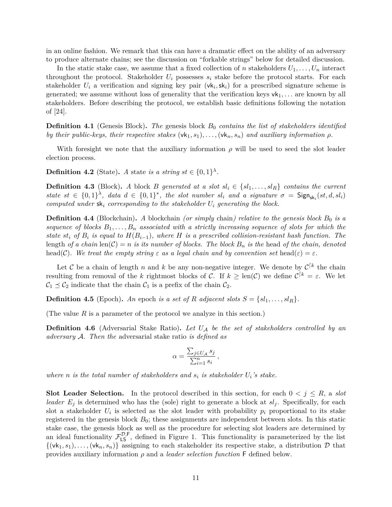in an online fashion. We remark that this can have a dramatic effect on the ability of an adversary to produce alternate chains; see the discussion on "forkable strings" below for detailed discussion.

In the static stake case, we assume that a fixed collection of *n* stakeholders  $U_1, \ldots, U_n$  interact throughout the protocol. Stakeholder  $U_i$  possesses  $s_i$  stake before the protocol starts. For each stakeholder  $U_i$  a verification and signing key pair  $(\mathsf{vk}_i, \mathsf{sk}_i)$  for a prescribed signature scheme is generated; we assume without loss of generality that the verification keys vk1*, . . .* are known by all stakeholders. Before describing the protocol, we establish basic definitions following the notation of [24].

**Definition 4.1** (Genesis Block)**.** *The* genesis block *B*<sup>0</sup> *contains the list of stakeholders identified by their public-keys, their respective stakes*  $(vk_1, s_1), \ldots, (vk_n, s_n)$  *and auxiliary information*  $\rho$ *.* 

With foresight we note that the auxiliary information  $\rho$  will be used to seed the slot leader election process.

**Definition 4.2** (State). *A* state *is a string st*  $\in \{0,1\}^{\lambda}$ .

**Definition 4.3** (Block). *A* block *B* generated at a slot  $sl_i \in \{sl_1, \ldots, sl_R\}$  contains the current *state*  $st \in \{0,1\}^{\lambda}$ , data  $d \in \{0,1\}^*$ , the slot number  $sl_i$  and a signature  $\sigma = \mathsf{Sign}_{sk_i}(st, d, sl_i)$ *computed under* sk*<sup>i</sup> corresponding to the stakeholder U<sup>i</sup> generating the block.*

**Definition 4.4** (Blockchain)**.** *A* blockchain *(or simply* chain*) relative to the genesis block B*<sup>0</sup> *is a sequence of blocks*  $B_1, \ldots, B_n$  *associated with a strictly increasing sequence of slots for which the state*  $st_i$  *of*  $B_i$  *is equal to*  $H(B_{i-1})$ *, where*  $H$  *is a prescribed collision-resistant hash function. The* length *of a chain* len( $C$ ) = *n is its number of blocks. The block*  $B_n$  *is the* head *of the chain, denoted* head(C). We treat the empty string  $\varepsilon$  as a legal chain and by convention set head( $\varepsilon$ ) =  $\varepsilon$ .

Let C be a chain of length *n* and k be any non-negative integer. We denote by  $\mathcal{C}^{\lceil k \rceil}$  the chain resulting from removal of the *k* rightmost blocks of C. If  $k \geq \text{len}(\mathcal{C})$  we define  $\mathcal{C}^{\lceil k \rceil} = \varepsilon$ . We let  $C_1 \preceq C_2$  indicate that the chain  $C_1$  is a prefix of the chain  $C_2$ .

**Definition 4.5** (Epoch). An epoch *is a set of R adjacent slots*  $S = \{sl_1, \ldots, sl_R\}$ .

(The value *R* is a parameter of the protocol we analyze in this section.)

**Definition 4.6** (Adversarial Stake Ratio)**.** *Let U*<sup>A</sup> *be the set of stakeholders controlled by an adversary* A*. Then the* adversarial stake ratio *is defined as*

$$
\alpha = \frac{\sum_{j \in U_{\mathcal{A}} S_j}}{\sum_{i=1}^n s_i},
$$

*where n is the total number of stakeholders and s<sup>i</sup> is stakeholder Ui's stake.*

**Slot Leader Selection.** In the protocol described in this section, for each  $0 < j \leq R$ , a *slot leader*  $E_j$  is determined who has the (sole) right to generate a block at  $sl_j$ . Specifically, for each slot a stakeholder  $U_i$  is selected as the slot leader with probability  $p_i$  proportional to its stake registered in the genesis block *B*0; these assignments are independent between slots. In this static stake case, the genesis block as well as the procedure for selecting slot leaders are determined by an ideal functionality  $\mathcal{F}_{LS}^{\mathcal{D},F}$ , defined in Figure 1. This functionality is parameterized by the list  $\{(vk_1, s_1), \ldots, (vk_n, s_n)\}\$  assigning to each stakeholder its respective stake, a distribution D that provides auxiliary information *ρ* and a *leader selection function* F defined below.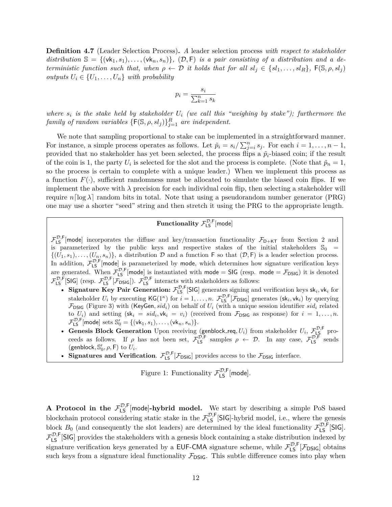**Definition 4.7** (Leader Selection Process)**.** *A* leader selection process *with respect to stakeholder* distribution  $\mathbb{S} = \{(\mathsf{vk}_1, s_1), \ldots, (\mathsf{vk}_n, s_n)\}, (\mathcal{D}, \mathsf{F})$  is a pair consisting of a distribution and a de*terministic function such that, when*  $\rho \leftarrow \mathcal{D}$  *it holds that for all*  $sl_j \in \{sl_1, \ldots, sl_R\}$ ,  $\mathsf{F}(\mathbb{S}, \rho, sl_j)$ *outputs*  $U_i \in \{U_1, \ldots, U_n\}$  *with probability* 

$$
p_i = \frac{s_i}{\sum_{k=1}^n s_k}
$$

*where*  $s_i$  *is the stake held by stakeholder*  $U_i$  (we call this "weighing by stake"); furthermore the *family of random variables*  $\{\mathsf{F}(\mathbb{S}, \rho, sl_j)\}_{j=1}^R$  *are independent.* 

We note that sampling proportional to stake can be implemented in a straightforward manner. For instance, a simple process operates as follows. Let  $\tilde{p}_i = s_i / \sum_{j=i}^n s_j$ . For each  $i = 1, \ldots, n-1$ , provided that no stakeholder has yet been selected, the process flips a  $\tilde{p}_i$ -biased coin; if the result of the coin is 1, the party  $U_i$  is selected for the slot and the process is complete. (Note that  $\tilde{p}_n = 1$ , so the process is certain to complete with a unique leader.) When we implement this process as a function  $F(\cdot)$ , sufficient randomness must be allocated to simulate the biased coin flips. If we implement the above with  $\lambda$  precision for each individual coin flip, then selecting a stakeholder will require  $n\lceil \log \lambda \rceil$  random bits in total. Note that using a pseudorandom number generator (PRG) one may use a shorter "seed" string and then stretch it using the PRG to the appropriate length.

# $\operatorname{Functionality} \mathcal{F}_{\textsf{LS}}^{\mathcal{D},\textsf{F}}[\textsf{mode}]$

 $\mathcal{F}_{LS}^{\mathcal{D},F}$  [mode] incorporates the diffuse and key/transaction functionality  $\mathcal{F}_{D+K}$  from Section 2 and is parameterized by the public keys and respective stakes of the initial stakeholders  $\mathbb{S}_0$  $\{(U_1, s_1), \ldots, (U_n, s_n)\}\$ , a distribution D and a function F so that  $(D, \mathsf{F})$  is a leader selection process. In addition,  $\mathcal{F}_{LS}^{\mathcal{D},F}$  [mode] is parameterized by mode, which determines how signature verification keys are generated. When  $\mathcal{F}_{LS}^{\mathcal{D},F}$  [mode] is instantiated with mode = SIG (resp. mode =  $\mathcal{F}_{DSIG}$ ) it is denoted  $\mathcal{F}_{LS}^{\mathcal{D},\mathsf{F}}[\mathsf{SIG}]$  (resp.  $\mathcal{F}_{LS}^{\mathcal{D},\mathsf{F}}[\mathcal{F}_{\mathsf{DSIG}}]$ ).  $\mathcal{F}_{LS}^{\mathcal{D},\mathsf{F}}$  interacts with stakeholders as follows:

- **Signature Key Pair Generation:**  $\mathcal{F}_{LS}^{\mathcal{D},F}$  [SIG] generates signing and verification keys  $sk_i, vk_i$  for stakeholder  $U_i$  by executing  $\mathsf{KG}(1^{\kappa})$  for  $i = 1, \ldots, n$ .  $\mathcal{F}_{\mathsf{LS}}^{\mathcal{D},\mathsf{F}}[\mathcal{F}_{\mathsf{DSIG}}]$  generates  $(\mathsf{sk}_i, \mathsf{vk}_i)$  by querying  $\mathcal{F}_{\text{DSIG}}$  (Figure 3) with (KeyGen,  $sid_i$ ) on behalf of  $U_i$  (with a unique session identifier  $sid_i$  related to  $U_i$  and setting  $(\mathsf{sk}_i = \mathit{sid}_i, \mathsf{vk}_i = v_i)$  (received from  $\mathcal{F}_{\mathsf{DSIG}}$  as response) for  $i = 1, \ldots, n$ .  $\mathcal{F}_{\textsf{LS}}^{\mathcal{D},\textsf{F}}[\textsf{mode}] \text{ sets } \mathbb{S}'_0 = \{(\textsf{vk}_1,s_1),\ldots,(\textsf{vk}_n,s_n)\}.$
- Genesis Block Generation Upon receiving (genblock req,  $U_i$ ) from stakeholder  $U_i$ ,  $\mathcal{F}_{LS}^{\mathcal{D},F}$  proceeds as follows. If  $\rho$  has not been set,  $\mathcal{F}_{LS}^{\mathcal{D},F}$  samples  $\rho \leftarrow \mathcal{D}$ . In any case,  $\mathcal{F}_{LS}^{\mathcal{D},F}$  sends (replace  $\mathbb{S}'$ ,  $\rho \in \mathcal{D}$  to  $U$ .  $(\textsf{genblock}, \mathbb{S}'_0, \rho, \mathsf{F})$  to  $U_i$ .
- **Signatures and Verification**.  $\mathcal{F}_{LS}^{\mathcal{D},F}[\mathcal{F}_{DSIG}]$  provides access to the  $\mathcal{F}_{DSIG}$  interface.

Figure 1: Functionality  $\mathcal{F}_{\textsf{LS}}^{\mathcal{D},\textsf{F}}$  [mode].

**A Protocol in the**  $\mathcal{F}_{LS}^{\mathcal{D},F}$  **[mode]-hybrid model. We start by describing a simple PoS based** blockchain protocol considering static stake in the  $\mathcal{F}_{LS}^{\mathcal{D},F}$  [SIG]-hybrid model, i.e., where the genesis block  $B_0$  (and consequently the slot leaders) are determined by the ideal functionality  $\mathcal{F}_{LS}^{\mathcal{D},\mathsf{F}}$  [SIG].  $\mathcal{F}_{LS}^{\mathcal{D},F}$ [SIG] provides the stakeholders with a genesis block containing a stake distribution indexed by signature verification keys generated by a  $EUF-CMA$  signature scheme, while  $\mathcal{F}_{LS}^{\mathcal{D},F}[\mathcal{F}_{DSIG}]$  obtains such keys from a signature ideal functionality  $\mathcal{F}_{DSIG}$ . This subtle difference comes into play when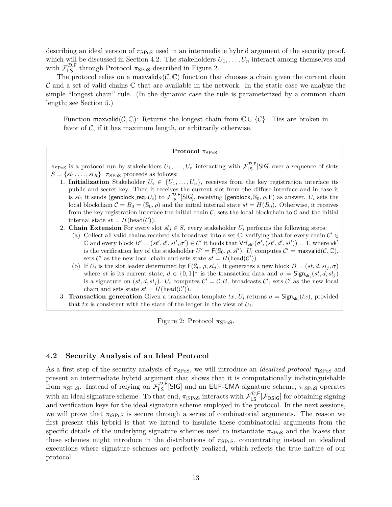describing an ideal version of  $\pi_{\text{SPos}}$  used in an intermediate hybrid argument of the security proof, which will be discussed in Section 4.2. The stakeholders  $U_1, \ldots, U_n$  interact among themselves and with  $\mathcal{F}_{LS}^{\mathcal{D},\mathsf{F}}$  through Protocol  $\pi_{SPoS}$  described in Figure 2.

The protocol relies on a maxvalid<sub>S</sub>( $\mathcal{C}, \mathbb{C}$ ) function that chooses a chain given the current chain  $\mathcal C$  and a set of valid chains  $\mathbb C$  that are available in the network. In the static case we analyze the simple "longest chain" rule. (In the dynamic case the rule is parameterized by a common chain length; see Section 5.)

Function maxvalid( $\mathcal{C}, \mathbb{C}$ ): Returns the longest chain from  $\mathbb{C} \cup \{\mathcal{C}\}\$ . Ties are broken in favor of  $\mathcal{C}$ , if it has maximum length, or arbitrarily otherwise.

## **Protocol**  $\pi$ <sub>SPoS</sub>

 $\pi_{\text{SPos}}$  is a protocol run by stakeholders  $U_1, \ldots, U_n$  interacting with  $\mathcal{F}_{\text{LS}}^{\mathcal{D},\text{F}}[\text{SIG}]$  over a sequence of slots  $S = \{sl_1, \ldots, sl_R\}$ .  $\pi_{\text{SPos}}$  proceeds as follows:

- 1. **Initialization** Stakeholder  $U_i \in \{U_1, \ldots, U_n\}$ , receives from the key registration interface its public and secret key. Then it receives the current slot from the diffuse interface and in case it is  $sl_1$  it sends (genblock\_req,  $U_i$ ) to  $\mathcal{F}_{\textsf{LS}}^{\mathcal{D},\textsf{F}}[\textsf{SIG}]$ , receiving (genblock,  $\mathbb{S}_0,\rho,\textsf{F})$  as answer.  $U_i$  sets the local blockchain  $C = B_0 = (\mathbb{S}_0, \rho)$  and the initial internal state  $st = H(B_0)$ . Otherwise, it receives from the key registration interface the initial chain  $C$ , sets the local blockchain to  $C$  and the initial internal state  $st = H(\text{head}(\mathcal{C}))$ .
- 2. **Chain Extension** For every slot  $sl_j \in S$ , every stakeholder  $U_i$  performs the following steps:
	- (a) Collect all valid chains received via broadcast into a set  $\mathbb{C}$ , verifying that for every chain  $\mathcal{C}' \in$  $\mathbb{C}$  and every block  $B' = (st', d', st', \sigma') \in \mathcal{C}'$  it holds that  $\mathsf{Vrf}_{\mathsf{vk'}}(\sigma', (\sigma', s'') = 1$ , where  $\mathsf{vk'}$ is the verification key of the stakeholder  $U' = F(\mathbb{S}_0, \rho, sl')$ .  $U_i$  computes  $\mathcal{C}' = \text{maxvalid}(\mathcal{C}, \mathbb{C}),$ sets  $\mathcal{C}'$  as the new local chain and sets state  $st = H(\text{head}(\mathcal{C}'))$ .
	- (b) If  $U_i$  is the slot leader determined by  $F(\mathbb{S}_0, \rho, sl_j)$ , it generates a new block  $B = (st, d, sl_j, \sigma)$ where *st* is its current state,  $d \in \{0,1\}^*$  is the transaction data and  $\sigma = \mathsf{Sign}_{\mathsf{sk}_i}(st, d, sl_j)$ is a signature on  $(st, d, sl_j)$ .  $U_i$  computes  $C' = C|B$ , broadcasts  $C'$ , sets  $C'$  as the new local chain and sets state  $st = H(\text{head}(\mathcal{C}'))$ .
- 3. **Transaction generation** Given a transaction template  $tx$ ,  $U_i$  returns  $\sigma = \text{Sign}_{\text{sk}_i}(tx)$ , provided that  $tx$  is consistent with the state of the ledger in the view of  $U_i$ .

Figure 2: Protocol  $\pi_{\text{SPoS}}$ .

### **4.2 Security Analysis of an Ideal Protocol**

As a first step of the security analysis of  $\pi_{\text{SPoS}}$ , we will introduce an *idealized protocol*  $\pi_{\text{isPos}}$  and present an intermediate hybrid argument that shows that it is computationally indistinguishable from  $\pi_{\text{SPos}}$ . Instead of relying on  $\mathcal{F}_{LS}^{\mathcal{D},F}$  [SIG] and an EUF-CMA signature scheme,  $\pi_{\text{iSPoS}}$  operates with an ideal signature scheme. To that end,  $\pi_{\text{iSPoS}}$  interacts with  $\mathcal{F}_{\text{LS}}^{\mathcal{D},\text{F}}[\mathcal{F}_{\text{DSIG}}]$  for obtaining signing and verification keys for the ideal signature scheme employed in the protocol. In the next sessions, we will prove that  $\pi_{\text{isPos}}$  is secure through a series of combinatorial arguments. The reason we first present this hybrid is that we intend to insulate these combinatorial arguments from the specific details of the underlying signature schemes used to instantiate  $\pi_{\text{SPos}}$  and the biases that these schemes might introduce in the distributions of  $\pi_{SPoS}$ , concentrating instead on idealized executions where signature schemes are perfectly realized, which reflects the true nature of our protocol.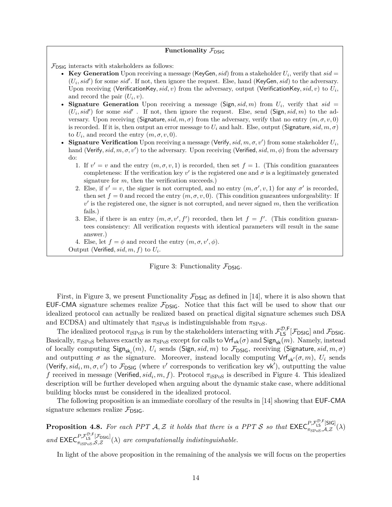#### **Functionality**  $\mathcal{F}_{DSIG}$

 $\mathcal{F}_{\text{DSIG}}$  interacts with stakeholders as follows:

- **Key Generation** Upon receiving a message (KeyGen*, sid*) from a stakeholder *U<sup>i</sup>* , verify that *sid* =  $(U_i, sid')$  for some  $sid'$ . If not, then ignore the request. Else, hand (KeyGen,  $sid$ ) to the adversary. Upon receiving (VerificationKey*, sid, v*) from the adversary, output (VerificationKey*, sid, v*) to *U<sup>i</sup>* , and record the pair  $(U_i, v)$ .
- **Signature Generation** Upon receiving a message (Sign,  $sid, m$ ) from  $U_i$ , verify that  $sid =$  $(U_i, sid')$  for some  $sid'$ . If not, then ignore the request. Else, send (Sign,  $sid, m)$  to the adversary. Upon receiving (Signature,  $sid, m, \sigma$ ) from the adversary, verify that no entry  $(m, \sigma, v, 0)$ is recorded. If it is, then output an error message to  $U_i$  and halt. Else, output (Signature, sid, m,  $\sigma$ ) to  $U_i$ , and record the entry  $(m, \sigma, v, 0)$ .
- **Signature Verification** Upon receiving a message (Verify,  $sid, m, \sigma, v'$ ) from some stakeholder  $U_i$ , hand (Verify,  $sid, m, \sigma, v'$ ) to the adversary. Upon receiving (Verified,  $sid, m, \phi$ ) from the adversary do:
	- 1. If  $v' = v$  and the entry  $(m, \sigma, v, 1)$  is recorded, then set  $f = 1$ . (This condition guarantees completeness: If the verification key  $v'$  is the registered one and  $\sigma$  is a legitimately generated signature for *m*, then the verification succeeds.)
	- 2. Else, if  $v' = v$ , the signer is not corrupted, and no entry  $(m, \sigma', v, 1)$  for any  $\sigma'$  is recorded, then set  $f = 0$  and record the entry  $(m, \sigma, v, 0)$ . (This condition guarantees unforgeability: If  $v'$  is the registered one, the signer is not corrupted, and never signed  $m$ , then the verification fails.)
	- 3. Else, if there is an entry  $(m, \sigma, v', f')$  recorded, then let  $f = f'$ . (This condition guarantees consistency: All verification requests with identical parameters will result in the same answer.)
	- 4. Else, let  $f = \phi$  and record the entry  $(m, \sigma, v', \phi)$ .

Output (Verified*, sid, m, f*) to *U<sup>i</sup>* .



First, in Figure 3, we present Functionality  $\mathcal{F}_{\text{DSIG}}$  as defined in [14], where it is also shown that EUF-CMA signature schemes realize  $\mathcal{F}_{\text{DSIG}}$ . Notice that this fact will be used to show that our idealized protocol can actually be realized based on practical digital signature schemes such DSA and ECDSA) and ultimately that  $\pi_{\text{iSPoS}}$  is indistinguishable from  $\pi_{\text{SPoS}}$ .

The idealized protocol  $\pi_{\text{iSPoS}}$  is run by the stakeholders interacting with  $\mathcal{F}_{\text{LS}}^{\mathcal{D},\text{F}}[\mathcal{F}_{\text{DSIG}}]$  and  $\mathcal{F}_{\text{DSIG}}$ . Basically,  $\pi_{\text{iSPoS}}$  behaves exactly as  $\pi_{\text{SPos}}$  except for calls to  $\text{Vrf}_{\text{vk}}(\sigma)$  and  $\text{Sign}_{\text{sk}}(m)$ . Namely, instead of locally computing  $\mathsf{Sign}_{\mathsf{sk}_i}(m),~U_i$  sends  $(\mathsf{Sign}, sid, m)$  to  $\mathcal{F}_{\mathsf{DSIG}},$  receiving  $(\mathsf{Signature}, sid, m, \sigma)$ and outputting  $\sigma$  as the signature. Moreover, instead locally computing  $Vrf_{vk'}(\sigma, m)$ ,  $U_i$  sends (Verify,  $sid_i, m, \sigma, v'$ ) to  $\mathcal{F}_{\text{DSIG}}$  (where  $v'$  corresponds to verification key vk'), outputting the value *f* received in message (Verified,  $sid_i, m, f$ ). Protocol  $\pi_{\text{iSPoS}}$  is described in Figure 4. This idealized description will be further developed when arguing about the dynamic stake case, where additional building blocks must be considered in the idealized protocol.

The following proposition is an immediate corollary of the results in [14] showing that EUF-CMA signature schemes realize  $\mathcal{F}_{\text{DSIG}}$ .

**Proposition 4.8.** For each PPT  $A, Z$  it holds that there is a PPT S so that  $\mathsf{EXEC}_{\pi_{\text{CD},S}}^{\mathcal{P},\mathcal{P},\mathsf{FS}}$  [SIG]  $\pi_{\text{SPoS}}^T$ ,  $\mathcal{A}, \mathcal{Z}^T(\lambda)$ *and*  $\textsf{EXEC}_{\pi_{\texttt{CDD},S}}^{P,\mathcal{F}_{\texttt{LS}}^{D,\text{F}}[\mathcal{F}_{\texttt{DSIG}}]}$  $\pi$ <sup>*,*  $\pi$ <sub>LS</sub>  $\downarrow$ <sup>*C*</sup> DSIG</sup> $(\lambda)$  *are computationally indistinguishable.* 

In light of the above proposition in the remaining of the analysis we will focus on the properties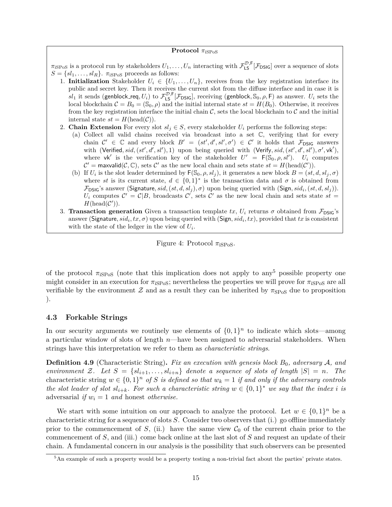#### **Protocol**  $\pi$ <sub>iSPoS</sub>

 $\pi_{\text{iSPoS}}$  is a protocol run by stakeholders  $U_1, \ldots, U_n$  interacting with  $\mathcal{F}_{\text{LS}}^{\mathcal{D},\text{F}}[\mathcal{F}_{\text{DSIG}}]$  over a sequence of slots  $S = \{sl_1, \ldots, sl_R\}$ . *π*<sub>iSPoS</sub> proceeds as follows:

- 1. **Initialization** Stakeholder  $U_i \in \{U_1, \ldots, U_n\}$ , receives from the key registration interface its public and secret key. Then it receives the current slot from the diffuse interface and in case it is  $s$ *l*<sub>1</sub> it sends (genblock\_req,  $U_i$ ) to  $\mathcal{F}_{\textsf{LS}}^{\mathcal{D},\textsf{F}}[\mathcal{F}_{\textsf{DSIG}}]$ , receiving (genblock,  $\mathbb{S}_0,\rho,\textsf{F})$  as answer.  $U_i$  sets the local blockchain  $C = B_0 = (\mathbb{S}_0, \rho)$  and the initial internal state  $st = H(B_0)$ . Otherwise, it receives from the key registration interface the initial chain  $\mathcal{C}$ , sets the local blockchain to  $\mathcal{C}$  and the initial internal state  $st = H(\text{head}(\mathcal{C}))$ .
- 2. **Chain Extension** For every slot  $sl_j \in S$ , every stakeholder  $U_i$  performs the following steps:
	- (a) Collect all valid chains received via broadcast into a set C, verifying that for every chain  $C' \in \mathbb{C}$  and every block  $B' = (st', d', s l', \sigma') \in C'$  it holds that  $\mathcal{F}_{\text{DSIG}}$  answers with (Verified, sid,  $(st', d', s'')$ , 1) upon being queried with (Verify, sid,  $(st', d', s'')$ ,  $\sigma'$ , vk'), where  $vk'$  is the verification key of the stakeholder  $U' = F(\mathbb{S}_0, \rho, sl')$ .  $U_i$  computes  $\mathcal{C}' = \text{maxvalid}(\mathcal{C}, \mathbb{C}), \text{ sets } \mathcal{C}' \text{ as the new local chain and sets state } st = H(\text{head}(\mathcal{C}')).$
	- (b) If  $U_i$  is the slot leader determined by  $F(\mathbb{S}_0, \rho, sl_j)$ , it generates a new block  $B = (st, d, sl_j, \sigma)$ where *st* is its current state,  $d \in \{0,1\}^*$  is the transaction data and  $\sigma$  is obtained from  $\mathcal{F}_{\mathsf{DSIG}}$ 's answer (Signature,  $sid, (st, d, sl_j), \sigma)$  upon being queried with (Sign,  $sid_i, (st, d, sl_j)).$  $U_i$  computes  $\mathcal{C}' = \mathcal{C}|B$ , broadcasts  $\mathcal{C}'$ , sets  $\mathcal{C}'$  as the new local chain and sets state  $st =$  $H(\text{head}(\mathcal{C}'))$ .
- 3. **Transaction generation** Given a transaction template  $tx$ ,  $U_i$  returns  $\sigma$  obtained from  $\mathcal{F}_{\text{DSIG}}$ 's answer (Signature,  $sid_i, tx, \sigma$ ) upon being queried with (Sign,  $sid_i, tx$ ), provided that  $tx$  is consistent with the state of the ledger in the view of *U<sup>i</sup>* .

Figure 4: Protocol  $\pi_{\text{iSPoS}}$ .

of the protocol  $\pi_{\text{iSPoS}}$  (note that this implication does not apply to any<sup>5</sup> possible property one might consider in an execution for  $\pi_{\text{iSPoS}}$ ; nevertheless the properties we will prove for  $\pi_{\text{iSPoS}}$  are all verifiable by the environment  $\mathcal Z$  and as a result they can be inherited by  $\pi_{\text{SPos}}$  due to proposition ).

### **4.3 Forkable Strings**

In our security arguments we routinely use elements of  $\{0,1\}^n$  to indicate which slots—among a particular window of slots of length *n*—have been assigned to adversarial stakeholders. When strings have this interpretation we refer to them as *characteristic strings*.

**Definition 4.9** (Characteristic String)**.** *Fix an execution with genesis block B*0*, adversary* A*, and environment*  $Z$ *. Let*  $S = \{sl_{i+1}, \ldots, sl_{i+n}\}\$  *denote a sequence of slots of length*  $|S| = n$ *. The* characteristic string  $w \in \{0,1\}^n$  of S is defined so that  $w_k = 1$  if and only if the adversary controls *the slot leader of slot*  $sl_{i+k}$ *. For such a characteristic string*  $w \in \{0,1\}^*$  *we say that the index i is* adversarial *if w<sup>i</sup>* = 1 *and* honest *otherwise.*

We start with some intuition on our approach to analyze the protocol. Let  $w \in \{0,1\}^n$  be a characteristic string for a sequence of slots *S*. Consider two observers that (i.) go offline immediately prior to the commencement of  $S$ , (ii.) have the same view  $C_0$  of the current chain prior to the commencement of *S*, and (iii.) come back online at the last slot of *S* and request an update of their chain. A fundamental concern in our analysis is the possibility that such observers can be presented

<sup>5</sup>An example of such a property would be a property testing a non-trivial fact about the parties' private states.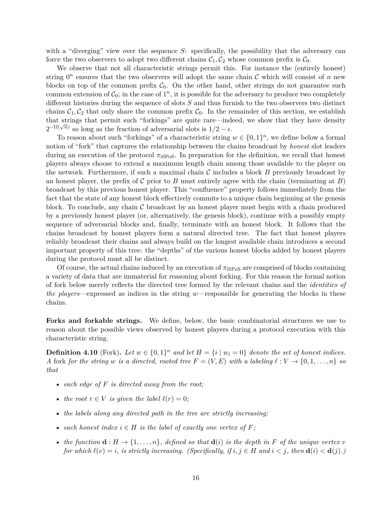with a "diverging" view over the sequence *S*: specifically, the possibility that the adversary can force the two observers to adopt two different chains  $C_1$ ,  $C_2$  whose common prefix is  $C_0$ .

We observe that not all characteristic strings permit this. For instance the (entirely honest) string  $0<sup>n</sup>$  ensures that the two observers will adopt the same chain  $\mathcal C$  which will consist of  $n$  new blocks on top of the common prefix  $C_0$ . On the other hand, other strings do not guarantee such common extension of  $C_0$ ; in the case of  $1^n$ , it is possible for the adversary to produce two completely different histories during the sequence of slots *S* and thus furnish to the two observers two distinct chains  $C_1$ ,  $C_2$  that only share the common prefix  $C_0$ . In the remainder of this section, we establish that strings that permit such "forkings" are quite rare—indeed, we show that they have density  $2^{-\Omega(\sqrt{n})}$  so long as the fraction of adversarial slots is  $1/2 - \epsilon$ .

To reason about such "forkings" of a characteristic string  $w \in \{0,1\}^n$ , we define below a formal notion of "fork" that captures the relationship between the chains broadcast by *honest* slot leaders during an execution of the protocol  $\pi_{\text{iSPoS}}$ . In preparation for the definition, we recall that honest players always choose to extend a maximum length chain among those available to the player on the network. Furthermore, if such a maximal chain  $C$  includes a block  $B$  previously broadcast by an honest player, the prefix of  $C$  prior to  $B$  must entirely agree with the chain (terminating at  $B$ ) broadcast by this previous honest player. This "confluence" property follows immediately from the fact that the state of any honest block effectively commits to a unique chain beginning at the genesis block. To conclude, any chain  $C$  broadcast by an honest player must begin with a chain produced by a previously honest player (or, alternatively, the genesis block), continue with a possibly empty sequence of adversarial blocks and, finally, terminate with an honest block. It follows that the chains broadcast by honest players form a natural directed tree. The fact that honest players reliably broadcast their chains and always build on the longest available chain introduces a second important property of this tree: the "depths" of the various honest blocks added by honest players during the protocol must all be distinct.

Of course, the actual chains induced by an execution of  $\pi_{\text{iSPoS}}$  are comprised of blocks containing a variety of data that are immaterial for reasoning about forking. For this reason the formal notion of fork below merely reflects the directed tree formed by the relevant chains and the *identities of the players*—expressed as indices in the string *w*—responsible for generating the blocks in these chains.

**Forks and forkable strings.** We define, below, the basic combinatorial structures we use to reason about the possible views observed by honest players during a protocol execution with this characteristic string.

**Definition 4.10** (Fork). Let  $w \in \{0,1\}^n$  and let  $H = \{i \mid w_i = 0\}$  denote the set of honest indices. *A* fork for the string *w* is a directed, rooted tree  $F = (V, E)$  with a labeling  $\ell : V \to \{0, 1, \ldots, n\}$  so *that*

- *• each edge of F is directed away from the root;*
- *the root*  $r \in V$  *is given the label*  $\ell(r) = 0$ ;
- *• the labels along any directed path in the tree are strictly increasing;*
- each honest index  $i \in H$  is the label of exactly one vertex of  $F$ ;
- the function  $\mathbf{d}: H \to \{1, \ldots, n\}$ , defined so that  $\mathbf{d}(i)$  is the depth in F of the unique vertex *v for which*  $\ell(v) = i$ *, is strictly increasing. (Specifically, if*  $i, j \in H$  *and*  $i < j$ *, then*  $\mathbf{d}(i) < \mathbf{d}(j)$ *.)*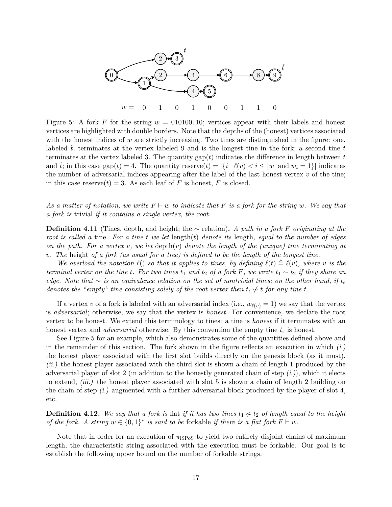

Figure 5: A fork *F* for the string  $w = 010100110$ ; vertices appear with their labels and honest vertices are highlighted with double borders. Note that the depths of the (honest) vertices associated with the honest indices of *w* are strictly increasing. Two tines are distinguished in the figure: one, labeled  $\hat{t}$ , terminates at the vertex labeled 9 and is the longest tine in the fork; a second tine  $t$ terminates at the vertex labeled 3. The quantity  $\text{gap}(t)$  indicates the difference in length between  $t$ and  $\hat{t}$ ; in this case gap( $t$ ) = 4. The quantity reserve( $t$ ) =  $|\{i \mid \ell(v) < i \le |w| \text{ and } w_i = 1\}|$  indicates the number of adversarial indices appearing after the label of the last honest vertex *v* of the tine; in this case reserve $(t) = 3$ . As each leaf of *F* is honest, *F* is closed.

As a matter of notation, we write  $F \vdash w$  to indicate that F is a fork for the string w. We say that *a fork is* trivial *if it contains a single vertex, the root.*

**Definition 4.11** (Tines, depth, and height; the ∼ relation)**.** *A path in a fork F originating at the root is called a* tine*. For a tine t we let* length(*t*) *denote its* length*, equal to the number of edges* on the path. For a vertex  $v$ , we let  $\text{depth}(v)$  denote the length of the (unique) tine terminating at *v. The* height *of a fork (as usual for a tree) is defined to be the length of the longest tine.*

*We overload the notation*  $\ell$  *() so that it applies to tines, by defining*  $\ell$   $(t) \triangleq \ell$   $(v)$ *, where v is the terminal vertex on the tine t. For two tines*  $t_1$  *and*  $t_2$  *of a fork F, we write*  $t_1 \sim t_2$  *if they share an edge.* Note that ∼ *is an equivalence relation on the set of nontrivial tines; on the other hand, if*  $t_{\epsilon}$ *denotes the "empty" tine consisting solely of the root vertex then*  $t_{\epsilon} \nless t$  *for any tine t.* 

If a vertex *v* of a fork is labeled with an adversarial index (i.e.,  $w_{\ell(v)} = 1$ ) we say that the vertex is *adversarial*; otherwise, we say that the vertex is *honest*. For convenience, we declare the root vertex to be honest. We extend this terminology to tines: a tine is *honest* if it terminates with an honest vertex and *adversarial* otherwise. By this convention the empty tine  $t_{\epsilon}$  is honest.

See Figure 5 for an example, which also demonstrates some of the quantities defined above and in the remainder of this section. The fork shown in the figure reflects an execution in which (i.) the honest player associated with the first slot builds directly on the genesis block (as it must), (ii.) the honest player associated with the third slot is shown a chain of length 1 produced by the adversarial player of slot 2 (in addition to the honestly generated chain of step  $(i)$ ), which it elects to extend, (iii.) the honest player associated with slot 5 is shown a chain of length 2 building on the chain of step  $(i)$  augmented with a further adversarial block produced by the player of slot 4, etc.

**Definition 4.12.** *We say that a fork is* flat *if it has two tines*  $t_1 \nless t_2$  *of length equal to the height of the fork.* A string  $w \in \{0,1\}^*$  is said to be forkable if there is a flat fork  $F \vdash w$ .

Note that in order for an execution of  $\pi_{\rm{iSPos}}$  to yield two entirely disjoint chains of maximum length, the characteristic string associated with the execution must be forkable. Our goal is to establish the following upper bound on the number of forkable strings.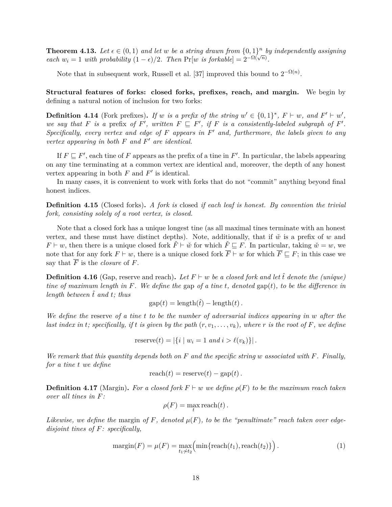**Theorem 4.13.** Let  $\epsilon \in (0,1)$  and let w be a string drawn from  $\{0,1\}^n$  by independently assigning **each**  $w_i = 1$  *with probability*  $(1 - \epsilon)/2$ *. Then* Pr[*w is forkable*] =  $2^{-\Omega(\sqrt{n})}$ *.* 

Note that in subsequent work, Russell et al. [37] improved this bound to  $2^{-\Omega(n)}$ .

**Structural features of forks: closed forks, prefixes, reach, and margin.** We begin by defining a natural notion of inclusion for two forks:

**Definition 4.14** (Fork prefixes). If w is a prefix of the string  $w' \in \{0,1\}^*, F \vdash w$ , and  $F' \vdash w'$ , we say that F is a prefix of F', written  $F \subseteq F'$ , if F is a consistently-labeled subgraph of F'. Specifically, every vertex and edge of  $F$  appears in  $F'$  and, furthermore, the labels given to any *vertex appearing in both*  $F$  *and*  $F'$  *are identical.* 

If  $F \subseteq F'$ , each tine of *F* appears as the prefix of a tine in  $F'$ . In particular, the labels appearing on any tine terminating at a common vertex are identical and, moreover, the depth of any honest vertex appearing in both  $F$  and  $F'$  is identical.

In many cases, it is convenient to work with forks that do not "commit" anything beyond final honest indices.

**Definition 4.15** (Closed forks)**.** *A fork is* closed *if each leaf is honest. By convention the trivial fork, consisting solely of a root vertex, is closed.*

Note that a closed fork has a unique longest tine (as all maximal tines terminate with an honest vertex, and these must have distinct depths). Note, additionally, that if  $\check{w}$  is a prefix of  $w$  and  $F \vdash w$ , then there is a unique closed fork  $\check{F} \vdash \check{w}$  for which  $\check{F} \sqsubseteq F$ . In particular, taking  $\check{w} = w$ , we note that for any fork  $F \vdash w$ , there is a unique closed fork  $\overline{F} \vdash w$  for which  $\overline{F} \sqsubset F$ ; in this case we say that  $\overline{F}$  is the *closure* of  $F$ .

**Definition 4.16** (Gap, reserve and reach). Let  $F \vdash w$  be a closed fork and let  $\hat{t}$  denote the (unique) *tine of maximum length in F. We define the* gap *of a tine t, denoted* gap(*t*)*, to be the difference in length between t*ˆ *and t; thus*

$$
gap(t) = length(\hat{t}) - length(t).
$$

*We define the* reserve *of a tine t to be the number of adversarial indices appearing in w after the last index in t; specifically, if t is given by the path*  $(r, v_1, \ldots, v_k)$ *, where*  $r$  *is the root of*  $F$ *, we define* 

$$
reserve(t) = |\{i \mid w_i = 1 \text{ and } i > \ell(v_k)\}|.
$$

*We remark that this quantity depends both on F and the specific string w associated with F. Finally, for a tine t we define*

$$
reach(t) = reserve(t) - gap(t).
$$

**Definition 4.17** (Margin). For a closed fork  $F \vdash w$  we define  $\rho(F)$  to be the maximum reach taken *over all tines in F:*

$$
\rho(F) = \max_t \operatorname{reach}(t).
$$

*Likewise, we define the margin of*  $F$ *, denoted*  $\mu(F)$ *, to be the "penultimate" reach taken over edgedisjoint tines of F: specifically,*

$$
\operatorname{margin}(F) = \mu(F) = \max_{t_1 \neq t_2} \left( \min\{\operatorname{reach}(t_1), \operatorname{reach}(t_2)\} \right). \tag{1}
$$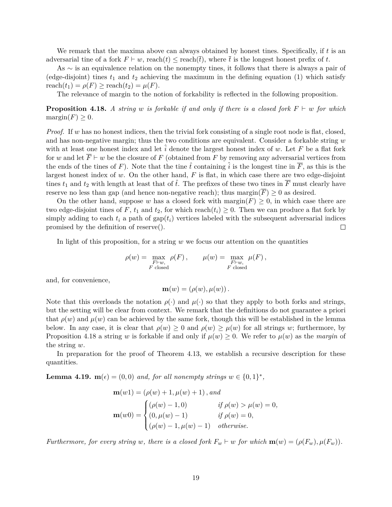We remark that the maxima above can always obtained by honest tines. Specifically, if *t* is an adversarial tine of a fork  $F \vdash w$ , reach $(t) \leq$  reach $(\bar{t})$ , where  $\bar{t}$  is the longest honest prefix of *t*.

As ∼ is an equivalence relation on the nonempty tines, it follows that there is always a pair of (edge-disjoint) tines  $t_1$  and  $t_2$  achieving the maximum in the defining equation (1) which satisfy  $\operatorname{reach}(t_1) = \rho(F) \ge \operatorname{reach}(t_2) = \mu(F).$ 

The relevance of margin to the notion of forkability is reflected in the following proposition.

**Proposition 4.18.** *A string w is forkable if and only if there is a closed fork*  $F \vdash w$  *for which*  $\text{margin}(F) \geq 0.$ 

*Proof.* If *w* has no honest indices, then the trivial fork consisting of a single root node is flat, closed, and has non-negative margin; thus the two conditions are equivalent. Consider a forkable string *w* with at least one honest index and let  $\hat{i}$  denote the largest honest index of *w*. Let F be a flat fork for *w* and let  $\overline{F} \vdash w$  be the closure of *F* (obtained from *F* by removing any adversarial vertices from the ends of the tines of *F*). Note that the tine  $\hat{t}$  containing  $\hat{i}$  is the longest tine in  $\overline{F}$ , as this is the largest honest index of *w*. On the other hand, *F* is flat, in which case there are two edge-disjoint tines  $t_1$  and  $t_2$  with length at least that of  $\hat{t}$ . The prefixes of these two tines in  $\overline{F}$  must clearly have reserve no less than gap (and hence non-negative reach); thus margin( $\overline{F}$ )  $\geq 0$  as desired.

On the other hand, suppose *w* has a closed fork with margin( $F$ )  $\geq$  0, in which case there are two edge-disjoint tines of F,  $t_1$  and  $t_2$ , for which reach $(t_i) \geq 0$ . Then we can produce a flat fork by simply adding to each  $t_i$  a path of  $\text{gap}(t_i)$  vertices labeled with the subsequent adversarial indices promised by the definition of reserve().  $\Box$ 

In light of this proposition, for a string *w* we focus our attention on the quantities

$$
\rho(w) = \max_{\substack{F \vdash w, \\ F \text{ closed}}} \rho(F), \qquad \mu(w) = \max_{\substack{F \vdash w, \\ F \text{ closed}}} \mu(F),
$$

and, for convenience,

$$
\mathbf{m}(w) = (\rho(w), \mu(w)).
$$

Note that this overloads the notation  $\rho(\cdot)$  and  $\mu(\cdot)$  so that they apply to both forks and strings, but the setting will be clear from context. We remark that the definitions do not guarantee a priori that  $\rho(w)$  and  $\mu(w)$  can be achieved by the same fork, though this will be established in the lemma below. In any case, it is clear that  $\rho(w) \geq 0$  and  $\rho(w) \geq \mu(w)$  for all strings *w*; furthermore, by Proposition 4.18 a string *w* is forkable if and only if  $\mu(w) \geq 0$ . We refer to  $\mu(w)$  as the *margin* of the string *w*.

In preparation for the proof of Theorem 4.13, we establish a recursive description for these quantities.

**Lemma 4.19.**  $m(\epsilon) = (0, 0)$  *and, for all nonempty strings*  $w \in \{0, 1\}^*$ ,

$$
\mathbf{m}(w1) = (\rho(w) + 1, \mu(w) + 1), and
$$
  
\n
$$
\mathbf{m}(w0) = \begin{cases}\n(\rho(w) - 1, 0) & \text{if } \rho(w) > \mu(w) = 0, \\
(0, \mu(w) - 1) & \text{if } \rho(w) = 0, \\
(\rho(w) - 1, \mu(w) - 1) & \text{otherwise.} \n\end{cases}
$$

*Furthermore, for every string w, there is a closed fork*  $F_w \vdash w$  *for which*  $\mathbf{m}(w) = (\rho(F_w), \mu(F_w))$ *.*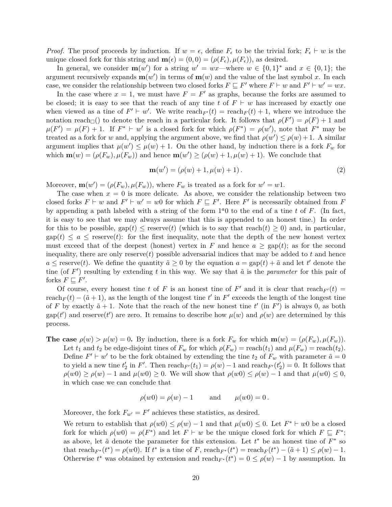*Proof.* The proof proceeds by induction. If  $w = \epsilon$ , define  $F_{\epsilon}$  to be the trivial fork;  $F_{\epsilon} \vdash w$  is the unique closed fork for this string and  $\mathbf{m}(\epsilon) = (0,0) = (\rho(F_{\epsilon}), \mu(F_{\epsilon}))$ , as desired.

In general, we consider  $\mathbf{m}(w')$  for a string  $w' = wx$ —where  $w \in \{0,1\}^*$  and  $x \in \{0,1\}$ ; the argument recursively expands  $\mathbf{m}(w')$  in terms of  $\mathbf{m}(w)$  and the value of the last symbol x. In each case, we consider the relationship between two closed forks  $F \subseteq F'$  where  $F \vdash w$  and  $F' \vdash w' = wx$ .

In the case where  $x = 1$ , we must have  $F = F'$  as graphs, because the forks are assumed to be closed; it is easy to see that the reach of any tine t of  $F \vdash w$  has increased by exactly one when viewed as a tine of  $F' \vdash w'$ . We write  $\text{reach}_{F'}(t) = \text{reach}_F(t) + 1$ , where we introduce the notation reach<sub> $\Box$ </sub>() to denote the reach in a particular fork. It follows that  $\rho(F') = \rho(F) + 1$  and  $\mu(F') = \mu(F) + 1$ . If  $F^* \vdash w'$  is a closed fork for which  $\rho(F^*) = \rho(w')$ , note that  $F^*$  may be treated as a fork for *w* and, applying the argument above, we find that  $\rho(w') \leq \rho(w) + 1$ . A similar argument implies that  $\mu(w') \leq \mu(w) + 1$ . On the other hand, by induction there is a fork  $F_w$  for which  $\mathbf{m}(w) = (\rho(F_w), \mu(F_w))$  and hence  $\mathbf{m}(w') \geq (\rho(w) + 1, \mu(w) + 1)$ . We conclude that

$$
\mathbf{m}(w') = (\rho(w) + 1, \mu(w) + 1). \tag{2}
$$

Moreover,  $\mathbf{m}(w') = (\rho(F_w), \mu(F_w))$ , where  $F_w$  is treated as a fork for  $w' = w1$ .

The case when  $x = 0$  is more delicate. As above, we consider the relationship between two closed forks  $F \vdash w$  and  $F' \vdash w' = w0$  for which  $F \sqsubseteq F'$ . Here  $F'$  is necessarily obtained from *F* by appending a path labeled with a string of the form  $1^a0$  to the end of a tine *t* of *F*. (In fact, it is easy to see that we may always assume that this is appended to an honest tine.) In order for this to be possible,  $\text{gap}(t) \leq \text{reserve}(t)$  (which is to say that reach( $t \geq 0$ ) and, in particular,  $\text{gap}(t) \leq a \leq \text{reserve}(t)$ : for the first inequality, note that the depth of the new honest vertex must exceed that of the deepest (honest) vertex in *F* and hence  $a \ge \text{gap}(t)$ ; as for the second inequality, there are only reserve( $t$ ) possible adversarial indices that may be added to  $t$  and hence  $a \leq$  reserve(*t*). We define the quantity  $\tilde{a} \geq 0$  by the equation  $a = \text{gap}(t) + \tilde{a}$  and let *t*' denote the tine (of  $F'$ ) resulting by extending t in this way. We say that  $\tilde{a}$  is the *parameter* for this pair of forks  $F \sqsubseteq F'$ .

Of course, every honest tine *t* of *F* is an honest tine of *F'* and it is clear that reach<sub>*F'*</sub> $(t)$  = reach<sub>*F*</sub>(*t*) –  $(\tilde{a} + 1)$ , as the length of the longest tine *t'* in *F'* exceeds the length of the longest tine of *F* by exactly  $\tilde{a} + 1$ . Note that the reach of the new honest tine *t'* (in *F'*) is always 0, as both  $\exp(t')$  and reserve(*t'*) are zero. It remains to describe how  $\mu(w)$  and  $\rho(w)$  are determined by this process.

**The case**  $\rho(w) > \mu(w) = 0$ . By induction, there is a fork  $F_w$  for which  $\mathbf{m}(w) = (\rho(F_w), \mu(F_w))$ . Let  $t_1$  and  $t_2$  be edge-disjoint tines of  $F_w$  for which  $\rho(F_w) = \text{reach}(t_1)$  and  $\mu(F_w) = \text{reach}(t_2)$ . Define  $F' \vdash w'$  to be the fork obtained by extending the tine  $t_2$  of  $F_w$  with parameter  $\tilde{a} = 0$ to yield a new tine  $t'_2$  in  $F'$ . Then  $\text{reach}_{F'}(t_1) = \rho(w) - 1$  and  $\text{reach}_{F'}(t'_2) = 0$ . It follows that  $\rho(w0) \geq \rho(w) - 1$  and  $\mu(w0) \geq 0$ . We will show that  $\rho(w0) \leq \rho(w) - 1$  and that  $\mu(w0) \leq 0$ , in which case we can conclude that

$$
\rho(w0) = \rho(w) - 1
$$
 and  $\mu(w0) = 0$ .

Moreover, the fork  $F_{w'} = F'$  achieves these statistics, as desired.

We return to establish that  $\rho(w0) \leq \rho(w) - 1$  and that  $\mu(w0) \leq 0$ . Let  $F^* \vdash w0$  be a closed fork for which  $\rho(w0) = \rho(F^*)$  and let  $F \vdash w$  be the unique closed fork for which  $F \sqsubseteq F^*$ ; as above, let  $\tilde{a}$  denote the parameter for this extension. Let  $t^*$  be an honest tine of  $F^*$  so that reach<sub>*F*<sup>∗</sup></sub>(*t*<sup>\*</sup>) =  $\rho(w0)$ . If *t*<sup>\*</sup> is a tine of *F*, reach<sub>*F*<sup>\*</sup></sub>(*t*<sup>\*</sup>) = reach<sub>*F*</sub>(*t*<sup>\*</sup>) – ( $\tilde{a}$  + 1)  $\leq \rho(w) - 1$ . Otherwise  $t^*$  was obtained by extension and reach<sub> $F^*(t^*) = 0 \le \rho(w) - 1$  by assumption. In</sub>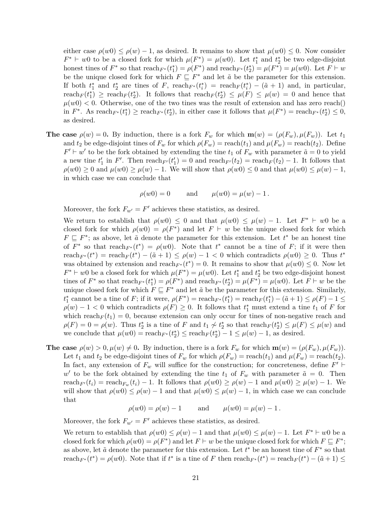either case  $\rho(w) \leq \rho(w) - 1$ , as desired. It remains to show that  $\mu(w) \leq 0$ . Now consider  $F^* \vdash w0$  to be a closed fork for which  $\mu(F^*) = \mu(w0)$ . Let  $t_1^*$  and  $t_2^*$  be two edge-disjoint honest tines of  $F^*$  so that  $\text{reach}_{F^*}(t_1^*) = \rho(F^*)$  and  $\text{reach}_{F^*}(t_2^*) = \mu(F^*) = \mu(w0)$ . Let  $F \vdash w$ be the unique closed fork for which  $F \subseteq F^*$  and let  $\tilde{a}$  be the parameter for this extension. If both  $t_1^*$  and  $t_2^*$  are tines of *F*, reach<sub>*F*<sup>∗</sup></sub>( $t_i^*$ ) = reach<sub>*F*</sub>( $t_i^*$ ) – ( $\tilde{a}$  + 1) and, in particular, reach<sub>*F*</sub>( $t_1^*$ ) ≥ reach<sub>*F*</sub>( $t_2^*$ ). It follows that reach<sub>*F*</sub>( $t_2^*$ ) ≤  $\mu$ (*F*) ≤  $\mu$ (*w*) = 0 and hence that  $\mu(w0)$  < 0. Otherwise, one of the two tines was the result of extension and has zero reach() in  $F^*$ . As reach<sub>*F*<sup>∗</sup></sub>( $t_1^*$ )  $\geq$  reach<sub>*F*<sup>∗</sup></sub>( $t_2^*$ ), in either case it follows that  $\mu(F^*) = \text{reach}_{F^*}(t_2^*) \leq 0$ , as desired.

**The case**  $\rho(w) = 0$ . By induction, there is a fork  $F_w$  for which  $\mathbf{m}(w) = (\rho(F_w), \mu(F_w))$ . Let  $t_1$ and  $t_2$  be edge-disjoint tines of  $F_w$  for which  $\rho(F_w) = \text{reach}(t_1)$  and  $\mu(F_w) = \text{reach}(t_2)$ . Define  $F' \vdash w'$  to be the fork obtained by extending the tine  $t_1$  of  $F_w$  with parameter  $\tilde{a} = 0$  to yield a new tine  $t'_1$  in  $F'$ . Then reach<sub> $F'(t'_1) = 0$  and reach $_{F'}(t_2) = \text{reach}_F(t_2) - 1$ . It follows that</sub>  $\rho(w0) \ge 0$  and  $\mu(w0) \ge \mu(w) - 1$ . We will show that  $\rho(w0) \le 0$  and that  $\mu(w0) \le \mu(w) - 1$ , in which case we can conclude that

$$
\rho(w0) = 0
$$
 and  $\mu(w0) = \mu(w) - 1$ .

Moreover, the fork  $F_{w'} = F'$  achieves these statistics, as desired.

We return to establish that  $\rho(w0) \leq 0$  and that  $\mu(w0) \leq \mu(w) - 1$ . Let  $F^* \vdash w0$  be a closed fork for which  $\rho(w0) = \rho(F^*)$  and let  $F \vdash w$  be the unique closed fork for which *F*  $\subseteq$  *F*<sup>\*</sup>; as above, let  $\tilde{a}$  denote the parameter for this extension. Let *t*<sup>\*</sup> be an honest tine of  $F^*$  so that reach<sub> $F^*(t^*) = \rho(w0)$ . Note that  $t^*$  cannot be a tine of  $F$ ; if it were then</sub>  $\text{reach}_{F^*}(t^*) = \text{reach}_F(t^*) - (\tilde{a} + 1) \leq \rho(w) - 1 < 0$  which contradicts  $\rho(w0) \geq 0$ . Thus  $t^*$ was obtained by extension and reach<sub>*F*<sup>∗</sup></sub>( $t^*$ ) = 0. It remains to show that  $\mu(w0) \leq 0$ . Now let  $F^* \vdash w0$  be a closed fork for which  $\mu(F^*) = \mu(w0)$ . Let  $t_1^*$  and  $t_2^*$  be two edge-disjoint honest tines of  $F^*$  so that  $\text{reach}_{F^*}(t_1^*) = \rho(F^*)$  and  $\text{reach}_{F^*}(t_2^*) = \mu(F^*) = \mu(w0)$ . Let  $F \vdash w$  be the unique closed fork for which  $F \subseteq F^*$  and let  $\tilde{a}$  be the parameter for this extension. Similarly,  $t_1^*$  cannot be a tine of *F*; if it were,  $\rho(F^*) = \text{reach}_{F^*}(t_1^*) = \text{reach}_F(t_1^*) - (\tilde{a} + 1) \leq \rho(F) - 1 \leq$  $\rho(w) - 1 < 0$  which contradicts  $\rho(F) \geq 0$ . It follows that  $t_1^*$  must extend a tine  $t_1$  of *F* for which reach<sub>*F*</sub> $(t_1) = 0$ , because extension can only occur for tines of non-negative reach and  $\rho(F) = 0 = \rho(w)$ . Thus  $t_2^*$  is a tine of *F* and  $t_1 \nsim t_2^*$  so that reach  $F(t_2^*) \leq \mu(F) \leq \mu(w)$  and we conclude that  $\mu(w0) = \text{reach}_{F^*}(t_2^*) \leq \text{reach}_F(t_2^*) - 1 \leq \mu(w) - 1$ , as desired.

**The case**  $\rho(w) > 0, \mu(w) \neq 0$ . By induction, there is a fork  $F_w$  for which  $\mathbf{m}(w) = (\rho(F_w), \mu(F_w))$ . Let  $t_1$  and  $t_2$  be edge-disjoint tines of  $F_w$  for which  $\rho(F_w) = \text{reach}(t_1)$  and  $\mu(F_w) = \text{reach}(t_2)$ . In fact, any extension of  $F_w$  will suffice for the construction; for concreteness, define  $F' \vdash$ w' to be the fork obtained by extending the tine  $t_1$  of  $F_w$  with parameter  $\tilde{a} = 0$ . Then reach<sub>*F'*</sub>(*t<sub>i</sub>*) = reach<sub>*F<sub>w</sub>*</sub>(*t<sub>i</sub>*) − 1. It follows that  $\rho(w0) \ge \rho(w) - 1$  and  $\mu(w0) \ge \mu(w) - 1$ . We will show that  $\rho(w) \leq \rho(w) - 1$  and that  $\mu(w) \leq \mu(w) - 1$ , in which case we can conclude that

$$
\rho(w0) = \rho(w) - 1
$$
 and  $\mu(w0) = \mu(w) - 1$ .

Moreover, the fork  $F_{w'} = F'$  achieves these statistics, as desired.

We return to establish that  $\rho(w0) \leq \rho(w) - 1$  and that  $\mu(w0) \leq \mu(w) - 1$ . Let  $F^* \vdash w0$  be a closed fork for which  $\rho(w0) = \rho(F^*)$  and let  $F \vdash w$  be the unique closed fork for which  $F \sqsubseteq F^*$ ; as above, let  $\tilde{a}$  denote the parameter for this extension. Let  $t^*$  be an honest tine of  $F^*$  so that reach<sub>*F*<sup>∗</sup></sub>(*t*<sup>\*</sup>) =  $\rho(w0)$ . Note that if *t*<sup>\*</sup> is a tine of *F* then reach<sub>*F*<sup>\*</sup></sub>(*t*<sup>\*</sup>) = reach<sub>*F*</sub>(*t*<sup>\*</sup>) – ( $\tilde{a}$  + 1) ≤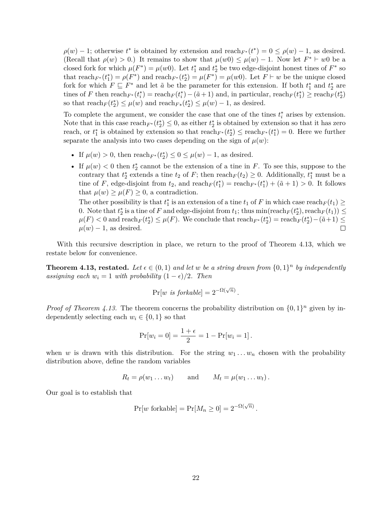$\rho(w) - 1$ ; otherwise  $t^*$  is obtained by extension and reach<sub>*F*<sup>∗</sup></sub>( $t^*$ ) = 0 ≤  $\rho(w) - 1$ , as desired. (Recall that  $\rho(w) > 0$ .) It remains to show that  $\mu(w0) \leq \mu(w) - 1$ . Now let  $F^* \vdash w0$  be a closed fork for which  $\mu(F^*) = \mu(w0)$ . Let  $t_1^*$  and  $t_2^*$  be two edge-disjoint honest tines of  $F^*$  so that reach<sub>*F*<sup>∗</sup></sub>( $t_1^*$ ) =  $\rho(F^*)$  and reach<sub>*F*<sup>∗</sup></sub>( $t_2^*$ ) =  $\mu(F^*) = \mu(w0)$ . Let  $F \vdash w$  be the unique closed fork for which  $F \subseteq F^*$  and let  $\tilde{a}$  be the parameter for this extension. If both  $t_1^*$  and  $t_2^*$  are tines of *F* then  $\text{reach}_{F^*}(t_i^*) = \text{reach}_F(t_i^*) - (\tilde{a} + 1)$  and, in particular,  $\text{reach}_F(t_1^*) \geq \text{reach}_F(t_2^*)$ so that  $\text{reach}_F(t_2^*) \leq \mu(w)$  and  $\text{reach}_{F*}(t_2^*) \leq \mu(w) - 1$ , as desired.

To complete the argument, we consider the case that one of the tines  $t_i^*$  arises by extension. Note that in this case  $\text{reach}_{F^*}(t_2^*) \leq 0$ , as either  $t_2^*$  is obtained by extension so that it has zero reach, or  $t_1^*$  is obtained by extension so that reach<sub>*F*<sup>∗</sup></sub> $(t_2^*)$  ≤ reach<sub>*F*<sup>∗</sup></sub> $(t_1^*)$  = 0. Here we further separate the analysis into two cases depending on the sign of  $\mu(w)$ :

- If  $\mu(w) > 0$ , then  $\text{reach}_{F^*}(t_2^*) \leq 0 \leq \mu(w) 1$ , as desired.
- If  $\mu(w) < 0$  then  $t_2^*$  cannot be the extension of a tine in  $F$ . To see this, suppose to the contrary that  $t_2^*$  extends a tine  $t_2$  of  $F$ ; then reach<sub>*F*</sub>( $t_2$ ) ≥ 0. Additionally,  $t_1^*$  must be a tine of *F*, edge-disjoint from  $t_2$ , and  $\text{reach}_F(t_1^*) = \text{reach}_{F^*}(t_1^*) + (\tilde{a} + 1) > 0$ . It follows that  $\mu(w) \geq \mu(F) \geq 0$ , a contradiction.

The other possibility is that  $t_1^*$  is an extension of a tine  $t_1$  of  $F$  in which case reach $F(t_1) \geq$ 0. Note that  $t_2^*$  is a tine of *F* and edge-disjoint from  $t_1$ ; thus  $\min(\text{reach}_F(t_2^*), \text{reach}_F(t_1)) \le$  $\mu(F) < 0$  and reach<sub>*F*</sub>( $t_2^*$ )  $\leq \mu(F)$ . We conclude that reach<sub>*F*<sup>∗</sup></sub>( $t_2^*$ ) = reach<sub>*F*</sub>( $t_2^*$ ) – ( $\tilde{a}$ +1)  $\leq$  $\mu(w) - 1$ , as desired.  $\Box$ 

With this recursive description in place, we return to the proof of Theorem 4.13, which we restate below for convenience.

**Theorem 4.13, restated.** Let  $\epsilon \in (0,1)$  and let w be a string drawn from  $\{0,1\}^n$  by independently *assigning each*  $w_i = 1$  *with probability*  $(1 - \epsilon)/2$ *. Then* 

$$
Pr[w \text{ is forkable}] = 2^{-\Omega(\sqrt{n})}.
$$

*Proof of Theorem 4.13.* The theorem concerns the probability distribution on  $\{0,1\}^n$  given by independently selecting each  $w_i \in \{0, 1\}$  so that

$$
Pr[w_i = 0] = \frac{1+\epsilon}{2} = 1 - Pr[w_i = 1].
$$

when *w* is drawn with this distribution. For the string  $w_1 \ldots w_n$  chosen with the probability distribution above, define the random variables

$$
R_t = \rho(w_1 \dots w_t) \quad \text{and} \quad M_t = \mu(w_1 \dots w_t).
$$

Our goal is to establish that

$$
Pr[w \text{ forkable}] = Pr[M_n \ge 0] = 2^{-\Omega(\sqrt{n})}.
$$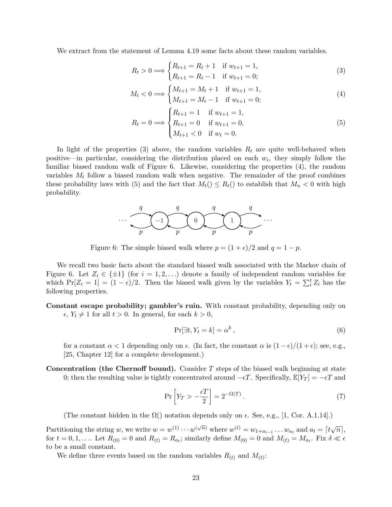We extract from the statement of Lemma 4.19 some facts about these random variables.

$$
R_t > 0 \Longrightarrow \begin{cases} R_{t+1} = R_t + 1 & \text{if } w_{t+1} = 1, \\ R_{t+1} = R_t - 1 & \text{if } w_{t+1} = 0; \end{cases}
$$
 (3)

$$
M_t < 0 \Longrightarrow \begin{cases} M_{t+1} = M_t + 1 & \text{if } w_{t+1} = 1, \\ M_{t+1} = M_t - 1 & \text{if } w_{t+1} = 0; \end{cases} \tag{4}
$$

$$
R_t = 0 \Longrightarrow \begin{cases} R_{t+1} = 1 & \text{if } w_{t+1} = 1, \\ R_{t+1} = 0 & \text{if } w_{t+1} = 0, \\ M_{t+1} < 0 & \text{if } w_t = 0. \end{cases} \tag{5}
$$

In light of the properties  $(3)$  above, the random variables  $R_t$  are quite well-behaved when positive—in particular, considering the distribution placed on each *w<sup>i</sup>* , they simply follow the familiar biased random walk of Figure 6. Likewise, considering the properties (4), the random variables  $M_t$  follow a biased random walk when negative. The remainder of the proof combines these probability laws with (5) and the fact that  $M_t$ ()  $\leq R_t$ () to establish that  $M_n$  < 0 with high probability.



Figure 6: The simple biased walk where  $p = (1 + \epsilon)/2$  and  $q = 1 - p$ .

We recall two basic facts about the standard biased walk associated with the Markov chain of Figure 6. Let  $Z_i \in \{\pm 1\}$  (for  $i = 1, 2, \ldots$ ) denote a family of independent random variables for which  $Pr[Z_i = 1] = (1 - \epsilon)/2$ . Then the biased walk given by the variables  $Y_t = \sum_i^t Z_i$  has the following properties.

**Constant escape probability; gambler's ruin.** With constant probability, depending only on  $\epsilon$ ,  $Y_t \neq 1$  for all  $t > 0$ . In general, for each  $k > 0$ ,

$$
\Pr[\exists t, Y_t = k] = \alpha^k \,,\tag{6}
$$

for a constant  $\alpha < 1$  depending only on  $\epsilon$ . (In fact, the constant  $\alpha$  is  $(1 - \epsilon)/(1 + \epsilon)$ ; see, e.g., [25, Chapter 12] for a complete development.)

**Concentration (the Chernoff bound).** Consider *T* steps of the biased walk beginning at state 0; then the resulting value is tightly concentrated around  $-\epsilon T$ . Specifically,  $\mathbb{E}[Y_T] = -\epsilon T$  and

$$
\Pr\left[Y_T > -\frac{\epsilon T}{2}\right] = 2^{-\Omega(T)}.
$$
\n(7)

(The constant hidden in the  $\Omega$ ) notation depends only on  $\epsilon$ . See, e.g., [1, Cor. A.1.14].)

Partitioning the string w, we write  $w = w^{(1)} \cdots w^{(\sqrt{n})}$  where  $w^{(t)} = w_{1+a_{t-1}} \cdots w_{a_t}$  and  $a_t = \lceil t \sqrt{n} \rceil$ , for  $t = 0, 1, ...$  Let  $R_{(0)} = 0$  and  $R_{(t)} = R_{a_t}$ ; similarly define  $M_{(0)} = 0$  and  $M_{(t)} = M_{a_t}$ . Fix  $\delta \ll \epsilon$ to be a small constant.

We define three events based on the random variables  $R_{(t)}$  and  $M_{(t)}$ :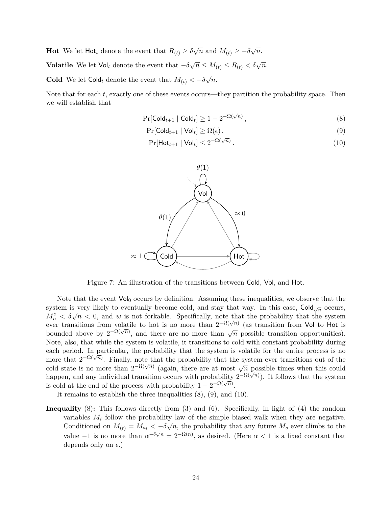**Hot** We let Hot<sub>*t*</sub> denote the event that  $R_{(t)} \ge \delta \sqrt{n}$  and  $M_{(t)} \ge -\delta \sqrt{n}$ . **Volatile** We let  $\text{Vol}_t$  denote the event that  $-\delta\sqrt{n} \leq M_{(t)} \leq R_{(t)} < \delta\sqrt{n}$ . **Cold** We let  $\text{Gold}_t$  denote the event that  $M_{(t)} < -\delta \sqrt{n}$ .

Note that for each *t*, exactly one of these events occurs—they partition the probability space. Then we will establish that

$$
\Pr[\text{Gold}_{t+1} \mid \text{Gold}_t] \ge 1 - 2^{-\Omega(\sqrt{n})},\tag{8}
$$

 $\Pr[\textsf{Gold}_{t+1} \mid \textsf{Vol}_t] \geq \Omega(\epsilon),$  (9)

$$
\Pr[\mathsf{Hot}_{t+1} \mid \mathsf{Vol}_t] \le 2^{-\Omega(\sqrt{n})} \,. \tag{10}
$$



Figure 7: An illustration of the transitions between Cold, Vol, and Hot.

Note that the event  $\text{Vol}_0$  occurs by definition. Assuming these inequalities, we observe that the system is very likely to eventually become cold, and stay that way. In this case,  $\text{Gold}_{\sqrt{n}}$  occurs, *M*<sup>◦</sup>  $\delta \sqrt{n}$  < 0, and *w* is not forkable. Specifically, note that the probability that the system  $m_n \leq v \sqrt{n} \leq 0$ , and w is not forward. Specifically, note that the probability that the system<br>ever transitions from volatile to hot is no more than  $2^{-\Omega(\sqrt{n})}$  (as transition from Vol to Hot is bounded above by  $2^{-\Omega(\sqrt{n})}$ , and there are no more than  $\sqrt{n}$  possible transition opportunities). Note, also, that while the system is volatile, it transitions to cold with constant probability during each period. In particular, the probability that the system is volatile for the entire process is no more that  $2^{-\Omega(\sqrt{n})}$ . Finally, note that the probability that the system ever transitions out of the more that  $2^{-\Omega(\sqrt{n})}$ . cold state is no more than  $2^{-\Omega(\sqrt{n})}$  (again, there are at most  $\sqrt{n}$  possible times when this could happen, and any individual transition occurs with probability  $2^{-\Omega(\sqrt{n})}$ ). It follows that the system  $\mu_{\text{appen}}$ , and any individual transition occurs with probability  $1 - 2^{-\Omega(\sqrt{n})}$ .

It remains to establish the three inequalities (8), (9), and (10).

**Inequality** (8): This follows directly from (3) and (6). Specifically, in light of (4) the random variables  $M_i$  follow the probability law of the simple biased walk when they are negative. Conditioned on  $M_{(t)} = M_{a_t} < -\delta \sqrt{n}$ , the probability that any future  $M_s$  ever climbs to the value −1 is no more than  $\alpha^{-\delta\sqrt{n}} = 2^{-\Omega(n)}$ , as desired. (Here  $\alpha$  < 1 is a fixed constant that depends only on  $\epsilon$ .)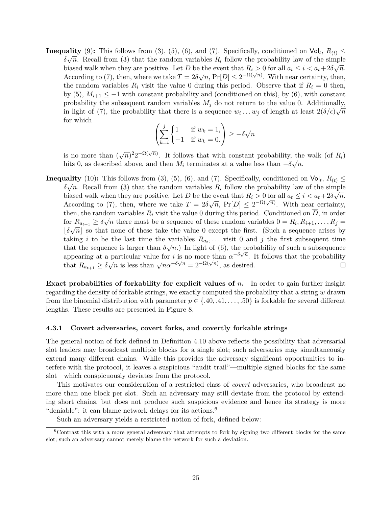**Inequality** (9): This follows from (3), (5), (6), and (7). Specifically, conditioned on  $\text{Vol}_t$ ,  $R_{(t)} \leq$  $\delta\sqrt{n}$ . Recall from (3) that the random variables  $R_i$  follow the probability law of the simple biased walk when they are positive. Let *D* be the event that  $R_i > 0$  for all  $a_t \leq i < a_t + 2\delta\sqrt{n}$ . blased want when they are positive. Let *D* be the event that  $R_i > 0$  for an  $a_t \le i < a_t + 2\delta\sqrt{n}$ .<br>According to (7), then, where we take  $T = 2\delta\sqrt{n}$ ,  $Pr[D] \le 2^{-\Omega(\sqrt{n})}$ . With near certainty, then, the random variables  $R_i$  visit the value 0 during this period. Observe that if  $R_i = 0$  then, by (5),  $M_{i+1} \leq -1$  with constant probability and (conditioned on this), by (6), with constant probability the subsequent random variables  $M_j$  do not return to the value 0. Additionally, in light of (7), the probability that there is a sequence  $w_i \dots w_j$  of length at least  $2(\delta/\epsilon)\sqrt{n}$ for which

$$
\left(\sum_{k=i}^{j} \begin{cases} 1 & \text{if } w_k = 1, \\ -1 & \text{if } w_k = 0. \end{cases}\right) \ge -\delta\sqrt{n}
$$

is no more than  $(\sqrt{n})^2 2^{-\Omega(\sqrt{n})}$ . It follows that with constant probability, the walk (of *R<sub>i</sub>*) hits 0, as described above, and then  $M_i$  terminates at a value less than  $-\delta\sqrt{n}$ .

**Inequality** (10): This follows from (3), (5), (6), and (7). Specifically, conditioned on  $Vol_t$ ,  $R_{(t)} \leq$  $\delta\sqrt{n}$ . Recall from (3) that the random variables  $R_i$  follow the probability law of the simple biased walk when they are positive. Let *D* be the event that  $R_i > 0$  for all  $a_t \leq i < a_t + 2\delta\sqrt{n}$ . blased walk when they are positive. Let *D* be the event that  $n_i > 0$  for an  $a_t \le i < a_t + 2\delta\sqrt{n}$ .<br>According to (7), then, where we take  $T = 2\delta\sqrt{n}$ ,  $Pr[D] \le 2^{-\Omega(\sqrt{n})}$ . With near certainty, then, the random variables  $R_i$  visit the value 0 during this period. Conditioned on *D*, in order for  $R_{a_{t+1}} \ge \delta \sqrt{n}$  there must be a sequence of these random variables  $0 = R_i, R_{i+1}, \ldots, R_j =$  $\lfloor \delta \sqrt{n} \rfloor$  so that none of these take the value 0 except the first. (Such a sequence arises by taking *i* to be the last time the variables  $R_{a_t}$ , ... visit 0 and *j* the first subsequent time that the sequence is larger than  $\delta\sqrt{n}$ .) In light of (6), the probability of such a subsequence appearing at a particular value for *i* is no more than  $\alpha^{-\delta\sqrt{n}}$ . It follows that the probability  $\alpha^{-\delta\sqrt{n}}$  and  $\alpha^{-\delta\sqrt{n}}$  and  $\alpha^{-\delta\sqrt{n}}$ . that  $R_{a_{t+1}} \ge \delta \sqrt{n}$  is less than  $\sqrt{n} \alpha^{-\delta \sqrt{n}} = 2^{-\Omega(\sqrt{n})}$ , as desired.  $\Box$ 

**Exact probabilities of forkability for explicit values of** *n***.** In order to gain further insight regarding the density of forkable strings, we exactly computed the probability that a string *w* drawn from the binomial distribution with parameter  $p \in \{.40, .41, \ldots, .50\}$  is forkable for several different lengths. These results are presented in Figure 8.

#### **4.3.1 Covert adversaries, covert forks, and covertly forkable strings**

The general notion of fork defined in Definition 4.10 above reflects the possibility that adversarial slot leaders may broadcast multiple blocks for a single slot; such adversaries may simultaneously extend many different chains. While this provides the adversary significant opportunities to interfere with the protocol, it leaves a suspicious "audit trail"—multiple signed blocks for the same slot—which conspicuously deviates from the protocol.

This motivates our consideration of a restricted class of *covert* adversaries, who broadcast no more than one block per slot. Such an adversary may still deviate from the protocol by extending short chains, but does not produce such suspicious evidence and hence its strategy is more "deniable": it can blame network delays for its actions.<sup>6</sup>

Such an adversary yields a restricted notion of fork, defined below:

 $6$ Contrast this with a more general adversary that attempts to fork by signing two different blocks for the same slot; such an adversary cannot merely blame the network for such a deviation.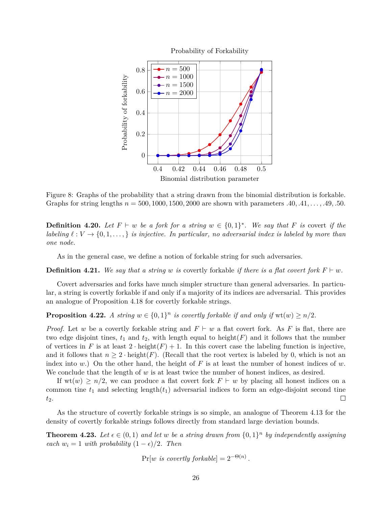

Figure 8: Graphs of the probability that a string drawn from the binomial distribution is forkable. Graphs for string lengths *n* = 500*,* 1000*,* 1500*,* 2000 are shown with parameters *.*40*, .*41*, . . . , .*49*, .*50.

**Definition 4.20.** Let  $F \vdash w$  be a fork for a string  $w \in \{0,1\}^*$ . We say that F is covert if the *labeling*  $\ell : V \to \{0, 1, \ldots\}$  *is injective. In particular, no adversarial index is labeled by more than one node.*

As in the general case, we define a notion of forkable string for such adversaries.

**Definition 4.21.** We say that a string w is covertly forkable if there is a flat covert fork  $F \vdash w$ .

Covert adversaries and forks have much simpler structure than general adversaries. In particular, a string is covertly forkable if and only if a majority of its indices are adversarial. This provides an analogue of Proposition 4.18 for covertly forkable strings.

**Proposition 4.22.** *A string*  $w \in \{0,1\}^n$  *is covertly forkable if and only if*  $wt(w) \geq n/2$ *.* 

*Proof.* Let *w* be a covertly forkable string and  $F \vdash w$  a flat covert fork. As *F* is flat, there are two edge disjoint tines,  $t_1$  and  $t_2$ , with length equal to height( $F$ ) and it follows that the number of vertices in *F* is at least  $2 \cdot \text{height}(F) + 1$ . In this covert case the labeling function is injective, and it follows that  $n \geq 2 \cdot \text{height}(F)$ . (Recall that the root vertex is labeled by 0, which is not an index into  $w$ .) On the other hand, the height of  $F$  is at least the number of honest indices of  $w$ . We conclude that the length of *w* is at least twice the number of honest indices, as desired.

If  $wt(w) \geq n/2$ , we can produce a flat covert fork  $F \vdash w$  by placing all honest indices on a common tine  $t_1$  and selecting length $(t_1)$  adversarial indices to form an edge-disjoint second tine  $\Box$ *t*2.

As the structure of covertly forkable strings is so simple, an analogue of Theorem 4.13 for the density of covertly forkable strings follows directly from standard large deviation bounds.

**Theorem 4.23.** Let  $\epsilon \in (0,1)$  and let w be a string drawn from  $\{0,1\}^n$  by independently assigning *each*  $w_i = 1$  *with probability*  $(1 - \epsilon)/2$ *. Then* 

 $Pr[w \text{ is coverly for} kable] = 2^{-\Theta(n)}$ .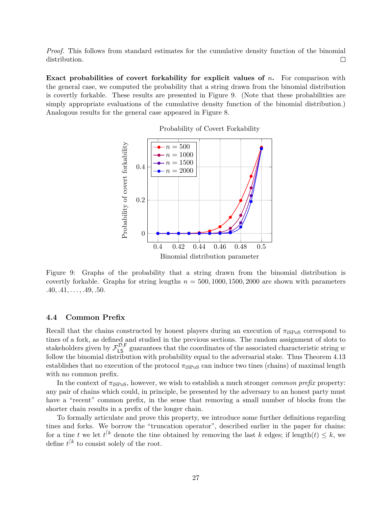*Proof.* This follows from standard estimates for the cumulative density function of the binomial distribution.  $\Box$ 

**Exact probabilities of covert forkability for explicit values of** *n***.** For comparison with the general case, we computed the probability that a string drawn from the binomial distribution is covertly forkable. These results are presented in Figure 9. (Note that these probabilities are simply appropriate evaluations of the cumulative density function of the binomial distribution.) Analogous results for the general case appeared in Figure 8.





Figure 9: Graphs of the probability that a string drawn from the binomial distribution is covertly forkable. Graphs for string lengths  $n = 500, 1000, 1500, 2000$  are shown with parameters *.*40*, .*41*, . . . , .*49*, .*50.

### **4.4 Common Prefix**

Recall that the chains constructed by honest players during an execution of  $\pi_{\text{iSPoS}}$  correspond to tines of a fork, as defined and studied in the previous sections. The random assignment of slots to stakeholders given by  $\mathcal{F}_{LS}^{\mathcal{D},F}$  guarantees that the coordinates of the associated characteristic string *w* follow the binomial distribution with probability equal to the adversarial stake. Thus Theorem 4.13 establishes that no execution of the protocol  $\pi_{\text{iSPoS}}$  can induce two tines (chains) of maximal length with no common prefix.

In the context of  $\pi_{\text{iSPoS}}$ , however, we wish to establish a much stronger *common prefix* property: any pair of chains which could, in principle, be presented by the adversary to an honest party must have a "recent" common prefix, in the sense that removing a small number of blocks from the shorter chain results in a prefix of the longer chain.

To formally articulate and prove this property, we introduce some further definitions regarding tines and forks. We borrow the "truncation operator", described earlier in the paper for chains: for a tine *t* we let  $t^{[k]}$  denote the tine obtained by removing the last *k* edges; if length $(t) \leq k$ , we define  $t^{k}$  to consist solely of the root.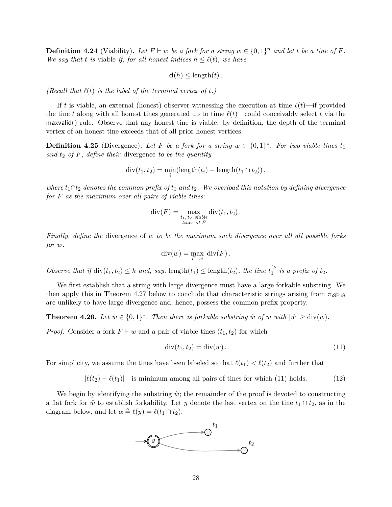**Definition 4.24** (Viability). Let  $F \vdash w$  be a fork for a string  $w \in \{0,1\}^n$  and let t be a tine of F. *We say that t is viable if, for all honest indices*  $h \leq \ell(t)$ *, we have* 

$$
\mathbf{d}(h) \leq \operatorname{length}(t).
$$

*(Recall that*  $\ell(t)$  *is the label of the terminal vertex of t.)* 

If *t* is viable, an external (honest) observer witnessing the execution at time  $\ell(t)$ —if provided the tine *t* along with all honest tines generated up to time  $\ell(t)$ —could conceivably select *t* via the maxvalid() rule. Observe that any honest tine is viable: by definition, the depth of the terminal vertex of an honest tine exceeds that of all prior honest vertices.

**Definition 4.25** (Divergence). Let F be a fork for a string  $w \in \{0,1\}^*$ . For two viable tines  $t_1$ *and t*<sup>2</sup> *of F, define their* divergence *to be the quantity*

$$
\operatorname{div}(t_1, t_2) = \min_i(\operatorname{length}(t_i) - \operatorname{length}(t_1 \cap t_2)),
$$

*where*  $t_1 \cap t_2$  *denotes the common prefix of*  $t_1$  *and*  $t_2$ *. We overload this notation by defining divergence for F as the maximum over all pairs of viable tines:*

$$
\operatorname{div}(F) = \max_{\substack{t_1, t_2 \text{ viable} \\ \text{times of } F}} \operatorname{div}(t_1, t_2).
$$

*Finally, define the* divergence of *w to be the maximum such divergence over all all possible forks for w:*

$$
\mathrm{div}(w) = \max_{F \vdash w} \mathrm{div}(F) \, .
$$

*Observe that if*  $\text{div}(t_1, t_2) \leq k$  *and, say,* length $(t_1) \leq \text{length}(t_2)$ *, the tine*  $t_1^{[k]}$  $\int_{1}^{\kappa}$  *is a prefix of*  $t_2$ .

We first establish that a string with large divergence must have a large forkable substring. We then apply this in Theorem 4.27 below to conclude that characteristic strings arising from  $\pi_{\rm{SPos}}$ are unlikely to have large divergence and, hence, possess the common prefix property.

**Theorem 4.26.** *Let*  $w \in \{0,1\}^*$ *. Then there is forkable substring*  $\check{w}$  *of*  $w$  *with*  $|\check{w}| \geq \text{div}(w)$ *.* 

*Proof.* Consider a fork  $F \vdash w$  and a pair of viable tines  $(t_1, t_2)$  for which

$$
\operatorname{div}(t_1, t_2) = \operatorname{div}(w). \tag{11}
$$

For simplicity, we assume the tines have been labeled so that  $\ell(t_1) < \ell(t_2)$  and further that

 $|\ell(t_2) - \ell(t_1)|$  is minimum among all pairs of tines for which (11) holds. (12)

We begin by identifying the substring  $\check{w}$ ; the remainder of the proof is devoted to constructing a flat fork for  $\check{w}$  to establish forkability. Let *y* denote the last vertex on the tine  $t_1 \cap t_2$ , as in the diagram below, and let  $\alpha \triangleq \ell(y) = \ell(t_1 \cap t_2)$ .

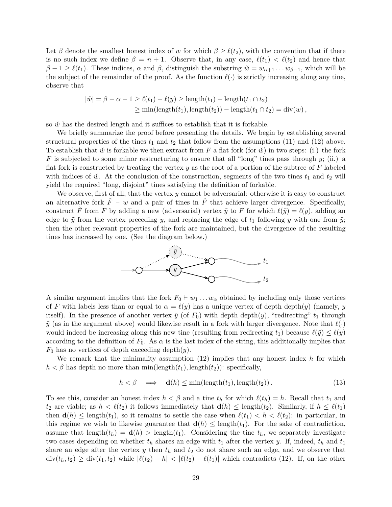Let  $\beta$  denote the smallest honest index of *w* for which  $\beta \geq \ell(t_2)$ , with the convention that if there is no such index we define  $\beta = n + 1$ . Observe that, in any case,  $\ell(t_1) < \ell(t_2)$  and hence that  $\beta - 1 \geq \ell(t_1)$ . These indices,  $\alpha$  and  $\beta$ , distinguish the substring  $\check{w} = w_{\alpha+1} \dots w_{\beta-1}$ , which will be the subject of the remainder of the proof. As the function  $\ell(\cdot)$  is strictly increasing along any tine, observe that

$$
|\check{w}| = \beta - \alpha - 1 \ge \ell(t_1) - \ell(y) \ge \text{length}(t_1) - \text{length}(t_1 \cap t_2)
$$
  
 
$$
\ge \min(\text{length}(t_1), \text{length}(t_2)) - \text{length}(t_1 \cap t_2) = \text{div}(w),
$$

so  $\check{w}$  has the desired length and it suffices to establish that it is forkable.

We briefly summarize the proof before presenting the details. We begin by establishing several structural properties of the tines  $t_1$  and  $t_2$  that follow from the assumptions (11) and (12) above. To establish that  $\check{w}$  is forkable we then extract from F a flat fork (for  $\check{w}$ ) in two steps: (i.) the fork *F* is subjected to some minor restructuring to ensure that all "long" tines pass through *y*; (ii.) a flat fork is constructed by treating the vertex *y* as the root of a portion of the subtree of *F* labeled with indices of  $\check{w}$ . At the conclusion of the construction, segments of the two tines  $t_1$  and  $t_2$  will yield the required "long, disjoint" tines satisfying the definition of forkable.

We observe, first of all, that the vertex *y* cannot be adversarial: otherwise it is easy to construct an alternative fork  $\tilde{F} \vdash w$  and a pair of tines in  $\tilde{F}$  that achieve larger divergence. Specifically, construct  $\tilde{F}$  from *F* by adding a new (adversarial) vertex  $\tilde{y}$  to *F* for which  $\ell(\tilde{y}) = \ell(y)$ , adding an edge to  $\tilde{y}$  from the vertex preceding *y*, and replacing the edge of  $t_1$  following *y* with one from  $\tilde{y}$ ; then the other relevant properties of the fork are maintained, but the divergence of the resulting tines has increased by one. (See the diagram below.)



A similar argument implies that the fork  $F_0 \vdash w_1 \ldots w_\alpha$  obtained by including only those vertices of *F* with labels less than or equal to  $\alpha = \ell(y)$  has a unique vertex of depth depth(*y*) (namely, *y* itself). In the presence of another vertex  $\tilde{y}$  (of  $F_0$ ) with depth depth $(y)$ , "redirecting"  $t_1$  through  $\tilde{y}$  (as in the argument above) would likewise result in a fork with larger divergence. Note that  $\ell(\cdot)$ would indeed be increasing along this new tine (resulting from redirecting  $t_1$ ) because  $\ell(\tilde{y}) \leq \ell(y)$ according to the definition of  $F_0$ . As  $\alpha$  is the last index of the string, this additionally implies that  $F_0$  has no vertices of depth exceeding depth $(y)$ .

We remark that the minimality assumption (12) implies that any honest index *h* for which  $h < \beta$  has depth no more than min(length( $t_1$ ), length( $t_2$ )): specifically,

$$
h < \beta \quad \implies \quad \mathbf{d}(h) \le \min(\text{length}(t_1), \text{length}(t_2)) \,. \tag{13}
$$

To see this, consider an honest index  $h < \beta$  and a tine  $t_h$  for which  $\ell(t_h) = h$ . Recall that  $t_1$  and  $t_2$  are viable; as  $h < \ell(t_2)$  it follows immediately that  $\mathbf{d}(h) \leq \text{length}(t_2)$ . Similarly, if  $h \leq \ell(t_1)$ then  $\mathbf{d}(h) \leq \text{length}(t_1)$ , so it remains to settle the case when  $\ell(t_1) < h < \ell(t_2)$ : in particular, in this regime we wish to likewise guarantee that  $\mathbf{d}(h) \leq \text{length}(t_1)$ . For the sake of contradiction, assume that length $(t_h) = d(h) >$  length $(t_1)$ . Considering the tine  $t_h$ , we separately investigate two cases depending on whether  $t_h$  shares an edge with  $t_1$  after the vertex *y*. If, indeed,  $t_h$  and  $t_1$ share an edge after the vertex  $y$  then  $t<sub>h</sub>$  and  $t<sub>2</sub>$  do not share such an edge, and we observe that  $\text{div}(t_h, t_2) \geq \text{div}(t_1, t_2)$  while  $|\ell(t_2) - h| < |\ell(t_2) - \ell(t_1)|$  which contradicts (12). If, on the other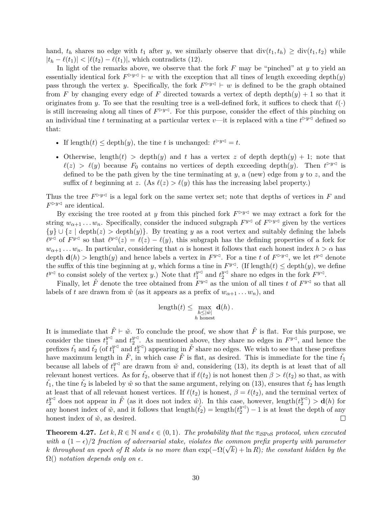hand,  $t_h$  shares no edge with  $t_1$  after *y*, we similarly observe that  $\text{div}(t_1, t_h) \geq \text{div}(t_1, t_2)$  while  $|t_h - \ell(t_1)| < |\ell(t_2) - \ell(t_1)|$ , which contradicts (12).

In light of the remarks above, we observe that the fork *F* may be "pinched" at *y* to yield an essentially identical fork  $F^{\triangleright y\triangleleft} \vdash w$  with the exception that all tines of length exceeding depth $(y)$ pass through the vertex *y*. Specifically, the fork  $F^{\triangleright y\triangleleft} \vdash w$  is defined to be the graph obtained from *F* by changing every edge of *F* directed towards a vertex of depth depth $(y) + 1$  so that it originates from *y*. To see that the resulting tree is a well-defined fork, it suffices to check that  $\ell(\cdot)$ is still increasing along all tines of  $F^{\triangleright y\triangleleft}$ . For this purpose, consider the effect of this pinching on an individual tine *t* terminating at a particular vertex *v*—it is replaced with a tine  $t^{yq}$  defined so that:

- If length $(t) \leq$  depth $(y)$ , the tine *t* is unchanged:  $t^{yq} = t$ .
- Otherwise,  $\text{length}(t) > \text{depth}(y)$  and t has a vertex z of depth  $\text{depth}(y) + 1$ ; note that  $\ell(z) > \ell(y)$  because  $F_0$  contains no vertices of depth exceeding depth $(y)$ . Then  $t^{yq}$  is defined to be the path given by the tine terminating at *y*, a (new) edge from *y* to *z*, and the suffix of *t* beginning at *z*. (As  $\ell(z) > \ell(y)$  this has the increasing label property.)

Thus the tree  $F^{\triangleright y\triangleleft}$  is a legal fork on the same vertex set; note that depths of vertices in *F* and  $F^{\triangleright y\triangleleft}$  are identical.

By excising the tree rooted at *y* from this pinched fork  $F^{\triangleright y\triangleleft}$  we may extract a fork for the string  $w_{\alpha+1} \ldots w_n$ . Specifically, consider the induced subgraph  $F^{y\triangleleft}$  of  $F^{\triangleright y\triangleleft}$  given by the vertices  $\{y\} \cup \{z \mid \text{depth}(z) > \text{depth}(y)\}\$ . By treating *y* as a root vertex and suitably defining the labels  $\ell^{y\triangleleft}$  of  $F^{y\triangleleft}$  so that  $\ell^{y\triangleleft}(z) = \ell(z) - \ell(y)$ , this subgraph has the defining properties of a fork for  $w_{\alpha+1} \ldots w_n$ . In particular, considering that  $\alpha$  is honest it follows that each honest index  $h > \alpha$  has depth  $\mathbf{d}(h)$  > length(*y*) and hence labels a vertex in  $F^{y\triangleleft}$ . For a tine *t* of  $F^{\triangleright y\triangleleft}$ , we let  $t^{y\triangleleft}$  denote the suffix of this tine beginning at *y*, which forms a tine in  $F^{y\lhd}$ . (If length(*t*)  $\leq$  depth(*y*), we define  $t^{y\triangleleft}$  to consist solely of the vertex *y*.) Note that  $t_1^{y\triangleleft}$  $y^{\triangleleft}$  and  $t_2^{y^{\triangleleft}}$  $y^{\triangleleft}$  share no edges in the fork  $F^{y\triangleleft}$ .

Finally, let  $\check{F}$  denote the tree obtained from  $\overline{F}^{y\triangleleft}$  as the union of all tines *t* of  $F^{y\triangleleft}$  so that all labels of *t* are drawn from  $\check{w}$  (as it appears as a prefix of  $w_{\alpha+1} \ldots w_n$ ), and

$$
\text{length}(t) \leq \max_{\substack{h \leq |\check{w}| \\ h \text{ honest}}} \mathbf{d}(h) .
$$

It is immediate that  $\check{F} \vdash \check{w}$ . To conclude the proof, we show that  $\check{F}$  is flat. For this purpose, we consider the tines  $t_1^{y\text{-}}$  $t_1^{y\triangleleft}$  and  $t_2^{y\triangleleft}$  $y \leq 2$ . As mentioned above, they share no edges in  $F^{y\leq 2}$ , and hence the prefixes  $\check{t_1}$  and  $\check{t_2}$  (of  $t_1^{y\triangleleft}$  $y \triangleleft$  and  $t_2^{y \triangleleft}$  $2^{y\triangleleft}$ ) appearing in  $\check{F}$  share no edges. We wish to see that these prefixes have maximum length in  $\check{F}$ , in which case  $\check{F}$  is flat, as desired. This is immediate for the tine  $\check{t_1}$ because all labels of  $t_1^{y\vartriangleleft}$  $y<sub>1</sub><sup>y<sub>1</sub></sup>$  are drawn from  $\check{w}$  and, considering (13), its depth is at least that of all relevant honest vertices. As for  $\check{t}_2$ , observe that if  $\ell(t_2)$  is not honest then  $\beta > \ell(t_2)$  so that, as with  $t_1$ , the tine  $t_2$  is labeled by  $\check{w}$  so that the same argument, relying on (13), ensures that  $t_2$  has length at least that of all relevant honest vertices. If  $\ell(t_2)$  is honest,  $\beta = \ell(t_2)$ , and the terminal vertex of  $t_2^{y\lhd}$  does not appear in  $\check{F}$  (as it does not index  $\check{w}$ ). In this case, however, length( $t_2^{y\lhd}$  $\mathbf{d} \left( h \right)$  for any honest index of  $\check{w}$ , and it follows that length( $\check{t}_2$ ) = length( $t_2^{y\lt 1}$ )  $\binom{y}{2} - 1$  is at least the depth of any honest index of  $\check{w}$ , as desired.  $\Box$ 

**Theorem 4.27.** *Let*  $k, R \in \mathbb{N}$  *and*  $\epsilon \in (0, 1)$ *. The probability that the*  $\pi_{\text{iSPoS}}$  *protocol, when executed with a*  $(1 - \epsilon)/2$  *fraction of adversarial stake, violates the common prefix property with parameter k throughout an epoch of R slots is no more than* exp( $-\Omega(\sqrt{k}) + \ln R$ ); the constant hidden by the  $\Omega()$  *notation depends only on*  $\epsilon$ .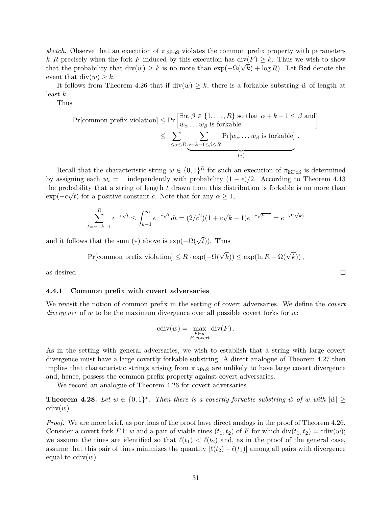*sketch.* Observe that an execution of  $\pi_{\text{isPos}}$  violates the common prefix property with parameters k, R precisely when the fork F induced by this execution has  $\text{div}(F) \geq k$ . Thus we wish to show  $\kappa$ ,  $\kappa$  precisely when the fork  $F$  induced by this execution has  $\text{div}(F) \geq \kappa$ . Thus we wish to show that the probability that  $\text{div}(w) \geq k$  is no more than  $\exp(-\Omega(\sqrt{k}) + \log R)$ . Let Bad denote the event that  $div(w) \geq k$ .

It follows from Theorem 4.26 that if  $\text{div}(w) \geq k$ , there is a forkable substring  $\check{w}$  of length at least *k*.

Thus

Pr[common prefix violation] 
$$
\leq
$$
 Pr  $\left[\begin{array}{l}\exists\alpha,\beta\in\{1,\ldots,R\}\text{ so that }\alpha+k-1\leq\beta\text{ and} \\ w_{\alpha}\ldots w_{\beta}\text{ is forkable}\end{array}\right]$   

$$
\leq \sum_{1\leq\alpha\leq R}\sum_{\alpha+k-1\leq\beta\leq R} \Pr[w_{\alpha}\ldots w_{\beta}\text{ is forkable}].
$$

Recall that the characteristic string  $w \in \{0,1\}^R$  for such an execution of  $\pi_{\text{iSPoS}}$  is determined by assigning each  $w_i = 1$  independently with probability  $(1 - \epsilon)/2$ . According to Theorem 4.13 the probability that a string of length  $t$  drawn from this distribution is forkable is no more than  $\exp(-c\sqrt{t})$  for a positive constant *c*. Note that for any  $\alpha \geq 1$ ,

$$
\sum_{t=\alpha+k-1}^{R} e^{-c\sqrt{t}} \le \int_{k-1}^{\infty} e^{-c\sqrt{t}} dt = (2/c^2)(1+c\sqrt{k-1})e^{-c\sqrt{k-1}} = e^{-\Omega(\sqrt{k})}
$$

and it follows that the sum (\*) above is  $\exp(-\Omega(\sqrt{t}))$ . Thus

Pr[common prefix violation] 
$$
\leq R \cdot \exp(-\Omega(\sqrt{k})) \leq \exp(\ln R - \Omega(\sqrt{k}))
$$
,

as desired.

#### **4.4.1 Common prefix with covert adversaries**

We revisit the notion of common prefix in the setting of covert adversaries. We define the *covert divergence* of *w* to be the maximum divergence over all possible covert forks for *w*:

$$
cdiv(w) = \max_{\substack{F \vdash w \\ F \text{ covert}}} \operatorname{div}(F).
$$

As in the setting with general adversaries, we wish to establish that a string with large covert divergence must have a large covertly forkable substring. A direct analogue of Theorem 4.27 then implies that characteristic strings arising from  $\pi_{\text{iSPoS}}$  are unlikely to have large covert divergence and, hence, possess the common prefix property against covert adversaries.

We record an analogue of Theorem 4.26 for covert adversaries.

**Theorem 4.28.** Let  $w \in \{0,1\}^*$ . Then there is a covertly forkable substring  $\check{w}$  of  $w$  with  $|\check{w}| \geq$  $cdiv(w)$ .

*Proof.* We are more brief, as portions of the proof have direct analogs in the proof of Theorem 4.26. Consider a covert fork  $F \vdash w$  and a pair of viable tines  $(t_1, t_2)$  of F for which  $\text{div}(t_1, t_2) = \text{cdiv}(w)$ ; we assume the tines are identified so that  $\ell(t_1) < \ell(t_2)$  and, as in the proof of the general case, assume that this pair of tines minimizes the quantity  $| \ell(t_2) - \ell(t_1) |$  among all pairs with divergence equal to  $cdiv(w)$ .

 $\Box$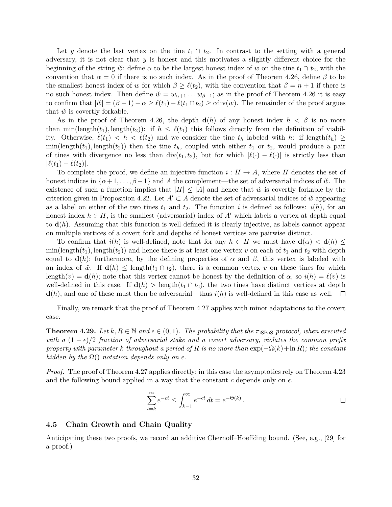Let y denote the last vertex on the tine  $t_1 \cap t_2$ . In contrast to the setting with a general adversary, it is not clear that *y* is honest and this motivates a slightly different choice for the beginning of the string  $\check{w}$ : define  $\alpha$  to be the largest honest index of  $w$  on the tine  $t_1 \cap t_2$ , with the convention that  $\alpha = 0$  if there is no such index. As in the proof of Theorem 4.26, define  $\beta$  to be the smallest honest index of *w* for which  $\beta \geq \ell(t_2)$ , with the convention that  $\beta = n + 1$  if there is no such honest index. Then define  $\check{w} = w_{\alpha+1} \dots w_{\beta-1}$ ; as in the proof of Theorem 4.26 it is easy to confirm that  $|\check{w}| = (\beta - 1) - \alpha \ge \ell(t_1) - \ell(t_1 \cap t_2) \ge \text{cdiv}(w)$ . The remainder of the proof argues that  $\check{w}$  is covertly for kable.

As in the proof of Theorem 4.26, the depth  $\mathbf{d}(h)$  of any honest index  $h < \beta$  is no more than min(length $(t_1)$ , length $(t_2)$ ): if  $h \leq \ell(t_1)$  this follows directly from the definition of viability. Otherwise,  $\ell(t_1) < h < \ell(t_2)$  and we consider the tine  $t_h$  labeled with *h*: if length $(t_h) \ge$ min(length( $t_1$ ), length( $t_2$ )) then the tine  $t_h$ , coupled with either  $t_1$  or  $t_2$ , would produce a pair of tines with divergence no less than  $\text{div}(t_1, t_2)$ , but for which  $|\ell(\cdot) - \ell(\cdot)|$  is strictly less than  $|\ell(t_1) - \ell(t_2)|.$ 

To complete the proof, we define an injective function  $i : H \to A$ , where *H* denotes the set of honest indices in  $\{\alpha+1,\ldots,\beta-1\}$  and A the complement—the set of adversarial indices of  $\check{w}$ . The existence of such a function implies that  $|H| \leq |A|$  and hence that  $\check{w}$  is covertly forkable by the criterion given in Proposition 4.22. Let  $A' \subset A$  denote the set of adversarial indices of  $\check{w}$  appearing as a label on either of the two tines  $t_1$  and  $t_2$ . The function *i* is defined as follows:  $i(h)$ , for an honest index  $h \in H$ , is the smallest (adversarial) index of  $A'$  which labels a vertex at depth equal to  $\mathbf{d}(h)$ . Assuming that this function is well-defined it is clearly injective, as labels cannot appear on multiple vertices of a covert fork and depths of honest vertices are pairwise distinct.

To confirm that  $i(h)$  is well-defined, note that for any  $h \in H$  we must have  $\mathbf{d}(\alpha) < \mathbf{d}(h) \leq$  $\min(\text{length}(t_1), \text{length}(t_2))$  and hence there is at least one vertex *v* on each of  $t_1$  and  $t_2$  with depth equal to  $\mathbf{d}(h)$ ; furthermore, by the defining properties of  $\alpha$  and  $\beta$ , this vertex is labeled with an index of  $\check{w}$ . If  $\mathbf{d}(h) \leq \text{length}(t_1 \cap t_2)$ , there is a common vertex *v* on these tines for which length(*v*) = **d**(*h*); note that this vertex cannot be honest by the definition of  $\alpha$ , so  $i(h) = \ell(v)$  is well-defined in this case. If  $\mathbf{d}(h) > \text{length}(t_1 \cap t_2)$ , the two tines have distinct vertices at depth  $\mathbf{d}(h)$ , and one of these must then be adversarial—thus  $i(h)$  is well-defined in this case as well.  $\Box$ 

Finally, we remark that the proof of Theorem 4.27 applies with minor adaptations to the covert case.

**Theorem 4.29.** *Let*  $k, R \in \mathbb{N}$  *and*  $\epsilon \in (0,1)$ *. The probability that the*  $\pi_{\text{isPos}}$  *protocol, when executed with a*  $(1 - \epsilon)/2$  *fraction of adversarial stake and a covert adversary, violates the common prefix property with parameter k throughout a period of*  $R$  *is no more than*  $\exp(-\Omega(k) + \ln R)$ ; the constant *hidden by the*  $\Omega()$  *notation depends only on*  $\epsilon$ .

*Proof.* The proof of Theorem 4.27 applies directly; in this case the asymptotics rely on Theorem 4.23 and the following bound applied in a way that the constant  $c$  depends only on  $\epsilon$ .

$$
\sum_{t=k}^{\infty} e^{-ct} \le \int_{k-1}^{\infty} e^{-ct} dt = e^{-\Theta(k)}.
$$

#### **4.5 Chain Growth and Chain Quality**

Anticipating these two proofs, we record an additive Chernoff–Hoeffding bound. (See, e.g., [29] for a proof.)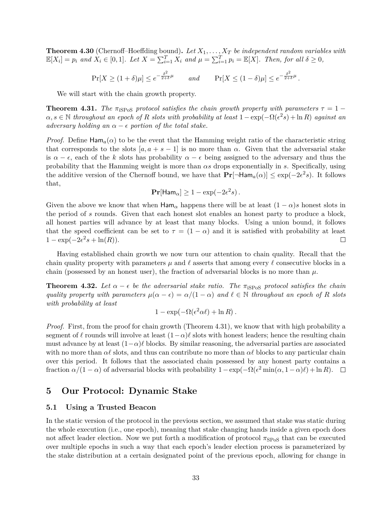**Theorem 4.30** (Chernoff–Hoeffding bound)**.** *Let X*1*, . . . , X<sup>T</sup> be independent random variables with*  $\mathbb{E}[X_i] = p_i$  and  $X_i \in [0,1]$ . Let  $X = \sum_{i=1}^T X_i$  and  $\mu = \sum_{i=1}^T p_i = \mathbb{E}[X]$ . Then, for all  $\delta \ge 0$ ,

$$
\Pr[X \ge (1+\delta)\mu] \le e^{-\frac{\delta^2}{2+\delta}\mu} \quad \text{and} \quad \Pr[X \le (1-\delta)\mu] \le e^{-\frac{\delta^2}{2+\delta}\mu}.
$$

We will start with the chain growth property.

**Theorem 4.31.** *The*  $\pi_{\text{iSPoS}}$  *protocol satisfies the chain growth property with parameters*  $\tau = 1 - \frac{1}{\pi}$  $\alpha, s \in \mathbb{N}$  *throughout an epoch of R slots with probability at least*  $1 - \exp(-\Omega(\epsilon^2 s) + \ln R)$  *against an adversary holding an*  $\alpha - \epsilon$  *portion of the total stake.* 

*Proof.* Define  $\text{Ham}_a(\alpha)$  to be the event that the Hamming weight ratio of the characteristic string that corresponds to the slots  $[a, a + s - 1]$  is no more than  $\alpha$ . Given that the adversarial stake is  $\alpha - \epsilon$ , each of the k slots has probability  $\alpha - \epsilon$  being assigned to the adversary and thus the probability that the Hamming weight is more than *αs* drops exponentially in *s*. Specifically, using the additive version of the Chernoff bound, we have that  $\Pr[\neg \text{Ham}_a(\alpha)] \leq \exp(-2\epsilon^2 s)$ . It follows that,

$$
\mathbf{Pr}[\mathsf{Ham}_{\alpha}] \ge 1 - \exp(-2\epsilon^2 s).
$$

Given the above we know that when  $\text{Ham}_{\alpha}$  happens there will be at least  $(1 - \alpha)s$  honest slots in the period of *s* rounds. Given that each honest slot enables an honest party to produce a block, all honest parties will advance by at least that many blocks. Using a union bound, it follows that the speed coefficient can be set to  $\tau = (1 - \alpha)$  and it is satisfied with probability at least  $1 - \exp(-2\epsilon^2 s + \ln(R)).$  $\Box$ 

Having established chain growth we now turn our attention to chain quality. Recall that the chain quality property with parameters  $\mu$  and  $\ell$  asserts that among every  $\ell$  consecutive blocks in a chain (possessed by an honest user), the fraction of adversarial blocks is no more than  $\mu$ .

**Theorem 4.32.** Let  $\alpha - \epsilon$  be the adversarial stake ratio. The  $\pi_{\text{iSPoS}}$  protocol satisfies the chain *quality property with parameters*  $\mu(\alpha - \epsilon) = \alpha/(1 - \alpha)$  and  $\ell \in \mathbb{N}$  throughout an epoch of R slots *with probability at least*

$$
1 - \exp(-\Omega(\epsilon^2 \alpha \ell) + \ln R).
$$

*Proof.* First, from the proof for chain growth (Theorem 4.31), we know that with high probability a segment of  $\ell$  rounds will involve at least  $(1-\alpha)\ell$  slots with honest leaders; hence the resulting chain must advance by at least  $(1-\alpha)\ell$  blocks. By similar reasoning, the adversarial parties are associated with no more than  $\alpha\ell$  slots, and thus can contribute no more than  $\alpha\ell$  blocks to any particular chain over this period. It follows that the associated chain possessed by any honest party contains a fraction  $\alpha/(1 - \alpha)$  of adversarial blocks with probability  $1 - \exp(-\Omega(\epsilon^2 \min(\alpha, 1 - \alpha)\ell) + \ln R)$ .

## **5 Our Protocol: Dynamic Stake**

### **5.1 Using a Trusted Beacon**

In the static version of the protocol in the previous section, we assumed that stake was static during the whole execution (i.e., one epoch), meaning that stake changing hands inside a given epoch does not affect leader election. Now we put forth a modification of protocol  $\pi_{SPoS}$  that can be executed over multiple epochs in such a way that each epoch's leader election process is parameterized by the stake distribution at a certain designated point of the previous epoch, allowing for change in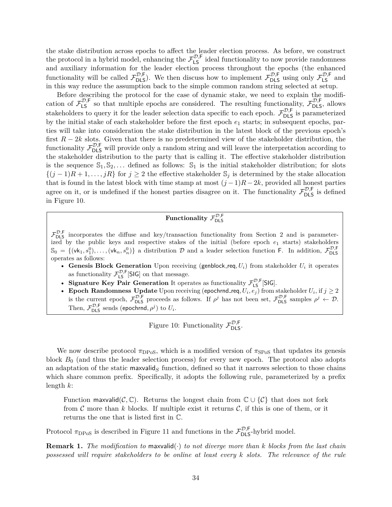the stake distribution across epochs to affect the leader election process. As before, we construct the protocol in a hybrid model, enhancing the  $\mathcal{F}_{LS}^{\mathcal{D},F}$  ideal functionality to now provide randomness and auxiliary information for the leader election process throughout the epochs (the enhanced functionality will be called  $\mathcal{F}_{\text{DLS}}^{\mathcal{D},\mathsf{F}}$ . We then discuss how to implement  $\mathcal{F}_{\text{DLS}}^{\mathcal{D},\mathsf{F}}$  using only  $\mathcal{F}_{\text{LS}}^{\mathcal{D},\mathsf{F}}$  and in this way reduce the assumption back to the simple common random string selected at setup.

Before describing the protocol for the case of dynamic stake, we need to explain the modification of  $\mathcal{F}_{LS}^{\mathcal{D},\mathsf{F}}$  so that multiple epochs are considered. The resulting functionality,  $\mathcal{F}_{OLS}^{\mathcal{D},\mathsf{F}}$ , allows stakeholders to query it for the leader selection data specific to each epoch.  $\mathcal{F}_{\text{DLS}}^{\mathcal{D},\mathsf{F}}$  is parameterized by the initial stake of each stakeholder before the first epoch *e*<sup>1</sup> starts; in subsequent epochs, parties will take into consideration the stake distribution in the latest block of the previous epoch's first *R* − 2*k* slots. Given that there is no predetermined view of the stakeholder distribution, the functionality  $\mathcal{F}_{\text{DLS}}^{\mathcal{D},\mathsf{F}}$  will provide only a random string and will leave the interpretation according to the stakeholder distribution to the party that is calling it. The effective stakeholder distribution is the sequence  $\mathbb{S}_1, \mathbb{S}_2, \ldots$  defined as follows:  $\mathbb{S}_1$  is the initial stakeholder distribution; for slots  $\{(j-1)R+1,\ldots,jR\}$  for  $j\geq 2$  the effective stakeholder  $\mathbb{S}_j$  is determined by the stake allocation that is found in the latest block with time stamp at most  $(j-1)R-2k$ , provided all honest parties agree on it, or is undefined if the honest parties disagree on it. The functionality  $\mathcal{F}_{\text{DLS}}^{\mathcal{D},\mathsf{F}}$  is defined in Figure 10.

# Functionality  $\mathcal{F}_{\textsf{DLS}}^{\mathcal{D},\mathsf{F}}$

 $\mathcal{F}_{\text{DLS}}^{\mathcal{D},\mathsf{F}}$  incorporates the diffuse and key/transaction functionality from Section 2 and is parameterized by the public keys and respective stakes of the initial (before epoch *e*<sup>1</sup> starts) stakeholders  $\mathbb{S}_0 = \{(\mathsf{vk}_1, s_1^0), \ldots, (\mathsf{vk}_n, s_n^0)\}\$ a distribution D and a leader selection function F. In addition,  $\mathcal{F}_{\text{DLS}}^{\mathcal{D},\mathsf{F}}$ operates as follows:

- Genesis Block Generation Upon receiving (genblock\_req,  $U_i$ ) from stakeholder  $U_i$  it operates as functionality  $\mathcal{F}_{LS}^{\mathcal{D},\mathsf{F}}[\textsf{SIG}]$  on that message.
- **Signature Key Pair Generation** It operates as functionality  $\mathcal{F}_{LS}^{\mathcal{D},F}$  [SIG].
- **Epoch Randomness Update** Upon receiving (epochrnd\_req,  $U_i$ ,  $e_j$ ) from stakeholder  $U_i$ , if  $j \geq 2$ is the current epoch,  $\mathcal{F}_{\text{DLS}}^{\mathcal{D},\mathsf{F}}$  proceeds as follows. If  $\rho^j$  has not been set,  $\mathcal{F}_{\text{DLS}}^{\mathcal{D},\mathsf{F}}$  samples  $\rho^j \leftarrow \mathcal{D}$ . Then,  $\mathcal{F}_{\textsf{DLS}}^{\mathcal{D},\mathsf{F}}$  sends (epochrnd,  $\rho^j$ ) to  $U_i$ .

Figure 10: Functionality  $\mathcal{F}_{\text{DLS}}^{\mathcal{D},\mathsf{F}}$ .

We now describe protocol  $\pi_{\text{DPos}}$ , which is a modified version of  $\pi_{\text{SPos}}$  that updates its genesis block  $B_0$  (and thus the leader selection process) for every new epoch. The protocol also adopts an adaptation of the static maxvalid<sub>S</sub> function, defined so that it narrows selection to those chains which share common prefix. Specifically, it adopts the following rule, parameterized by a prefix length *k*:

Function maxvalid( $\mathcal{C}, \mathbb{C}$ ). Returns the longest chain from  $\mathbb{C} \cup \{ \mathcal{C} \}$  that does not fork from  $\mathcal C$  more than  $k$  blocks. If multiple exist it returns  $\mathcal C$ , if this is one of them, or it returns the one that is listed first in C.

Protocol  $\pi_{\text{DPos}}$  is described in Figure 11 and functions in the  $\mathcal{F}_{\text{DLS}}^{\mathcal{D},\mathsf{F}}$ -hybrid model.

**Remark 1.** *The modification to* maxvalid(·) *to not diverge more than k blocks from the last chain possessed will require stakeholders to be online at least every k slots. The relevance of the rule*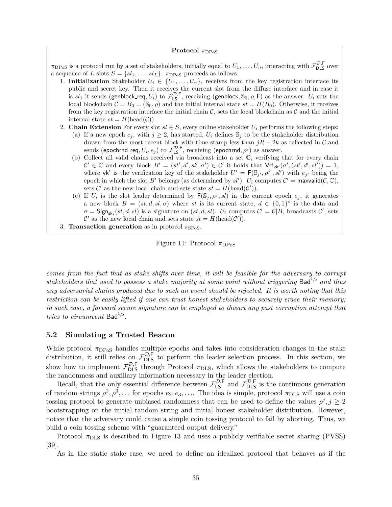#### **Protocol** *π*<sub>DPoS</sub>

 $\pi_{\text{DPos}}$  is a protocol run by a set of stakeholders, initially equal to  $U_1, \ldots, U_n$ , interacting with  $\mathcal{F}_{\text{DLS}}^{\mathcal{D}, \mathsf{F}}$  over a sequence of *L* slots  $S = \{sl_1, \ldots, sl_L\}$ .  $\pi_{\text{DPos}}$  proceeds as follows:

- 1. **Initialization** Stakeholder  $U_i \in \{U_1, \ldots, U_n\}$ , receives from the key registration interface its public and secret key. Then it receives the current slot from the diffuse interface and in case it is  $sl_1$  it sends (genblock\_req,  $U_i$ ) to  $\mathcal{F}_{LS}^{\mathcal{D},F}$ , receiving (genblock,  $\mathbb{S}_0$ ,  $\rho, F$ ) as the answer.  $U_i$  sets the local blockchain  $C = B_0 = (\mathbb{S}_0, \rho)$  and the initial internal state  $st = H(B_0)$ . Otherwise, it receives from the key registration interface the initial chain  $\mathcal{C}$ , sets the local blockchain as  $\mathcal{C}$  and the initial internal state  $st = H(\text{head}(\mathcal{C}))$ .
- 2. **Chain Extension** For every slot  $sl \in S$ , every online stakeholder  $U_i$  performs the following steps: (a) If a new epoch  $e_j$ , with  $j \geq 2$ , has started,  $U_i$  defines  $\mathbb{S}_j$  to be the stakeholder distribution drawn from the most recent block with time stamp less than *jR* − 2*k* as reflected in C and sends (epochrnd\_req,  $U_i, e_j$ ) to  $\mathcal{F}_{\mathsf{LS}}^{\mathcal{D},\mathsf{F}}$ , receiving (epochrnd,  $\rho^j$ ) as answer.
	- (b) Collect all valid chains received via broadcast into a set C, verifying that for every chain  $\mathcal{C}' \in \mathbb{C}$  and every block  $B' = (st', d', s l', \sigma') \in \mathcal{C}'$  it holds that  $\text{Vrf}_{\text{vk'}}(\sigma', (st', d', s l')) = 1$ , where vk' is the verification key of the stakeholder  $U' = F(\mathbb{S}_{j'}, \rho^{j'}, s l')$  with  $e_{j'}$  being the epoch in which the slot *B*<sup>*i*</sup> belongs (as determined by *sl'*).  $U_i$  computes  $\mathcal{C}' = \max$ valid $(\mathcal{C}, \mathbb{C}),$ sets  $\mathcal{C}'$  as the new local chain and sets state  $st = H(\text{head}(\mathcal{C}'))$ .
	- (c) If  $U_i$  is the slot leader determined by  $F(\mathbb{S}_j, \rho^j, sl)$  in the current epoch  $e_j$ , it generates a new block  $B = (st, d, sl, \sigma)$  where *st* is its current state,  $d \in \{0, 1\}^*$  is the data and  $\sigma = \mathsf{Sign}_{\mathsf{sk}_i}(st, d, sl)$  is a signature on  $(st, d, sl)$ .  $U_i$  computes  $\mathcal{C}' = \mathcal{C}|B$ , broadcasts  $\mathcal{C}'$ , sets C' as the new local chain and sets state  $st = H(\text{head}(C'))$ .
- 3. **Transaction generation** as in protocol  $\pi_{\text{SPoS}}$ .

### Figure 11: Protocol  $π<sub>DPoS</sub>$

*comes from the fact that as stake shifts over time, it will be feasible for the adversary to corrupt stakeholders that used to possess a stake majority at some point without triggering* Bad<sup>1/2</sup> and thus *any adversarial chains produced due to such an event should be rejected. It is worth noting that this restriction can be easily lifted if one can trust honest stakeholders to securely erase their memory; in such case, a forward secure signature can be employed to thwart any past corruption attempt that tries to circumvent* Bad<sup>1/2</sup>.

### **5.2 Simulating a Trusted Beacon**

While protocol  $\pi_{\text{DPos}}$  handles multiple epochs and takes into consideration changes in the stake distribution, it still relies on  $\mathcal{F}_{\text{DLS}}^{\mathcal{D},\mathsf{F}}$  to perform the leader selection process. In this section, we show how to implement  $\mathcal{F}_{\text{DLS}}^{\mathcal{D},\mathsf{F}}$  through Protocol  $\pi_{\text{DLS}}$ , which allows the stakeholders to compute the randomness and auxiliary information necessary in the leader election.

Recall, that the only essential difference between  $\mathcal{F}_{LS}^{\mathcal{D},F}$  and  $\mathcal{F}_{DIS}^{\mathcal{D},F}$  is the continuous generation of random strings  $\rho^2, \rho^3, \ldots$  for epochs  $e_2, e_3, \ldots$  The idea is simple, protocol  $\pi_{\text{DLS}}$  will use a coin tossing protocol to generate unbiased randomness that can be used to define the values  $\rho^j, j \geq 2$ bootstrapping on the initial random string and initial honest stakeholder distribution. However, notice that the adversary could cause a simple coin tossing protocol to fail by aborting. Thus, we build a coin tossing scheme with "guaranteed output delivery."

Protocol  $\pi_{\text{DLS}}$  is described in Figure 13 and uses a publicly verifiable secret sharing (PVSS) [39].

As in the static stake case, we need to define an idealized protocol that behaves as if the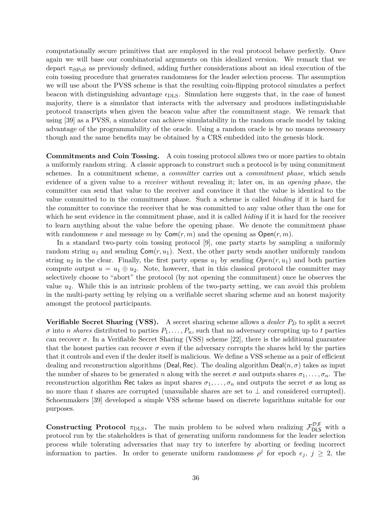computationally secure primitives that are employed in the real protocol behave perfectly. Once again we will base our combinatorial arguments on this idealized version. We remark that we depart  $\pi_{\text{isPos}}$  as previously defined, adding further considerations about an ideal execution of the coin tossing procedure that generates randomness for the leader selection process. The assumption we will use about the PVSS scheme is that the resulting coin-flipping protocol simulates a perfect beacon with distinguishing advantage  $\epsilon_{\text{DLS}}$ . Simulation here suggests that, in the case of honest majority, there is a simulator that interacts with the adversary and produces indistinguishable protocol transcripts when given the beacon value after the commitment stage. We remark that using [39] as a PVSS, a simulator can achieve simulatability in the random oracle model by taking advantage of the programmability of the oracle. Using a random oracle is by no means necessary though and the same benefits may be obtained by a CRS embedded into the genesis block.

**Commitments and Coin Tossing.** A coin tossing protocol allows two or more parties to obtain a uniformly random string. A classic approach to construct such a protocol is by using commitment schemes. In a commitment scheme, a *committer* carries out a *commitment phase*, which sends evidence of a given value to a *receiver* without revealing it; later on, in an *opening phase*, the committer can send that value to the receiver and convince it that the value is identical to the value committed to in the commitment phase. Such a scheme is called *binding* if it is hard for the committer to convince the receiver that he was committed to any value other than the one for which he sent evidence in the commitment phase, and it is called *hiding* if it is hard for the receiver to learn anything about the value before the opening phase. We denote the commitment phase with randomness r and message m by  $\text{Com}(r,m)$  and the opening as  $\text{Open}(r,m)$ .

In a standard two-party coin tossing protocol [9], one party starts by sampling a uniformly random string  $u_1$  and sending  $\textsf{Com}(r, u_1)$ . Next, the other party sends another uniformly random string  $u_2$  in the clear. Finally, the first party opens  $u_1$  by sending  $Open(r, u_1)$  and both parties compute output  $u = u_1 \oplus u_2$ . Note, however, that in this classical protocol the committer may selectively choose to "abort" the protocol (by not opening the commitment) once he observes the value *u*2. While this is an intrinsic problem of the two-party setting, we can avoid this problem in the multi-party setting by relying on a verifiable secret sharing scheme and an honest majority amongst the protocol participants.

**Verifiable Secret Sharing (VSS).** A secret sharing scheme allows a *dealer P<sup>D</sup>* to split a secret  $\sigma$  into *n* shares distributed to parties  $P_1, \ldots, P_n$ , such that no adversary corrupting up to *t* parties can recover  $\sigma$ . In a Verifiable Secret Sharing (VSS) scheme [22], there is the additional guarantee that the honest parties can recover  $\sigma$  even if the adversary corrupts the shares held by the parties that it controls and even if the dealer itself is malicious. We define a VSS scheme as a pair of efficient dealing and reconstruction algorithms (Deal, Rec). The dealing algorithm  $\text{Deal}(n, \sigma)$  takes as input the number of shares to be generated *n* along with the secret  $\sigma$  and outputs shares  $\sigma_1, \ldots, \sigma_n$ . The reconstruction algorithm Rec takes as input shares  $\sigma_1, \ldots, \sigma_n$  and outputs the secret  $\sigma$  as long as no more than *t* shares are corrupted (unavailable shares are set to  $\perp$  and considered corrupted). Schoenmakers [39] developed a simple VSS scheme based on discrete logarithms suitable for our purposes.

**Constructing Protocol**  $\pi_{\text{DLS}}$ . The main problem to be solved when realizing  $\mathcal{F}_{\text{DLS}}^{\mathcal{D},\mathsf{F}}$  with a protocol run by the stakeholders is that of generating uniform randomness for the leader selection process while tolerating adversaries that may try to interfere by aborting or feeding incorrect information to parties. In order to generate uniform randomness  $\rho^j$  for epoch  $e_j$ ,  $j \geq 2$ , the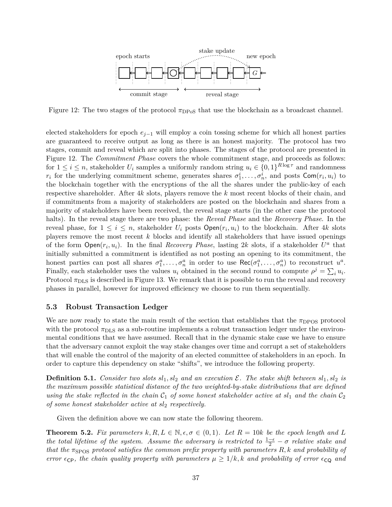

Figure 12: The two stages of the protocol  $\pi_{\text{DPos}}$  that use the blockchain as a broadcast channel.

elected stakeholders for epoch *ej*−<sup>1</sup> will employ a coin tossing scheme for which all honest parties are guaranteed to receive output as long as there is an honest majority. The protocol has two stages, commit and reveal which are split into phases. The stages of the protocol are presented in Figure 12. The *Commitment Phase* covers the whole commitment stage, and proceeds as follows: for  $1 \leq i \leq n$ , stakeholder  $U_i$  samples a uniformly random string  $u_i \in \{0,1\}^{R \log \tau}$  and randomness *r*<sub>*i*</sub> for the underlying commitment scheme, generates shares  $\sigma_1^i, \ldots, \sigma_n^i$ , and posts  $\textsf{Com}(r_i, u_i)$  to the blockchain together with the encryptions of the all the shares under the public-key of each respective shareholder. After 4*k* slots, players remove the *k* most recent blocks of their chain, and if commitments from a majority of stakeholders are posted on the blockchain and shares from a majority of stakeholders have been received, the reveal stage starts (in the other case the protocol halts). In the reveal stage there are two phase: the *Reveal Phase* and the *Recovery Phase*. In the reveal phase, for  $1 \leq i \leq n$ , stakeholder  $U_i$  posts  $\mathsf{Open}(r_i,u_i)$  to the blockchain. After  $4k$  slots players remove the most recent *k* blocks and identify all stakeholders that have issued openings of the form  $Open(r_i, u_i)$ . In the final *Recovery Phase*, lasting 2k slots, if a stakeholder  $U^a$  that initially submitted a commitment is identified as not posting an opening to its commitment, the honest parties can post all shares  $\sigma_1^a, \ldots, \sigma_n^a$  in order to use  $\text{Rec}(\sigma_1^a, \ldots, \sigma_n^a)$  to reconstruct  $u^a$ . Finally, each stakeholder uses the values  $u_i$  obtained in the second round to compute  $\rho^j = \sum_i u_i$ . Protocol  $\pi_{\text{DLS}}$  is described in Figure 13. We remark that it is possible to run the reveal and recovery phases in parallel, however for improved efficiency we choose to run them sequentially.

### **5.3 Robust Transaction Ledger**

We are now ready to state the main result of the section that establishes that the  $\pi_{\text{DPOS}}$  protocol with the protocol  $\pi_{\text{DLS}}$  as a sub-routine implements a robust transaction ledger under the environmental conditions that we have assumed. Recall that in the dynamic stake case we have to ensure that the adversary cannot exploit the way stake changes over time and corrupt a set of stakeholders that will enable the control of the majority of an elected committee of stakeholders in an epoch. In order to capture this dependency on stake "shifts", we introduce the following property.

**Definition 5.1.** *Consider two slots*  $sl_1, sl_2$  *and an execution*  $\mathcal{E}$ *. The stake shift between*  $sl_1, sl_2$  *is the maximum possible statistical distance of the two weighted-by-stake distributions that are defined using the stake reflected in the chain*  $C_1$  *of some honest stakeholder active at*  $sl_1$  *and the chain*  $C_2$ *of some honest stakeholder active at sl*<sup>2</sup> *respectively.*

Given the definition above we can now state the following theorem.

**Theorem 5.2.** *Fix parameters*  $k, R, L \in \mathbb{N}, \epsilon, \sigma \in (0, 1)$ *. Let*  $R = 10k$  *be the epoch length and L the total lifetime of the system. Assume the adversary is restricted to*  $\frac{1-\epsilon}{2} - \sigma$  *relative stake and that the*  $\pi$ <sub>SPOS</sub> protocol satisfies the common prefix property with parameters  $R$ ,  $k$  and probability of *error*  $\epsilon_{\text{CP}}$ *, the chain quality property with parameters*  $\mu \geq 1/k$ *, k and probability of error*  $\epsilon_{\text{CQ}}$  *and*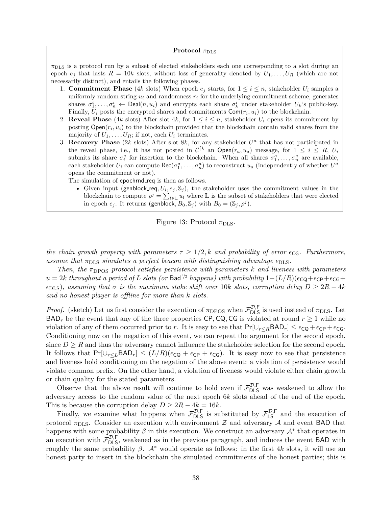#### **Protocol**  $π_{\text{DLS}}$

 $\pi_{\text{DLS}}$  is a protocol run by a subset of elected stakeholders each one corresponding to a slot during an epoch  $e_i$  that lasts  $R = 10k$  slots, without loss of generality denoted by  $U_1, \ldots, U_R$  (which are not necessarily distinct), and entails the following phases.

- 1. **Commitment Phase** (4*k* slots) When epoch  $e_j$  starts, for  $1 \leq i \leq n$ , stakeholder  $U_i$  samples a uniformly random string  $u_i$  and randomness  $r_i$  for the underlying commitment scheme, generates shares  $\sigma_1^i, \ldots, \sigma_n^i$  ← Deal $(n, u_i)$  and encrypts each share  $\sigma_k^i$  under stakeholder  $U_k$ 's public-key. Finally,  $U_i$  posts the encrypted shares and commitments  $\textsf{Com}(r_i, u_i)$  to the blockchain.
- 2. **Reveal Phase** (4*k* slots) After slot 4*k*, for  $1 \leq i \leq n$ , stakeholder  $U_i$  opens its commitment by posting  $Open(r_i, u_i)$  to the blockchain provided that the blockchain contain valid shares from the majority of  $U_1, \ldots, U_R$ ; if not, each  $U_i$  terminates.
- 3. **Recovery Phase** (2k slots) After slot 8k, for any stakeholder  $U^a$  that has not participated in the reveal phase, i.e., it has not posted in  $\mathcal{C}^{\lceil k \rceil}$  an Open $(r_a, u_a)$  message, for  $1 \leq i \leq R$ ,  $U_i$ submits its share  $\sigma_i^a$  for insertion to the blockchain. When all shares  $\sigma_1^a, \ldots, \sigma_n^a$  are available, each stakeholder  $U_i$  can compute  $\text{Rec}(\sigma_1^a, \ldots, \sigma_n^a)$  to reconstruct  $u_a$  (independently of whether  $U^a$ opens the commitment or not).
	- The simulation of epochrnd req is then as follows.
		- Given input (genblock req,  $U_i$ ,  $e_j$ ,  $\mathbb{S}_j$ ), the stakeholder uses the commitment values in the blockchain to compute  $\rho^j = \sum_{l \in \mathbb{L}} u_l$  where  $\mathbb{L}$  is the subset of stakeholders that were elected in epoch  $e_j$ . It returns (genblock,  $B_0$ ,  $\mathbb{S}_j$ ) with  $B_0 = (\mathbb{S}_j, \rho^j)$ .



*the chain growth property with parameters*  $\tau \geq 1/2$ , k and probability of error  $\epsilon_{\text{CG}}$ . Furthermore, *assume that*  $\pi_{\text{DIS}}$  *simulates a perfect beacon with distinguishing advantage*  $\epsilon_{\text{DIS}}$ .

*Then, the*  $\pi_{\text{DPOS}}$  protocol satisfies persistence with parameters k and liveness with parameters  $u = 2k$  *throughout a period of L slots (or* Bad<sup>1/2</sup> *happens) with probability*  $1-(L/R)(\epsilon_{\text{CQ}}+\epsilon_{\text{CP}}+\epsilon_{\text{CG}}+$  $\epsilon_{\text{DLS}}$ ), assuming that  $\sigma$  is the maximum stake shift over 10*k* slots, corruption delay  $D \geq 2R - 4k$ *and no honest player is offline for more than k slots.*

*Proof.* (sketch) Let us first consider the execution of  $\pi_{\text{DPOS}}$  when  $\mathcal{F}_{\text{DLS}}^{\mathcal{D},\mathsf{F}}$  is used instead of  $\pi_{\text{DLS}}$ . Let BAD<sub>r</sub> be the event that any of the three properties CP, CQ, CG is violated at round  $r \geq 1$  while no violation of any of them occurred prior to *r*. It is easy to see that  $Pr[\cup_{r \leq R} BAD_r] \leq \epsilon_{CQ} + \epsilon_{CP} + \epsilon_{CG}$ . Conditioning now on the negation of this event, we can repeat the argument for the second epoch, since  $D \geq R$  and thus the adversary cannot influence the stakeholder selection for the second epoch. It follows that  $Pr[\cup_{r\leq L}BAD_r] \leq (L/R)(\epsilon_{CQ}+\epsilon_{CP}+\epsilon_{CG})$ . It is easy now to see that persistence and liveness hold conditioning on the negation of the above event: a violation of persistence would violate common prefix. On the other hand, a violation of liveness would violate either chain growth or chain quality for the stated parameters.

Observe that the above result will continue to hold even if  $\mathcal{F}_{\text{DLS}}^{\mathcal{D},F}$  was weakened to allow the adversary access to the random value of the next epoch 6*k* slots ahead of the end of the epoch. This is because the corruption delay  $D \geq 2R - 4k = 16k$ .

Finally, we examine what happens when  $\mathcal{F}_{\text{DLS}}^{\mathcal{D},\text{F}}$  is substituted by  $\mathcal{F}_{\text{LS}}^{\mathcal{D},\text{F}}$  and the execution of protocol  $\pi_{\text{DLS}}$ . Consider an execution with environment Z and adversary A and event BAD that happens with some probability  $\beta$  in this execution. We construct an adversary  $\mathcal{A}^*$  that operates in an execution with  $\bar{\mathcal{F}}_{\text{DLS}}^{\mathcal{D},\mathsf{F}}$ , weakened as in the previous paragraph, and induces the event BAD with roughly the same probability *β*. A<sup>∗</sup> would operate as follows: in the first 4*k* slots, it will use an honest party to insert in the blockchain the simulated commitments of the honest parties; this is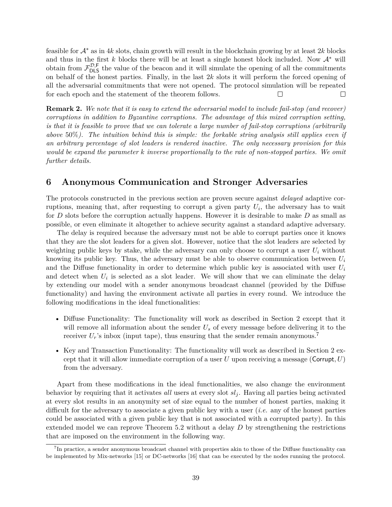feasible for A<sup>∗</sup> as in 4*k* slots, chain growth will result in the blockchain growing by at least 2*k* blocks and thus in the first  $k$  blocks there will be at least a single honest block included. Now  $A^*$  will obtain from  $\mathcal{F}_{\text{DLS}}^{\mathcal{D},F}$  the value of the beacon and it will simulate the opening of all the commitments on behalf of the honest parties. Finally, in the last 2*k* slots it will perform the forced opening of all the adversarial commitments that were not opened. The protocol simulation will be repeated for each epoch and the statement of the theorem follows.  $\Box$  $\Box$ 

**Remark 2.** *We note that it is easy to extend the adversarial model to include fail-stop (and recover) corruptions in addition to Byzantine corruptions. The advantage of this mixed corruption setting, is that it is feasible to prove that we can tolerate a large number of fail-stop corruptions (arbitrarily above* 50%*). The intuition behind this is simple: the forkable string analysis still applies even if an arbitrary percentage of slot leaders is rendered inactive. The only necessary provision for this would be expand the parameter k inverse proportionally to the rate of non-stopped parties. We omit further details.*

## **6 Anonymous Communication and Stronger Adversaries**

The protocols constructed in the previous section are proven secure against *delayed* adaptive corruptions, meaning that, after requesting to corrupt a given party  $U_i$ , the adversary has to wait for *D* slots before the corruption actually happens. However it is desirable to make *D* as small as possible, or even eliminate it altogether to achieve security against a standard adaptive adversary.

The delay is required because the adversary must not be able to corrupt parties once it knows that they are the slot leaders for a given slot. However, notice that the slot leaders are selected by weighting public keys by stake, while the adversary can only choose to corrupt a user  $U_i$  without knowing its public key. Thus, the adversary must be able to observe communication between *U<sup>i</sup>* and the Diffuse functionality in order to determine which public key is associated with user *U<sup>i</sup>* and detect when  $U_i$  is selected as a slot leader. We will show that we can eliminate the delay by extending our model with a sender anonymous broadcast channel (provided by the Diffuse functionality) and having the environment activate all parties in every round. We introduce the following modifications in the ideal functionalities:

- Diffuse Functionality: The functionality will work as described in Section 2 except that it will remove all information about the sender *U<sup>s</sup>* of every message before delivering it to the receiver  $U_r$ 's inbox (input tape), thus ensuring that the sender remain anonymous.<sup>7</sup>
- Key and Transaction Functionality: The functionality will work as described in Section 2 except that it will allow immediate corruption of a user *U* upon receiving a message (Corrupt*, U*) from the adversary.

Apart from these modifications in the ideal functionalities, we also change the environment behavior by requiring that it activates *all* users at every slot *sl<sup>j</sup>* . Having all parties being activated at every slot results in an anonymity set of size equal to the number of honest parties, making it difficult for the adversary to associate a given public key with a user (*i.e.* any of the honest parties could be associated with a given public key that is not associated with a corrupted party). In this extended model we can reprove Theorem 5.2 without a delay *D* by strengthening the restrictions that are imposed on the environment in the following way.

<sup>&</sup>lt;sup>7</sup>In practice, a sender anonymous broadcast channel with properties akin to those of the Diffuse functionality can be implemented by Mix-networks [15] or DC-networks [16] that can be executed by the nodes running the protocol.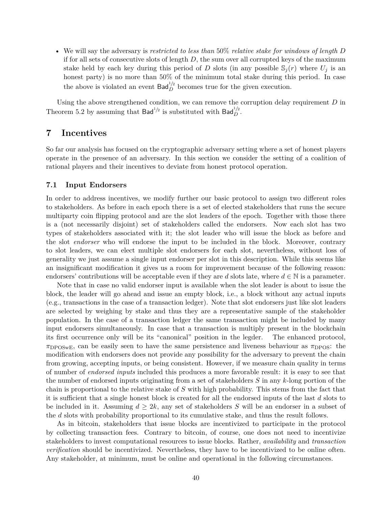• We will say the adversary is *restricted to less than* 50% *relative stake for windows of length D* if for all sets of consecutive slots of length *D*, the sum over all corrupted keys of the maximum stake held by each key during this period of *D* slots (in any possible  $\mathbb{S}_j(r)$  where  $U_j$  is an honest party) is no more than 50% of the minimum total stake during this period. In case the above is violated an event  $\mathsf{Bad}_{D}^{1/2}$  becomes true for the given execution.

Using the above strengthened condition, we can remove the corruption delay requirement *D* in Theorem 5.2 by assuming that  $\text{Bad}^{1/2}$  is substituted with  $\text{Bad}_{D}^{1/2}$ .

# **7 Incentives**

So far our analysis has focused on the cryptographic adversary setting where a set of honest players operate in the presence of an adversary. In this section we consider the setting of a coalition of rational players and their incentives to deviate from honest protocol operation.

#### **7.1 Input Endorsers**

In order to address incentives, we modify further our basic protocol to assign two different roles to stakeholders. As before in each epoch there is a set of elected stakeholders that runs the secure multiparty coin flipping protocol and are the slot leaders of the epoch. Together with those there is a (not necessarily disjoint) set of stakeholders called the endorsers. Now each slot has two types of stakeholders associated with it; the slot leader who will issue the block as before and the slot *endorser* who will endorse the input to be included in the block. Moreover, contrary to slot leaders, we can elect multiple slot endorsers for each slot, nevertheless, without loss of generality we just assume a single input endorser per slot in this description. While this seems like an insignificant modification it gives us a room for improvement because of the following reason: endorsers' contributions will be acceptable even if they are *d* slots late, where  $d \in \mathbb{N}$  is a parameter.

Note that in case no valid endorser input is available when the slot leader is about to issue the block, the leader will go ahead and issue an empty block, i.e., a block without any actual inputs (e.g., transactions in the case of a transaction ledger). Note that slot endorsers just like slot leaders are selected by weighing by stake and thus they are a representative sample of the stakeholder population. In the case of a transaction ledger the same transaction might be included by many input endorsers simultaneously. In case that a transaction is multiply present in the blockchain its first occurrence only will be its "canonical" position in the legder. The enhanced protocol,  $\pi_{\text{DPOSwF}}$ , can be easily seen to have the same persistence and liveness behaviour as  $\pi_{\text{DPOS}}$ : the modification with endorsers does not provide any possibility for the adversary to prevent the chain from growing, accepting inputs, or being consistent. However, if we measure chain quality in terms of number of *endorsed inputs* included this produces a more favorable result: it is easy to see that the number of endorsed inputs originating from a set of stakeholders *S* in any *k*-long portion of the chain is proportional to the relative stake of *S* with high probability. This stems from the fact that it is sufficient that a single honest block is created for all the endorsed inputs of the last *d* slots to be included in it. Assuming  $d \geq 2k$ , any set of stakeholders S will be an endorser in a subset of the *d* slots with probability proportional to its cumulative stake, and thus the result follows.

As in bitcoin, stakeholders that issue blocks are incentivized to participate in the protocol by collecting transaction fees. Contrary to bitcoin, of course, one does not need to incentivize stakeholders to invest computational resources to issue blocks. Rather, *availability* and *transaction verification* should be incentivized. Nevertheless, they have to be incentivized to be online often. Any stakeholder, at minimum, must be online and operational in the following circumstances.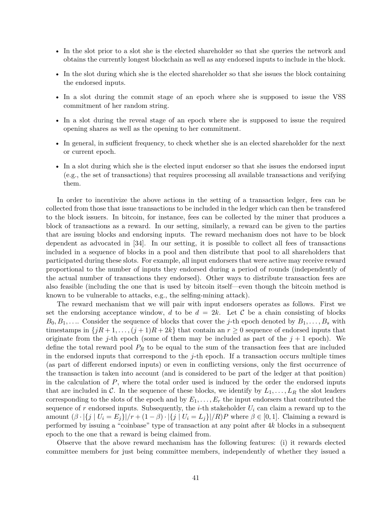- In the slot prior to a slot she is the elected shareholder so that she queries the network and obtains the currently longest blockchain as well as any endorsed inputs to include in the block.
- In the slot during which she is the elected shareholder so that she issues the block containing the endorsed inputs.
- In a slot during the commit stage of an epoch where she is supposed to issue the VSS commitment of her random string.
- In a slot during the reveal stage of an epoch where she is supposed to issue the required opening shares as well as the opening to her commitment.
- In general, in sufficient frequency, to check whether she is an elected shareholder for the next or current epoch.
- In a slot during which she is the elected input endorser so that she issues the endorsed input (e.g., the set of transactions) that requires processing all available transactions and verifying them.

In order to incentivize the above actions in the setting of a transaction ledger, fees can be collected from those that issue transactions to be included in the ledger which can then be transfered to the block issuers. In bitcoin, for instance, fees can be collected by the miner that produces a block of transactions as a reward. In our setting, similarly, a reward can be given to the parties that are issuing blocks and endorsing inputs. The reward mechanism does not have to be block dependent as advocated in [34]. In our setting, it is possible to collect all fees of transactions included in a sequence of blocks in a pool and then distribute that pool to all shareholders that participated during these slots. For example, all input endorsers that were active may receive reward proportional to the number of inputs they endorsed during a period of rounds (independently of the actual number of transactions they endorsed). Other ways to distribute transaction fees are also feasible (including the one that is used by bitcoin itself—even though the bitcoin method is known to be vulnerable to attacks, e.g., the selfing-mining attack).

The reward mechanism that we will pair with input endorsers operates as follows. First we set the endorsing acceptance window, *d* to be  $d = 2k$ . Let C be a chain consisting of blocks  $B_0, B_1, \ldots$  Consider the sequence of blocks that cover the *j*-th epoch denoted by  $B_1, \ldots, B_s$  with timestamps in  $\{jR+1,\ldots,(j+1)R+2k\}$  that contain an  $r\geq 0$  sequence of endorsed inputs that originate from the *j*-th epoch (some of them may be included as part of the  $j + 1$  epoch). We define the total reward pool *P<sup>R</sup>* to be equal to the sum of the transaction fees that are included in the endorsed inputs that correspond to the *j*-th epoch. If a transaction occurs multiple times (as part of different endorsed inputs) or even in conflicting versions, only the first occurrence of the transaction is taken into account (and is considered to be part of the ledger at that position) in the calculation of *P*, where the total order used is induced by the order the endorsed inputs that are included in C. In the sequence of these blocks, we identify by  $L_1, \ldots, L_R$  the slot leaders corresponding to the slots of the epoch and by  $E_1, \ldots, E_r$  the input endorsers that contributed the sequence of  $r$  endorsed inputs. Subsequently, the  $i$ -th stakeholder  $U_i$  can claim a reward up to the amount  $(\beta \cdot |\{j \mid U_i = E_j\}|/r + (1 - \beta) \cdot |\{j \mid U_i = L_j\}|/R)P$  where  $\beta \in [0,1]$ . Claiming a reward is performed by issuing a "coinbase" type of transaction at any point after 4*k* blocks in a subsequent epoch to the one that a reward is being claimed from.

Observe that the above reward mechanism has the following features: (i) it rewards elected committee members for just being committee members, independently of whether they issued a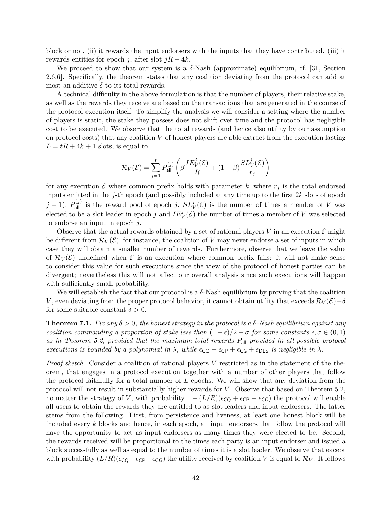block or not, (ii) it rewards the input endorsers with the inputs that they have contributed. (iii) it rewards entities for epoch *j*, after slot  $jR + 4k$ .

We proceed to show that our system is a *δ*-Nash (approximate) equilibrium, cf. [31, Section 2.6.6]. Specifically, the theorem states that any coalition deviating from the protocol can add at most an additive  $\delta$  to its total rewards.

A technical difficulty in the above formulation is that the number of players, their relative stake, as well as the rewards they receive are based on the transactions that are generated in the course of the protocol execution itself. To simplify the analysis we will consider a setting where the number of players is static, the stake they possess does not shift over time and the protocol has negligible cost to be executed. We observe that the total rewards (and hence also utility by our assumption on protocol costs) that any coalition *V* of honest players are able extract from the execution lasting  $L = tR + 4k + 1$  slots, is equal to

$$
\mathcal{R}_V(\mathcal{E}) = \sum_{j=1}^t P_{\text{all}}^{(j)} \left( \beta \frac{I E_V^j(\mathcal{E})}{R} + (1 - \beta) \frac{S L_V^j(\mathcal{E})}{r_j} \right)
$$

for any execution  $\mathcal E$  where common prefix holds with parameter  $k$ , where  $r_j$  is the total endorsed inputs emitted in the *j*-th epoch (and possibly included at any time up to the first 2*k* slots of epoch  $j + 1$ ,  $P_{all}^{(j)}$  is the reward pool of epoch *j*,  $SL_V^j(\mathcal{E})$  is the number of times a member of *V* was elected to be a slot leader in epoch *j* and  $IE_V^j(\mathcal{E})$  the number of times a member of *V* was selected to endorse an input in epoch *j*.

Observe that the actual rewards obtained by a set of rational players  $V$  in an execution  $\mathcal E$  might be different from  $\mathcal{R}_V(\mathcal{E})$ ; for instance, the coalition of *V* may never endorse a set of inputs in which case they will obtain a smaller number of rewards. Furthermore, observe that we leave the value of  $\mathcal{R}_V(\mathcal{E})$  undefined when  $\mathcal E$  is an execution where common prefix fails: it will not make sense to consider this value for such executions since the view of the protocol of honest parties can be divergent; nevertheless this will not affect our overall analysis since such executions will happen with sufficiently small probability.

We will establish the fact that our protocol is a *δ*-Nash equilibrium by proving that the coalition *V*, even deviating from the proper protocol behavior, it cannot obtain utility that exceeds  $\mathcal{R}_V(\mathcal{E})+\delta$ for some suitable constant  $\delta > 0$ .

**Theorem 7.1.** *Fix any*  $\delta > 0$ ; the honest strategy in the protocol is a  $\delta$ -Nash equilibrium against any *coalition commanding a proportion of stake less than*  $(1 - \epsilon)/2 - \sigma$  *for some constants*  $\epsilon, \sigma \in (0, 1)$ *as in Theorem 5.2, provided that the maximum total rewards P*all *provided in all possible protocol executions is bounded by a polynomial in*  $\lambda$ *, while*  $\epsilon_{CQ} + \epsilon_{CP} + \epsilon_{CG} + \epsilon_{DLS}$  *is negligible in*  $\lambda$ *.* 

*Proof sketch.* Consider a coalition of rational players *V* restricted as in the statement of the theorem, that engages in a protocol execution together with a number of other players that follow the protocol faithfully for a total number of *L* epochs. We will show that any deviation from the protocol will not result in substantially higher rewards for *V* . Observe that based on Theorem 5.2, no matter the strategy of *V*, with probability  $1 - (L/R)(\epsilon_{\text{CO}} + \epsilon_{\text{CP}} + \epsilon_{\text{CG}})$  the protocol will enable all users to obtain the rewards they are entitled to as slot leaders and input endorsers. The latter stems from the following. First, from persistence and liveness, at least one honest block will be included every *k* blocks and hence, in each epoch, all input endorsers that follow the protocol will have the opportunity to act as input endorsers as many times they were elected to be. Second, the rewards received will be proportional to the times each party is an input endorser and issued a block successfully as well as equal to the number of times it is a slot leader. We observe that except with probability  $(L/R)(\epsilon_{\text{CQ}}+\epsilon_{\text{CP}}+\epsilon_{\text{CG}})$  the utility received by coalition *V* is equal to  $\mathcal{R}_V$ . It follows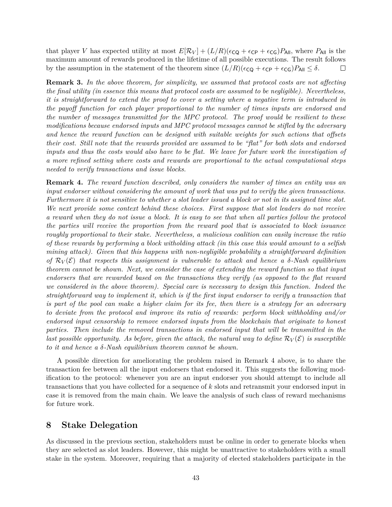that player *V* has expected utility at most  $E[\mathcal{R}_V] + (L/R)(\epsilon_{CQ} + \epsilon_{CP} + \epsilon_{CG})P_{All}$ , where  $P_{All}$  is the maximum amount of rewards produced in the lifetime of all possible executions. The result follows by the assumption in the statement of the theorem since  $(L/R)(\epsilon_{\text{CO}} + \epsilon_{\text{CP}} + \epsilon_{\text{CG}})P_{\text{All}} \leq \delta$ .  $\Box$ 

**Remark 3.** *In the above theorem, for simplicity, we assumed that protocol costs are not affecting the final utility (in essence this means that protocol costs are assumed to be negligible). Nevertheless, it is straightforward to extend the proof to cover a setting where a negative term is introduced in the payoff function for each player proportional to the number of times inputs are endorsed and the number of messages transmitted for the MPC protocol. The proof would be resilient to these modifications because endorsed inputs and MPC protocol messages cannot be stifled by the adversary and hence the reward function can be designed with suitable weights for such actions that offsets their cost. Still note that the rewards provided are assumed to be "flat" for both slots and endorsed inputs and thus the costs would also have to be flat. We leave for future work the investigation of a more refined setting where costs and rewards are proportional to the actual computational steps needed to verify transactions and issue blocks.*

**Remark 4.** *The reward function described, only considers the number of times an entity was an input endorser without considering the amount of work that was put to verify the given transactions. Furthermore it is not sensitive to whether a slot leader issued a block or not in its assigned time slot. We next provide some context behind these choices. First suppose that slot leaders do not receive a reward when they do not issue a block. It is easy to see that when all parties follow the protocol the parties will receive the proportion from the reward pool that is associated to block issuance roughly proportional to their stake. Nevertheless, a malicious coalition can easily increase the ratio of these rewards by performing a block witholding attack (in this case this would amount to a selfish mining attack). Given that this happens with non-negligible probability a straightforward definition of*  $\mathcal{R}_V(\mathcal{E})$  *that respects this assignment is vulnerable to attack and hence a*  $\delta$ *-Nash equilibrium theorem cannot be shown. Next, we consider the case of extending the reward function so that input endorsers that are rewarded based on the transactions they verify (as opposed to the flat reward we considered in the above theorem). Special care is necessary to design this function. Indeed the straightforward way to implement it, which is if the first input endorser to verify a transaction that is part of the pool can make a higher claim for its fee, then there is a strategy for an adversary to deviate from the protocol and improve its ratio of rewards: perform block withholding and/or endorsed input censorship to remove endorsed inputs from the blockchain that originate to honest parties. Then include the removed transactions in endorsed input that will be transmitted in the last possible opportunity. As before, given the attack, the natural way to define*  $\mathcal{R}_V(\mathcal{E})$  *is susceptible to it and hence a δ-Nash equilibrium theorem cannot be shown.*

A possible direction for ameliorating the problem raised in Remark 4 above, is to share the transaction fee between all the input endorsers that endorsed it. This suggests the following modification to the protocol: whenever you are an input endorser you should attempt to include all transactions that you have collected for a sequence of *k* slots and retransmit your endorsed input in case it is removed from the main chain. We leave the analysis of such class of reward mechanisms for future work.

## **8 Stake Delegation**

As discussed in the previous section, stakeholders must be online in order to generate blocks when they are selected as slot leaders. However, this might be unattractive to stakeholders with a small stake in the system. Moreover, requiring that a majority of elected stakeholders participate in the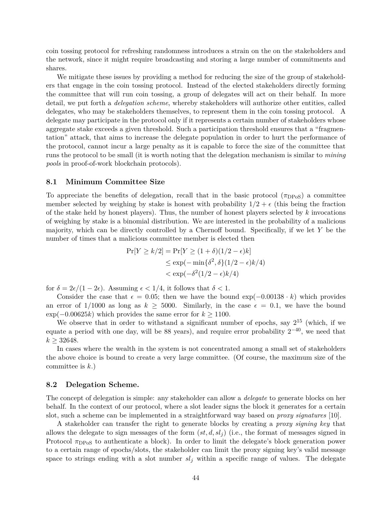coin tossing protocol for refreshing randomness introduces a strain on the on the stakeholders and the network, since it might require broadcasting and storing a large number of commitments and shares.

We mitigate these issues by providing a method for reducing the size of the group of stakeholders that engage in the coin tossing protocol. Instead of the elected stakeholders directly forming the committee that will run coin tossing, a group of delegates will act on their behalf. In more detail, we put forth a *delegation scheme*, whereby stakeholders will authorize other entities, called delegates, who may be stakeholders themselves, to represent them in the coin tossing protocol. A delegate may participate in the protocol only if it represents a certain number of stakeholders whose aggregate stake exceeds a given threshold. Such a participation threshold ensures that a "fragmentation" attack, that aims to increase the delegate population in order to hurt the performance of the protocol, cannot incur a large penalty as it is capable to force the size of the committee that runs the protocol to be small (it is worth noting that the delegation mechanism is similar to *mining pools* in proof-of-work blockchain protocols).

#### **8.1 Minimum Committee Size**

To appreciate the benefits of delegation, recall that in the basic protocol  $(\pi_{\text{DPos}})$  a committee member selected by weighing by stake is honest with probability  $1/2 + \epsilon$  (this being the fraction of the stake held by honest players). Thus, the number of honest players selected by *k* invocations of weighing by stake is a binomial distribution. We are interested in the probability of a malicious majority, which can be directly controlled by a Chernoff bound. Specifically, if we let *Y* be the number of times that a malicious committee member is elected then

$$
\Pr[Y \ge k/2] = \Pr[Y \ge (1+\delta)(1/2-\epsilon)k]
$$
  
\n
$$
\le \exp(-\min{\delta^2, \delta}(1/2-\epsilon)k/4)
$$
  
\n
$$
< \exp(-\delta^2(1/2-\epsilon)k/4)
$$

for  $\delta = 2\epsilon/(1 - 2\epsilon)$ . Assuming  $\epsilon < 1/4$ , it follows that  $\delta < 1$ .

Consider the case that  $\epsilon = 0.05$ ; then we have the bound  $\exp(-0.00138 \cdot k)$  which provides an error of  $1/1000$  as long as  $k \geq 5000$ . Similarly, in the case  $\epsilon = 0.1$ , we have the bound  $\exp(-0.00625k)$  which provides the same error for  $k \geq 1100$ .

We observe that in order to withstand a significant number of epochs, say  $2^{15}$  (which, if we equate a period with one day, will be 88 years), and require error probability  $2^{-40}$ , we need that  $k \geq 32648$ .

In cases where the wealth in the system is not concentrated among a small set of stakeholders the above choice is bound to create a very large committee. (Of course, the maximum size of the committee is *k*.)

#### **8.2 Delegation Scheme.**

The concept of delegation is simple: any stakeholder can allow a *delegate* to generate blocks on her behalf. In the context of our protocol, where a slot leader signs the block it generates for a certain slot, such a scheme can be implemented in a straightforward way based on *proxy signatures* [10].

A stakeholder can transfer the right to generate blocks by creating a *proxy signing key* that allows the delegate to sign messages of the form (*st, d, sl<sup>j</sup>* ) (i.e., the format of messages signed in Protocol  $\pi_{\text{DPos}}$  to authenticate a block). In order to limit the delegate's block generation power to a certain range of epochs/slots, the stakeholder can limit the proxy signing key's valid message space to strings ending with a slot number  $sl<sub>j</sub>$  within a specific range of values. The delegate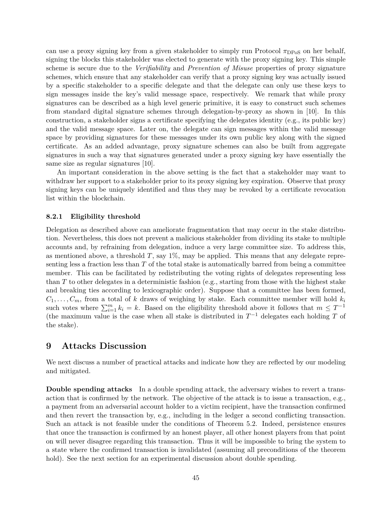can use a proxy signing key from a given stakeholder to simply run Protocol *π*DPoS on her behalf, signing the blocks this stakeholder was elected to generate with the proxy signing key. This simple scheme is secure due to the *Verifiability* and *Prevention of Misuse* properties of proxy signature schemes, which ensure that any stakeholder can verify that a proxy signing key was actually issued by a specific stakeholder to a specific delegate and that the delegate can only use these keys to sign messages inside the key's valid message space, respectively. We remark that while proxy signatures can be described as a high level generic primitive, it is easy to construct such schemes from standard digital signature schemes through delegation-by-proxy as shown in [10]. In this construction, a stakeholder signs a certificate specifying the delegates identity (e.g., its public key) and the valid message space. Later on, the delegate can sign messages within the valid message space by providing signatures for these messages under its own public key along with the signed certificate. As an added advantage, proxy signature schemes can also be built from aggregate signatures in such a way that signatures generated under a proxy signing key have essentially the same size as regular signatures [10].

An important consideration in the above setting is the fact that a stakeholder may want to withdraw her support to a stakeholder prior to its proxy signing key expiration. Observe that proxy signing keys can be uniquely identified and thus they may be revoked by a certificate revocation list within the blockchain.

#### **8.2.1 Eligibility threshold**

Delegation as described above can ameliorate fragmentation that may occur in the stake distribution. Nevertheless, this does not prevent a malicious stakeholder from dividing its stake to multiple accounts and, by refraining from delegation, induce a very large committee size. To address this, as mentioned above, a threshold *T*, say 1%, may be applied. This means that any delegate representing less a fraction less than *T* of the total stake is automatically barred from being a committee member. This can be facilitated by redistributing the voting rights of delegates representing less than *T* to other delegates in a deterministic fashion (e.g., starting from those with the highest stake and breaking ties according to lexicographic order). Suppose that a committee has been formed,  $C_1, \ldots, C_m$ , from a total of *k* draws of weighing by stake. Each committee member will hold  $k_i$ such votes where  $\sum_{i=1}^{m} k_i = k$ . Based on the eligibility threshold above it follows that  $m \leq T^{-1}$ (the maximum value is the case when all stake is distributed in  $T^{-1}$  delegates each holding *T* of the stake).

# **9 Attacks Discussion**

We next discuss a number of practical attacks and indicate how they are reflected by our modeling and mitigated.

**Double spending attacks** In a double spending attack, the adversary wishes to revert a transaction that is confirmed by the network. The objective of the attack is to issue a transaction, e.g., a payment from an adversarial account holder to a victim recipient, have the transaction confirmed and then revert the transaction by, e.g., including in the ledger a second conflicting transaction. Such an attack is not feasible under the conditions of Theorem 5.2. Indeed, persistence ensures that once the transaction is confirmed by an honest player, all other honest players from that point on will never disagree regarding this transaction. Thus it will be impossible to bring the system to a state where the confirmed transaction is invalidated (assuming all preconditions of the theorem hold). See the next section for an experimental discussion about double spending.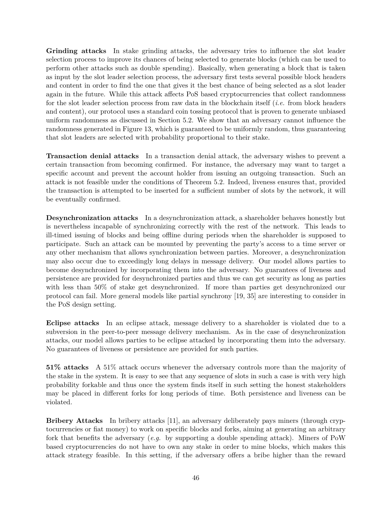**Grinding attacks** In stake grinding attacks, the adversary tries to influence the slot leader selection process to improve its chances of being selected to generate blocks (which can be used to perform other attacks such as double spending). Basically, when generating a block that is taken as input by the slot leader selection process, the adversary first tests several possible block headers and content in order to find the one that gives it the best chance of being selected as a slot leader again in the future. While this attack affects PoS based cryptocurrencies that collect randomness for the slot leader selection process from raw data in the blockchain itself (*i.e.* from block headers and content), our protocol uses a standard coin tossing protocol that is proven to generate unbiased uniform randomness as discussed in Section 5.2. We show that an adversary cannot influence the randomness generated in Figure 13, which is guaranteed to be uniformly random, thus guaranteeing that slot leaders are selected with probability proportional to their stake.

**Transaction denial attacks** In a transaction denial attack, the adversary wishes to prevent a certain transaction from becoming confirmed. For instance, the adversary may want to target a specific account and prevent the account holder from issuing an outgoing transaction. Such an attack is not feasible under the conditions of Theorem 5.2. Indeed, liveness ensures that, provided the transaction is attempted to be inserted for a sufficient number of slots by the network, it will be eventually confirmed.

**Desynchronization attacks** In a desynchronization attack, a shareholder behaves honestly but is nevertheless incapable of synchronizing correctly with the rest of the network. This leads to ill-timed issuing of blocks and being offline during periods when the shareholder is supposed to participate. Such an attack can be mounted by preventing the party's access to a time server or any other mechanism that allows synchronization between parties. Moreover, a desynchronization may also occur due to exceedingly long delays in message delivery. Our model allows parties to become desynchronized by incorporating them into the adversary. No guarantees of liveness and persistence are provided for desynchronized parties and thus we can get security as long as parties with less than 50% of stake get desynchronized. If more than parties get desynchronized our protocol can fail. More general models like partial synchrony [19, 35] are interesting to consider in the PoS design setting.

**Eclipse attacks** In an eclipse attack, message delivery to a shareholder is violated due to a subversion in the peer-to-peer message delivery mechanism. As in the case of desynchronization attacks, our model allows parties to be eclipse attacked by incorporating them into the adversary. No guarantees of liveness or persistence are provided for such parties.

**51% attacks** A 51% attack occurs whenever the adversary controls more than the majority of the stake in the system. It is easy to see that any sequence of slots in such a case is with very high probability forkable and thus once the system finds itself in such setting the honest stakeholders may be placed in different forks for long periods of time. Both persistence and liveness can be violated.

**Bribery Attacks** In bribery attacks [11], an adversary deliberately pays miners (through cryptocurrencies or fiat money) to work on specific blocks and forks, aiming at generating an arbitrary fork that benefits the adversary (*e.g.* by supporting a double spending attack). Miners of PoW based cryptocurrencies do not have to own any stake in order to mine blocks, which makes this attack strategy feasible. In this setting, if the adversary offers a bribe higher than the reward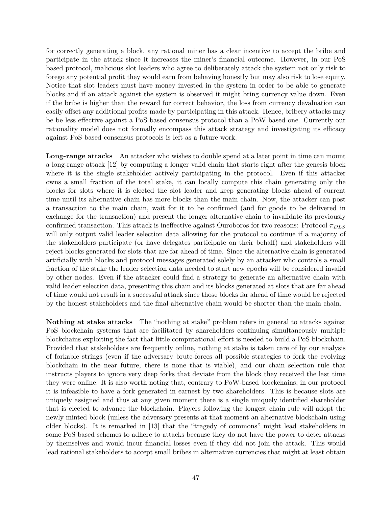for correctly generating a block, any rational miner has a clear incentive to accept the bribe and participate in the attack since it increases the miner's financial outcome. However, in our PoS based protocol, malicious slot leaders who agree to deliberately attack the system not only risk to forego any potential profit they would earn from behaving honestly but may also risk to lose equity. Notice that slot leaders must have money invested in the system in order to be able to generate blocks and if an attack against the system is observed it might bring currency value down. Even if the bribe is higher than the reward for correct behavior, the loss from currency devaluation can easily offset any additional profits made by participating in this attack. Hence, bribery attacks may be be less effective against a PoS based consensus protocol than a PoW based one. Currently our rationality model does not formally encompass this attack strategy and investigating its efficacy against PoS based consensus protocols is left as a future work.

**Long-range attacks** An attacker who wishes to double spend at a later point in time can mount a long-range attack [12] by computing a longer valid chain that starts right after the genesis block where it is the single stakeholder actively participating in the protocol. Even if this attacker owns a small fraction of the total stake, it can locally compute this chain generating only the blocks for slots where it is elected the slot leader and keep generating blocks ahead of current time until its alternative chain has more blocks than the main chain. Now, the attacker can post a transaction to the main chain, wait for it to be confirmed (and for goods to be delivered in exchange for the transaction) and present the longer alternative chain to invalidate its previously confirmed transaction. This attack is ineffective against Ouroboros for two reasons: Protocol *πDLS* will only output valid leader selection data allowing for the protocol to continue if a majority of the stakeholders participate (or have delegates participate on their behalf) and stakeholders will reject blocks generated for slots that are far ahead of time. Since the alternative chain is generated artificially with blocks and protocol messages generated solely by an attacker who controls a small fraction of the stake the leader selection data needed to start new epochs will be considered invalid by other nodes. Even if the attacker could find a strategy to generate an alternative chain with valid leader selection data, presenting this chain and its blocks generated at slots that are far ahead of time would not result in a successful attack since those blocks far ahead of time would be rejected by the honest stakeholders and the final alternative chain would be shorter than the main chain.

**Nothing at stake attacks** The "nothing at stake" problem refers in general to attacks against PoS blockchain systems that are facilitated by shareholders continuing simultaneously multiple blockchains exploiting the fact that little computational effort is needed to build a PoS blockchain. Provided that stakeholders are frequently online, nothing at stake is taken care of by our analysis of forkable strings (even if the adversary brute-forces all possible strategies to fork the evolving blockchain in the near future, there is none that is viable), and our chain selection rule that instructs players to ignore very deep forks that deviate from the block they received the last time they were online. It is also worth noting that, contrary to PoW-based blockchains, in our protocol it is infeasible to have a fork generated in earnest by two shareholders. This is because slots are uniquely assigned and thus at any given moment there is a single uniquely identified shareholder that is elected to advance the blockchain. Players following the longest chain rule will adopt the newly minted block (unless the adversary presents at that moment an alternative blockchain using older blocks). It is remarked in [13] that the "tragedy of commons" might lead stakeholders in some PoS based schemes to adhere to attacks because they do not have the power to deter attacks by themselves and would incur financial losses even if they did not join the attack. This would lead rational stakeholders to accept small bribes in alternative currencies that might at least obtain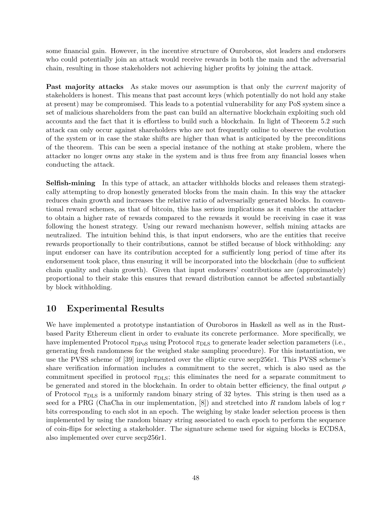some financial gain. However, in the incentive structure of Ouroboros, slot leaders and endorsers who could potentially join an attack would receive rewards in both the main and the adversarial chain, resulting in those stakeholders not achieving higher profits by joining the attack.

**Past majority attacks** As stake moves our assumption is that only the *current* majority of stakeholders is honest. This means that past account keys (which potentially do not hold any stake at present) may be compromised. This leads to a potential vulnerability for any PoS system since a set of malicious shareholders from the past can build an alternative blockchain exploiting such old accounts and the fact that it is effortless to build such a blockchain. In light of Theorem 5.2 such attack can only occur against shareholders who are not frequently online to observe the evolution of the system or in case the stake shifts are higher than what is anticipated by the preconditions of the theorem. This can be seen a special instance of the nothing at stake problem, where the attacker no longer owns any stake in the system and is thus free from any financial losses when conducting the attack.

**Selfish-mining** In this type of attack, an attacker withholds blocks and releases them strategically attempting to drop honestly generated blocks from the main chain. In this way the attacker reduces chain growth and increases the relative ratio of adversarially generated blocks. In conventional reward schemes, as that of bitcoin, this has serious implications as it enables the attacker to obtain a higher rate of rewards compared to the rewards it would be receiving in case it was following the honest strategy. Using our reward mechanism however, selfish mining attacks are neutralized. The intuition behind this, is that input endorsers, who are the entities that receive rewards proportionally to their contributions, cannot be stifled because of block withholding: any input endorser can have its contribution accepted for a sufficiently long period of time after its endorsement took place, thus ensuring it will be incorporated into the blockchain (due to sufficient chain quality and chain growth). Given that input endorsers' contributions are (approximately) proportional to their stake this ensures that reward distribution cannot be affected substantially by block withholding.

# **10 Experimental Results**

We have implemented a prototype instantiation of Ouroboros in Haskell as well as in the Rustbased Parity Ethereum client in order to evaluate its concrete performance. More specifically, we have implemented Protocol  $\pi_{\text{DPos}}$  using Protocol  $\pi_{\text{DLS}}$  to generate leader selection parameters (i.e., generating fresh randomness for the weighed stake sampling procedure). For this instantiation, we use the PVSS scheme of [39] implemented over the elliptic curve secp256r1. This PVSS scheme's share verification information includes a commitment to the secret, which is also used as the commitment specified in protocol  $\pi_{\text{DLS}}$ ; this eliminates the need for a separate commitment to be generated and stored in the blockchain. In order to obtain better efficiency, the final output *ρ* of Protocol *π*DLS is a uniformly random binary string of 32 bytes. This string is then used as a seed for a PRG (ChaCha in our implementation, [8]) and stretched into *R* random labels of  $\log \tau$ bits corresponding to each slot in an epoch. The weighing by stake leader selection process is then implemented by using the random binary string associated to each epoch to perform the sequence of coin-flips for selecting a stakeholder. The signature scheme used for signing blocks is ECDSA, also implemented over curve secp256r1.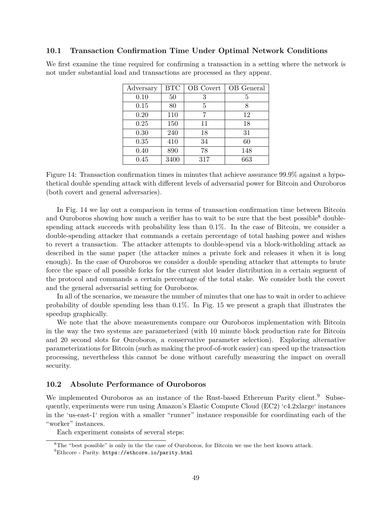### **10.1 Transaction Confirmation Time Under Optimal Network Conditions**

We first examine the time required for confirming a transaction in a setting where the network is not under substantial load and transactions are processed as they appear.

| Adversary | <b>BTC</b> | <b>OB</b> Covert | OB General |
|-----------|------------|------------------|------------|
| 0.10      | 50         | 3                | 5          |
| 0.15      | 80         | 5                | 8          |
| 0.20      | 110        | 7                | 12         |
| 0.25      | 150        | 11               | 18         |
| 0.30      | 240        | 18               | 31         |
| 0.35      | 410        | 34               | 60         |
| 0.40      | 890        | 78               | 148        |
| 0.45      | 3400       | 317              | 663        |

Figure 14: Transaction confirmation times in minutes that achieve assurance 99*.*9% against a hypothetical double spending attack with different levels of adversarial power for Bitcoin and Ouroboros (both covert and general adversaries).

In Fig. 14 we lay out a comparison in terms of transaction confirmation time between Bitcoin and Ouroboros showing how much a verifier has to wait to be sure that the best possible<sup>8</sup> doublespending attack succeeds with probability less than 0*.*1%. In the case of Bitcoin, we consider a double-spending attacker that commands a certain percentage of total hashing power and wishes to revert a transaction. The attacker attempts to double-spend via a block-witholding attack as described in the same paper (the attacker mines a private fork and releases it when it is long enough). In the case of Ouroboros we consider a double spending attacker that attempts to brute force the space of all possible forks for the current slot leader distribution in a certain segment of the protocol and commands a certain percentage of the total stake. We consider both the covert and the general adversarial setting for Ouroboros.

In all of the scenarios, we measure the number of minutes that one has to wait in order to achieve probability of double spending less than 0*.*1%. In Fig. 15 we present a graph that illustrates the speedup graphically.

We note that the above measurements compare our Ouroboros implementation with Bitcoin in the way the two systems are parameterized (with 10 minute block production rate for Bitcoin and 20 second slots for Ouroboros, a conservative parameter selection). Exploring alternative parameterizations for Bitcoin (such as making the proof-of-work easier) can speed up the transaction processing, nevertheless this cannot be done without carefully measuring the impact on overall security.

## **10.2 Absolute Performance of Ouroboros**

We implemented Ouroboros as an instance of the Rust-based Ethereum Parity client.<sup>9</sup> Subsequently, experiments were run using Amazon's Elastic Compute Cloud (EC2) 'c4.2xlarge' instances in the 'us-east-1' region with a smaller "runner" instance responsible for coordinating each of the "worker" instances.

Each experiment consists of several steps:

<sup>8</sup>The "best possible" is only in the the case of Ouroboros, for Bitcoin we use the best known attack.

<sup>9</sup>Ethcore - Parity. https://ethcore.io/parity.html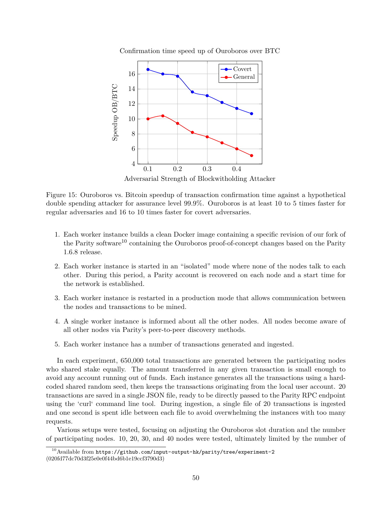

Confirmation time speed up of Ouroboros over BTC

Adversarial Strength of Blockwitholding Attacker

Figure 15: Ouroboros vs. Bitcoin speedup of transaction confirmation time against a hypothetical double spending attacker for assurance level 99*.*9%. Ouroboros is at least 10 to 5 times faster for regular adversaries and 16 to 10 times faster for covert adversaries.

- 1. Each worker instance builds a clean Docker image containing a specific revision of our fork of the Parity software<sup>10</sup> containing the Ouroboros proof-of-concept changes based on the Parity 1.6.8 release.
- 2. Each worker instance is started in an "isolated" mode where none of the nodes talk to each other. During this period, a Parity account is recovered on each node and a start time for the network is established.
- 3. Each worker instance is restarted in a production mode that allows communication between the nodes and transactions to be mined.
- 4. A single worker instance is informed about all the other nodes. All nodes become aware of all other nodes via Parity's peer-to-peer discovery methods.
- 5. Each worker instance has a number of transactions generated and ingested.

In each experiment, 650,000 total transactions are generated between the participating nodes who shared stake equally. The amount transferred in any given transaction is small enough to avoid any account running out of funds. Each instance generates all the transactions using a hardcoded shared random seed, then keeps the transactions originating from the local user account. 20 transactions are saved in a single JSON file, ready to be directly passed to the Parity RPC endpoint using the 'curl' command line tool. During ingestion, a single file of 20 transactions is ingested and one second is spent idle between each file to avoid overwhelming the instances with too many requests.

Various setups were tested, focusing on adjusting the Ouroboros slot duration and the number of participating nodes. 10, 20, 30, and 40 nodes were tested, ultimately limited by the number of

 $^{10}$ Available from https://github.com/input-output-hk/parity/tree/experiment-2 (020fd77dc70d3f25e0e0f44bd6b1e19ccf3790d3)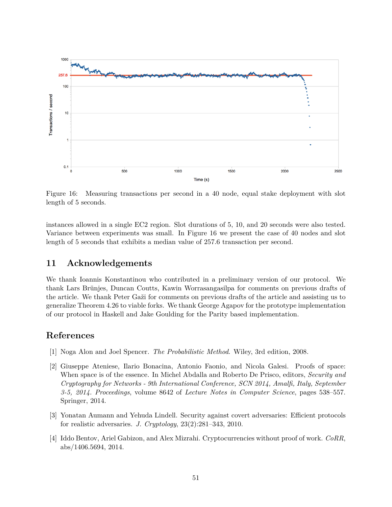

Figure 16: Measuring transactions per second in a 40 node, equal stake deployment with slot length of 5 seconds.

instances allowed in a single EC2 region. Slot durations of 5, 10, and 20 seconds were also tested. Variance between experiments was small. In Figure 16 we present the case of 40 nodes and slot length of 5 seconds that exhibits a median value of 257*.*6 transaction per second.

# **11 Acknowledgements**

We thank Ioannis Konstantinou who contributed in a preliminary version of our protocol. We thank Lars Brünjes, Duncan Coutts, Kawin Worrasangasilpa for comments on previous drafts of the article. We thank Peter Gaži for comments on previous drafts of the article and assisting us to generalize Theorem 4.26 to viable forks. We thank George Agapov for the prototype implementation of our protocol in Haskell and Jake Goulding for the Parity based implementation.

# **References**

- [1] Noga Alon and Joel Spencer. *The Probabilistic Method*. Wiley, 3rd edition, 2008.
- [2] Giuseppe Ateniese, Ilario Bonacina, Antonio Faonio, and Nicola Galesi. Proofs of space: When space is of the essence. In Michel Abdalla and Roberto De Prisco, editors, *Security and Cryptography for Networks - 9th International Conference, SCN 2014, Amalfi, Italy, September 3-5, 2014. Proceedings*, volume 8642 of *Lecture Notes in Computer Science*, pages 538–557. Springer, 2014.
- [3] Yonatan Aumann and Yehuda Lindell. Security against covert adversaries: Efficient protocols for realistic adversaries. *J. Cryptology*, 23(2):281–343, 2010.
- [4] Iddo Bentov, Ariel Gabizon, and Alex Mizrahi. Cryptocurrencies without proof of work. *CoRR*, abs/1406.5694, 2014.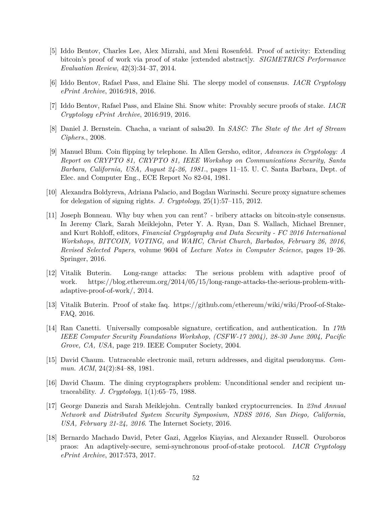- [5] Iddo Bentov, Charles Lee, Alex Mizrahi, and Meni Rosenfeld. Proof of activity: Extending bitcoin's proof of work via proof of stake [extended abstract]y. *SIGMETRICS Performance Evaluation Review*, 42(3):34–37, 2014.
- [6] Iddo Bentov, Rafael Pass, and Elaine Shi. The sleepy model of consensus. *IACR Cryptology ePrint Archive*, 2016:918, 2016.
- [7] Iddo Bentov, Rafael Pass, and Elaine Shi. Snow white: Provably secure proofs of stake. *IACR Cryptology ePrint Archive*, 2016:919, 2016.
- [8] Daniel J. Bernstein. Chacha, a variant of salsa20. In *SASC: The State of the Art of Stream Ciphers.*, 2008.
- [9] Manuel Blum. Coin flipping by telephone. In Allen Gersho, editor, *Advances in Cryptology: A Report on CRYPTO 81, CRYPTO 81, IEEE Workshop on Communications Security, Santa Barbara, California, USA, August 24-26, 1981.*, pages 11–15. U. C. Santa Barbara, Dept. of Elec. and Computer Eng., ECE Report No 82-04, 1981.
- [10] Alexandra Boldyreva, Adriana Palacio, and Bogdan Warinschi. Secure proxy signature schemes for delegation of signing rights. *J. Cryptology*, 25(1):57–115, 2012.
- [11] Joseph Bonneau. Why buy when you can rent? bribery attacks on bitcoin-style consensus. In Jeremy Clark, Sarah Meiklejohn, Peter Y. A. Ryan, Dan S. Wallach, Michael Brenner, and Kurt Rohloff, editors, *Financial Cryptography and Data Security - FC 2016 International Workshops, BITCOIN, VOTING, and WAHC, Christ Church, Barbados, February 26, 2016, Revised Selected Papers*, volume 9604 of *Lecture Notes in Computer Science*, pages 19–26. Springer, 2016.
- [12] Vitalik Buterin. Long-range attacks: The serious problem with adaptive proof of work. https://blog.ethereum.org/2014/05/15/long-range-attacks-the-serious-problem-withadaptive-proof-of-work/, 2014.
- [13] Vitalik Buterin. Proof of stake faq. https://github.com/ethereum/wiki/wiki/Proof-of-Stake-FAQ, 2016.
- [14] Ran Canetti. Universally composable signature, certification, and authentication. In *17th IEEE Computer Security Foundations Workshop, (CSFW-17 2004), 28-30 June 2004, Pacific Grove, CA, USA*, page 219. IEEE Computer Society, 2004.
- [15] David Chaum. Untraceable electronic mail, return addresses, and digital pseudonyms. *Commun. ACM*, 24(2):84–88, 1981.
- [16] David Chaum. The dining cryptographers problem: Unconditional sender and recipient untraceability. *J. Cryptology*, 1(1):65–75, 1988.
- [17] George Danezis and Sarah Meiklejohn. Centrally banked cryptocurrencies. In *23nd Annual Network and Distributed System Security Symposium, NDSS 2016, San Diego, California, USA, February 21-24, 2016*. The Internet Society, 2016.
- [18] Bernardo Machado David, Peter Gazi, Aggelos Kiayias, and Alexander Russell. Ouroboros praos: An adaptively-secure, semi-synchronous proof-of-stake protocol. *IACR Cryptology ePrint Archive*, 2017:573, 2017.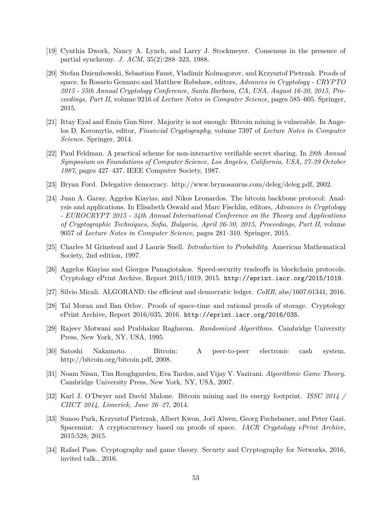- [19] Cynthia Dwork, Nancy A. Lynch, and Larry J. Stockmeyer. Consensus in the presence of partial synchrony. *J. ACM*, 35(2):288–323, 1988.
- [20] Stefan Dziembowski, Sebastian Faust, Vladimir Kolmogorov, and Krzysztof Pietrzak. Proofs of space. In Rosario Gennaro and Matthew Robshaw, editors, *Advances in Cryptology - CRYPTO 2015 - 35th Annual Cryptology Conference, Santa Barbara, CA, USA, August 16-20, 2015, Proceedings, Part II*, volume 9216 of *Lecture Notes in Computer Science*, pages 585–605. Springer, 2015.
- [21] Ittay Eyal and Emin Gun Sirer. Majority is not enough: Bitcoin mining is vulnerable. In Angelos D. Keromytis, editor, *Financial Cryptography*, volume 7397 of *Lecture Notes in Computer Science*. Springer, 2014.
- [22] Paul Feldman. A practical scheme for non-interactive verifiable secret sharing. In *28th Annual Symposium on Foundations of Computer Science, Los Angeles, California, USA, 27-29 October 1987*, pages 427–437. IEEE Computer Society, 1987.
- [23] Bryan Ford. Delegative democracy. http://www.brynosaurus.com/deleg/deleg.pdf, 2002.
- [24] Juan A. Garay, Aggelos Kiayias, and Nikos Leonardos. The bitcoin backbone protocol: Analysis and applications. In Elisabeth Oswald and Marc Fischlin, editors, *Advances in Cryptology - EUROCRYPT 2015 - 34th Annual International Conference on the Theory and Applications of Cryptographic Techniques, Sofia, Bulgaria, April 26-30, 2015, Proceedings, Part II*, volume 9057 of *Lecture Notes in Computer Science*, pages 281–310. Springer, 2015.
- [25] Charles M Grinstead and J Laurie Snell. *Introduction to Probability*. American Mathematical Society, 2nd edition, 1997.
- [26] Aggelos Kiayias and Giorgos Panagiotakos. Speed-security tradeoffs in blockchain protocols. Cryptology ePrint Archive, Report 2015/1019, 2015. http://eprint.iacr.org/2015/1019.
- [27] Silvio Micali. ALGORAND: the efficient and democratic ledger. *CoRR*, abs/1607.01341, 2016.
- [28] Tal Moran and Ilan Orlov. Proofs of space-time and rational proofs of storage. Cryptology ePrint Archive, Report 2016/035, 2016. http://eprint.iacr.org/2016/035.
- [29] Rajeev Motwani and Prabhakar Raghavan. *Randomized Algorithms*. Cambridge University Press, New York, NY, USA, 1995.
- [30] Satoshi Nakamoto. Bitcoin: A peer-to-peer electronic cash system. http://bitcoin.org/bitcoin.pdf, 2008.
- [31] Noam Nisan, Tim Roughgarden, Eva Tardos, and Vijay V. Vazirani. *Algorithmic Game Theory*. Cambridge University Press, New York, NY, USA, 2007.
- [32] Karl J. O'Dwyer and David Malone. Bitcoin mining and its energy footprint. *ISSC 2014 / CIICT 2014, Limerick, June 26–27*, 2014.
- [33] Sunoo Park, Krzysztof Pietrzak, Albert Kwon, Joël Alwen, Georg Fuchsbauer, and Peter Gazi. Spacemint: A cryptocurrency based on proofs of space. *IACR Cryptology ePrint Archive*, 2015:528, 2015.
- [34] Rafael Pass. Cryptography and game theory. Securty and Cryptography for Networks, 2016, invited talk., 2016.